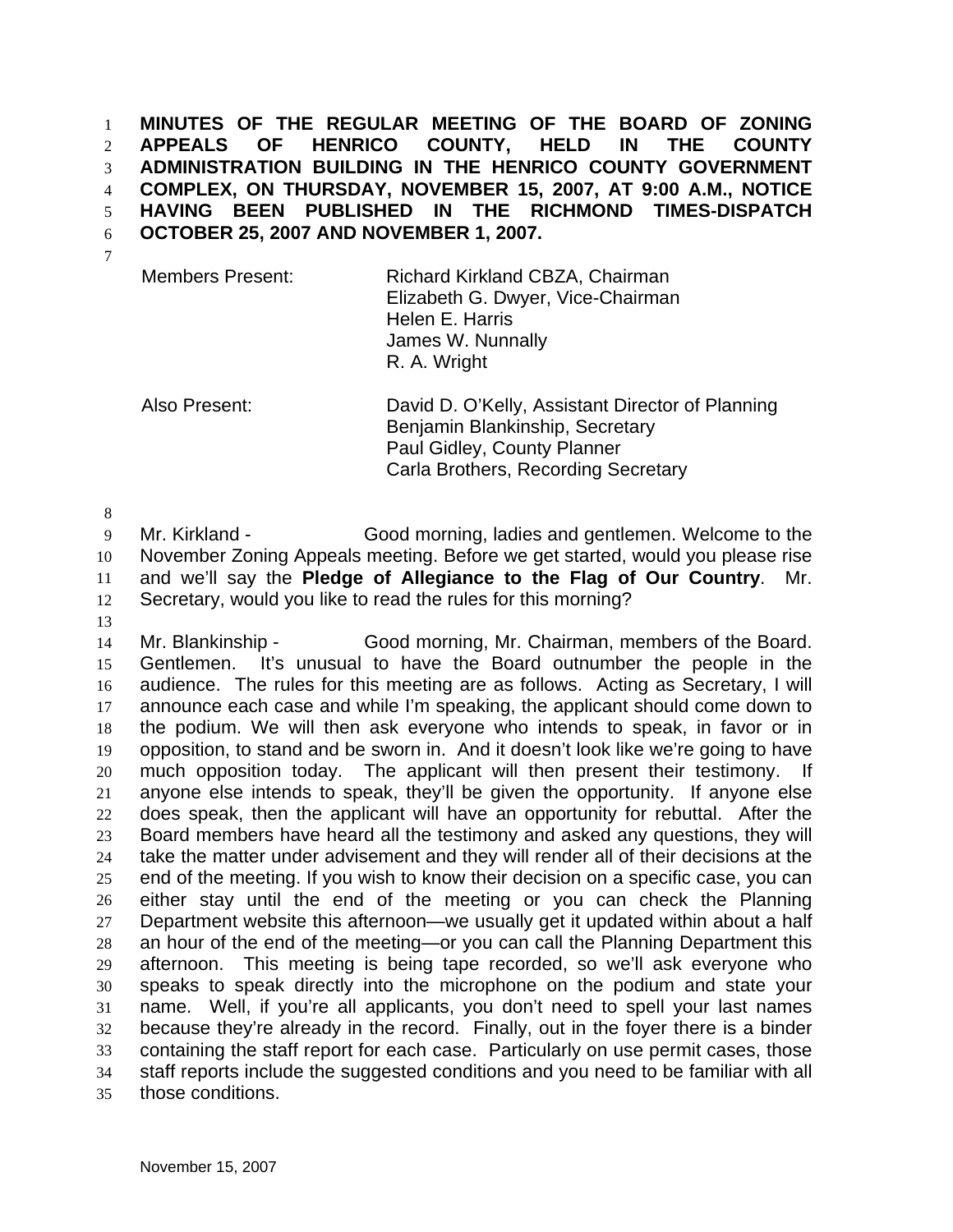**MINUTES OF THE REGULAR MEETING OF THE BOARD OF ZONING APPEALS OF HENRICO COUNTY, HELD IN THE COUNTY ADMINISTRATION BUILDING IN THE HENRICO COUNTY GOVERNMENT COMPLEX, ON THURSDAY, NOVEMBER 15, 2007, AT 9:00 A.M., NOTICE HAVING BEEN PUBLISHED IN THE RICHMOND TIMES-DISPATCH OCTOBER 25, 2007 AND NOVEMBER 1, 2007.**  1 2 3 4 5 6

7

Members Present: Richard Kirkland CBZA, Chairman Elizabeth G. Dwyer, Vice-Chairman Helen E. Harris James W. Nunnally R. A. Wright

Also Present: David D. O'Kelly, Assistant Director of Planning Benjamin Blankinship, Secretary Paul Gidley, County Planner Carla Brothers, Recording Secretary

8

9 10 11 12 Mr. Kirkland - Good morning, ladies and gentlemen. Welcome to the November Zoning Appeals meeting. Before we get started, would you please rise and we'll say the **Pledge of Allegiance to the Flag of Our Country**. Mr. Secretary, would you like to read the rules for this morning?

13

14 15 16 17 18 19 20 21 22 23 24 25 26 27 28 29 30 31 32 33 34 35 Mr. Blankinship - Good morning, Mr. Chairman, members of the Board. Gentlemen. It's unusual to have the Board outnumber the people in the audience. The rules for this meeting are as follows. Acting as Secretary, I will announce each case and while I'm speaking, the applicant should come down to the podium. We will then ask everyone who intends to speak, in favor or in opposition, to stand and be sworn in. And it doesn't look like we're going to have much opposition today. The applicant will then present their testimony. If anyone else intends to speak, they'll be given the opportunity. If anyone else does speak, then the applicant will have an opportunity for rebuttal. After the Board members have heard all the testimony and asked any questions, they will take the matter under advisement and they will render all of their decisions at the end of the meeting. If you wish to know their decision on a specific case, you can either stay until the end of the meeting or you can check the Planning Department website this afternoon—we usually get it updated within about a half an hour of the end of the meeting—or you can call the Planning Department this afternoon. This meeting is being tape recorded, so we'll ask everyone who speaks to speak directly into the microphone on the podium and state your name. Well, if you're all applicants, you don't need to spell your last names because they're already in the record. Finally, out in the foyer there is a binder containing the staff report for each case. Particularly on use permit cases, those staff reports include the suggested conditions and you need to be familiar with all those conditions.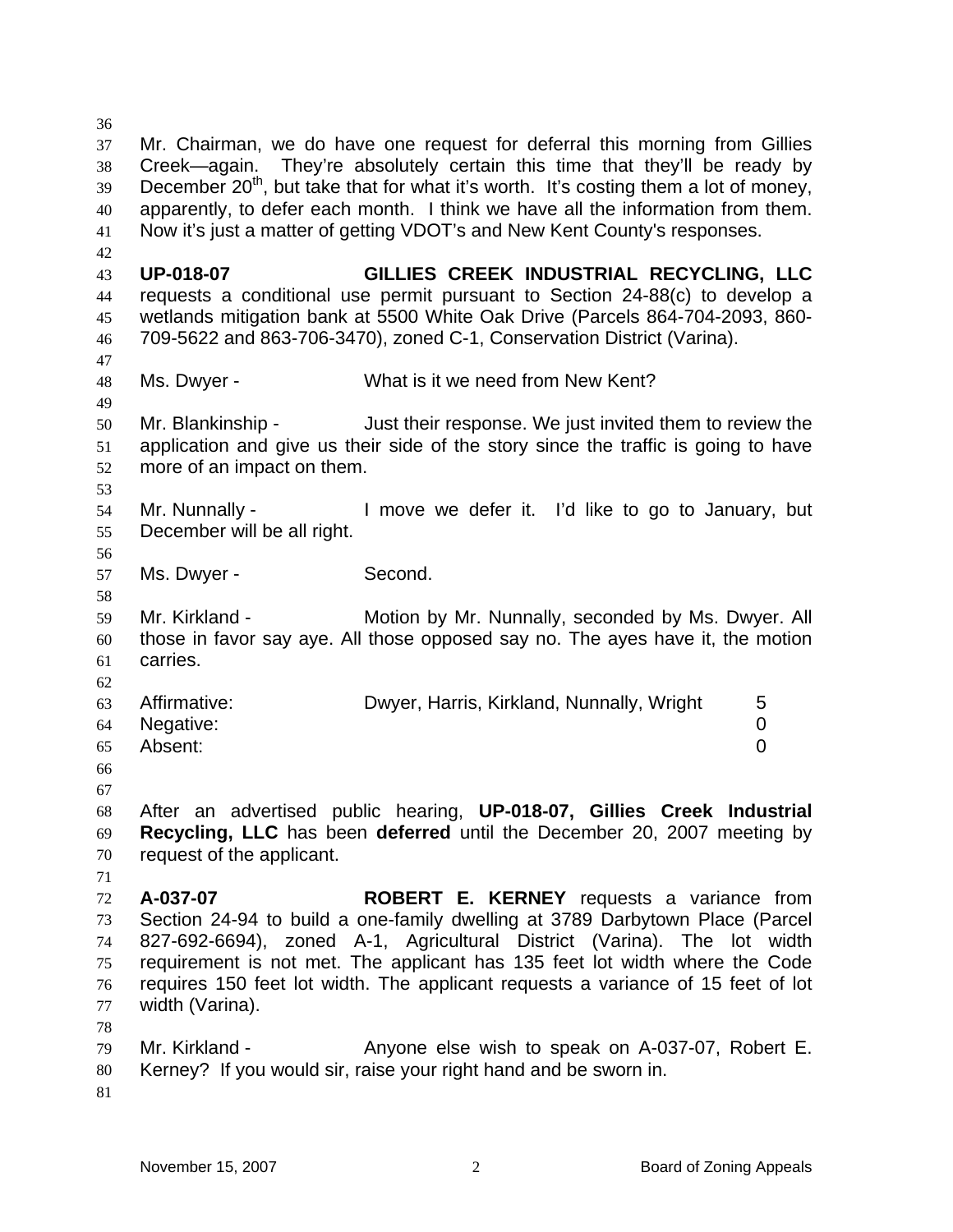36 37 38 39 40 41 42 43 44 45 46 47 48 49 50 51 52 53 54 55 56 57 58 59 60 61 62 63 64 65 66 67 68 69 70 71 72 73 74 75 76 77 78 79 80 81 Mr. Chairman, we do have one request for deferral this morning from Gillies Creek—again. They're absolutely certain this time that they'll be ready by December  $20<sup>th</sup>$ , but take that for what it's worth. It's costing them a lot of money, apparently, to defer each month. I think we have all the information from them. Now it's just a matter of getting VDOT's and New Kent County's responses. **UP-018-07 GILLIES CREEK INDUSTRIAL RECYCLING, LLC** requests a conditional use permit pursuant to Section 24-88(c) to develop a wetlands mitigation bank at 5500 White Oak Drive (Parcels 864-704-2093, 860- 709-5622 and 863-706-3470), zoned C-1, Conservation District (Varina). Ms. Dwyer - What is it we need from New Kent? Mr. Blankinship - Just their response. We just invited them to review the application and give us their side of the story since the traffic is going to have more of an impact on them. Mr. Nunnally - I move we defer it. I'd like to go to January, but December will be all right. Ms. Dwyer - Second. Mr. Kirkland - **Motion by Mr. Nunnally, seconded by Ms. Dwyer. All** those in favor say aye. All those opposed say no. The ayes have it, the motion carries. Affirmative: **Dwyer, Harris, Kirkland, Nunnally, Wright** 5 Negative: 0 Absent: 0 After an advertised public hearing, **UP-018-07, Gillies Creek Industrial Recycling, LLC** has been **deferred** until the December 20, 2007 meeting by request of the applicant. **A-037-07 ROBERT E. KERNEY** requests a variance from Section 24-94 to build a one-family dwelling at 3789 Darbytown Place (Parcel 827-692-6694), zoned A-1, Agricultural District (Varina). The lot width requirement is not met. The applicant has 135 feet lot width where the Code requires 150 feet lot width. The applicant requests a variance of 15 feet of lot width (Varina). Mr. Kirkland - Anyone else wish to speak on A-037-07, Robert E. Kerney? If you would sir, raise your right hand and be sworn in.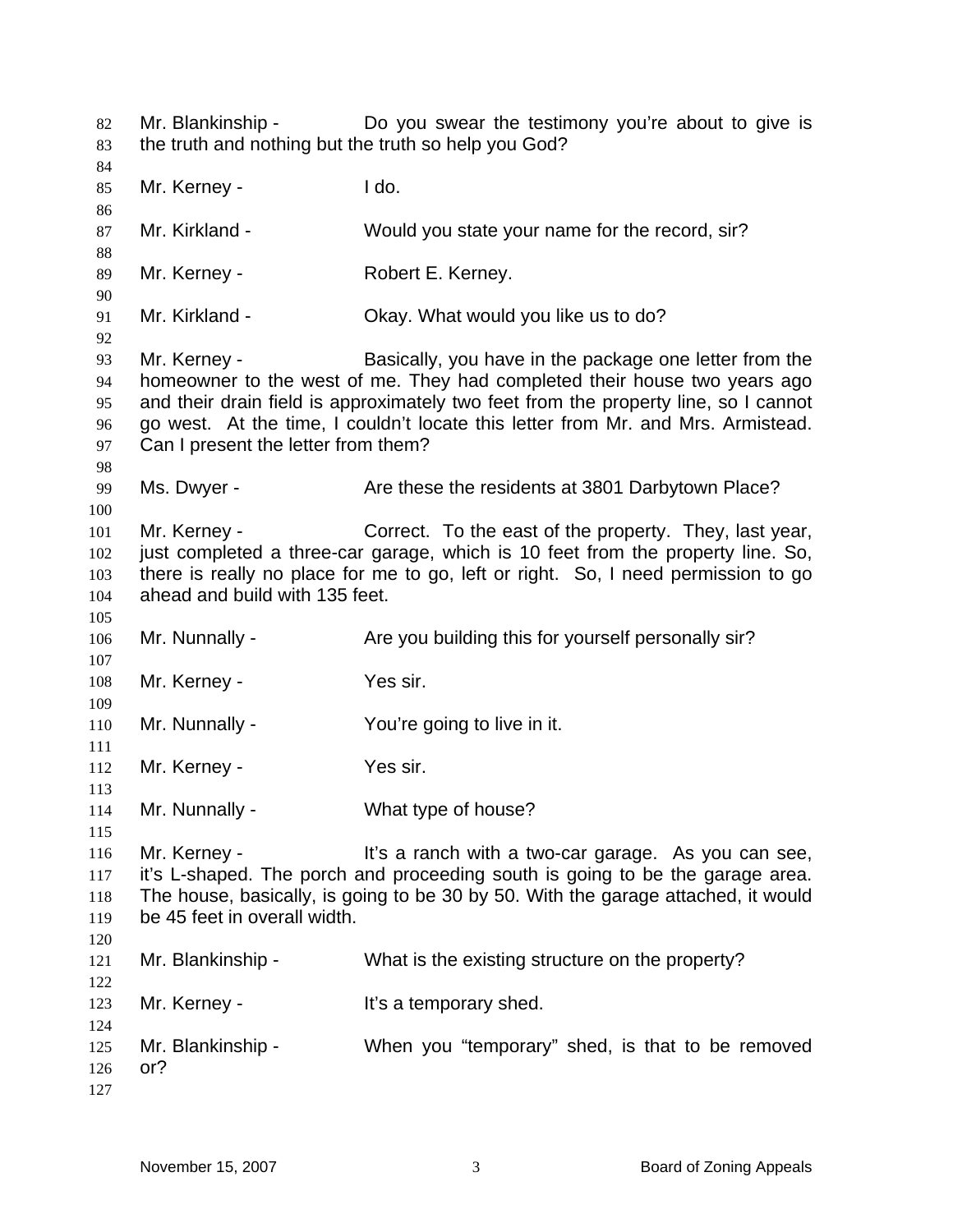Mr. Blankinship - Do you swear the testimony you're about to give is the truth and nothing but the truth so help you God? Mr. Kerney - **I** do. Mr. Kirkland - Would you state your name for the record, sir? Mr. Kerney - **Robert E. Kerney.** Mr. Kirkland - Ckay. What would you like us to do? Mr. Kerney - Basically, you have in the package one letter from the homeowner to the west of me. They had completed their house two years ago and their drain field is approximately two feet from the property line, so I cannot go west. At the time, I couldn't locate this letter from Mr. and Mrs. Armistead. Can I present the letter from them? Ms. Dwyer - The State these the residents at 3801 Darbytown Place? Mr. Kerney - Correct. To the east of the property. They, last year, just completed a three-car garage, which is 10 feet from the property line. So, there is really no place for me to go, left or right. So, I need permission to go ahead and build with 135 feet. Mr. Nunnally - Are you building this for yourself personally sir? Mr. Kerney - Yes sir. Mr. Nunnally - You're going to live in it. Mr. Kerney - Yes sir. Mr. Nunnally - What type of house? Mr. Kerney - It's a ranch with a two-car garage. As you can see, it's L-shaped. The porch and proceeding south is going to be the garage area. The house, basically, is going to be 30 by 50. With the garage attached, it would be 45 feet in overall width. Mr. Blankinship - What is the existing structure on the property? Mr. Kerney - The Music School Hit's a temporary shed. Mr. Blankinship - When you "temporary" shed, is that to be removed or?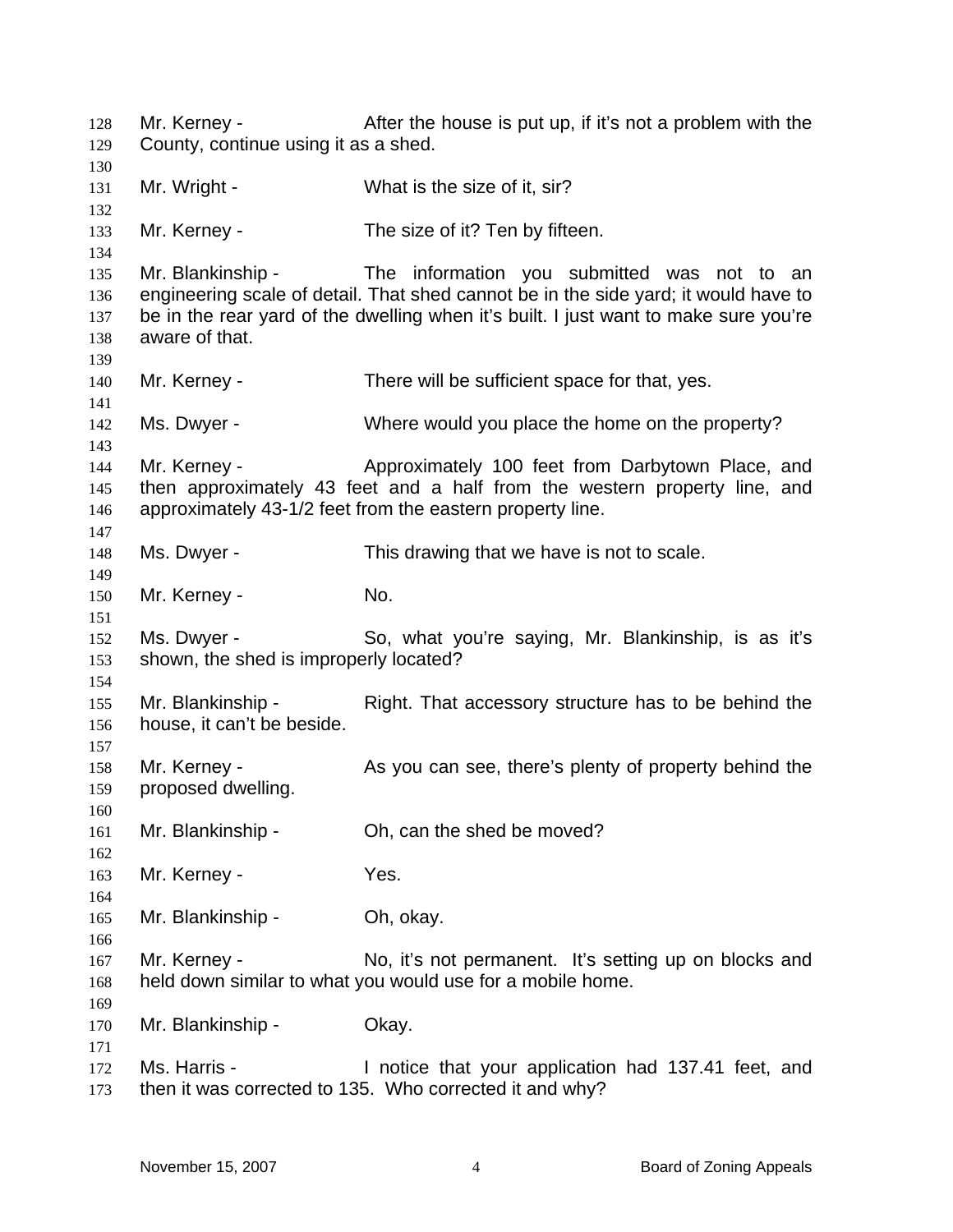Mr. Kerney - After the house is put up, if it's not a problem with the County, continue using it as a shed. Mr. Wright - What is the size of it, sir? Mr. Kerney - The size of it? Ten by fifteen. Mr. Blankinship - The information you submitted was not to an engineering scale of detail. That shed cannot be in the side yard; it would have to be in the rear yard of the dwelling when it's built. I just want to make sure you're aware of that. Mr. Kerney - There will be sufficient space for that, yes. Ms. Dwyer - Where would you place the home on the property? Mr. Kerney - Approximately 100 feet from Darbytown Place, and then approximately 43 feet and a half from the western property line, and approximately 43-1/2 feet from the eastern property line. Ms. Dwyer - This drawing that we have is not to scale. Mr. Kerney - No. Ms. Dwyer - So, what you're saying, Mr. Blankinship, is as it's shown, the shed is improperly located? Mr. Blankinship - Right. That accessory structure has to be behind the house, it can't be beside. Mr. Kerney - As you can see, there's plenty of property behind the proposed dwelling. Mr. Blankinship - Oh, can the shed be moved? Mr. Kerney - Yes. Mr. Blankinship - Ch, okay. Mr. Kerney - The No, it's not permanent. It's setting up on blocks and held down similar to what you would use for a mobile home. Mr. Blankinship - Okay. Ms. Harris - The Motice that your application had 137.41 feet, and then it was corrected to 135. Who corrected it and why?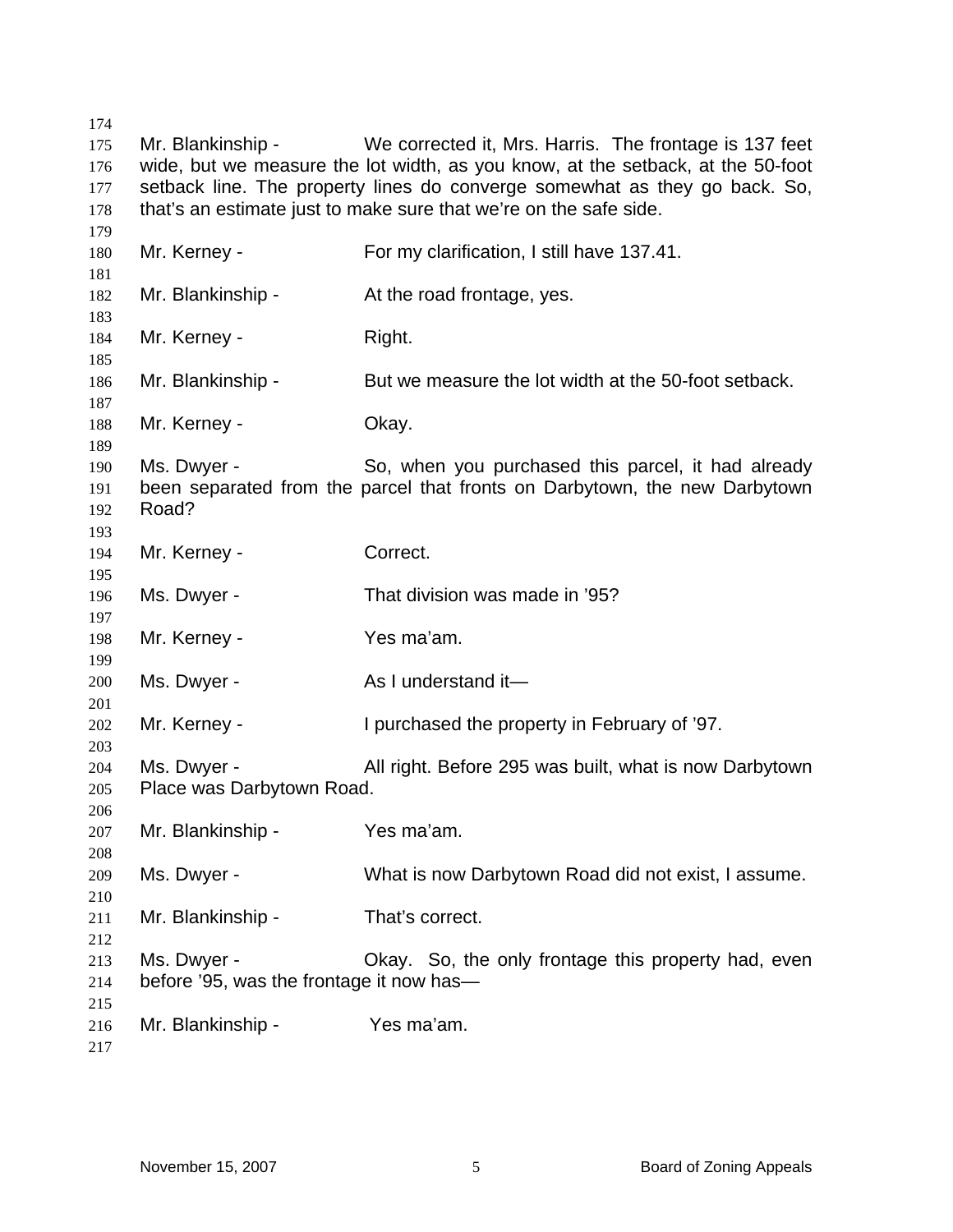| 174 |                                                                            |                                                                                 |  |  |
|-----|----------------------------------------------------------------------------|---------------------------------------------------------------------------------|--|--|
| 175 | Mr. Blankinship -                                                          | We corrected it, Mrs. Harris. The frontage is 137 feet                          |  |  |
| 176 |                                                                            | wide, but we measure the lot width, as you know, at the setback, at the 50-foot |  |  |
| 177 | setback line. The property lines do converge somewhat as they go back. So, |                                                                                 |  |  |
| 178 |                                                                            | that's an estimate just to make sure that we're on the safe side.               |  |  |
| 179 |                                                                            |                                                                                 |  |  |
| 180 | Mr. Kerney -                                                               | For my clarification, I still have 137.41.                                      |  |  |
| 181 |                                                                            |                                                                                 |  |  |
| 182 | Mr. Blankinship -                                                          | At the road frontage, yes.                                                      |  |  |
| 183 |                                                                            |                                                                                 |  |  |
| 184 | Mr. Kerney -                                                               | Right.                                                                          |  |  |
| 185 |                                                                            |                                                                                 |  |  |
| 186 | Mr. Blankinship -                                                          | But we measure the lot width at the 50-foot setback.                            |  |  |
| 187 |                                                                            |                                                                                 |  |  |
| 188 | Mr. Kerney -                                                               | Okay.                                                                           |  |  |
| 189 |                                                                            |                                                                                 |  |  |
| 190 | Ms. Dwyer -                                                                | So, when you purchased this parcel, it had already                              |  |  |
| 191 |                                                                            | been separated from the parcel that fronts on Darbytown, the new Darbytown      |  |  |
| 192 | Road?                                                                      |                                                                                 |  |  |
| 193 |                                                                            |                                                                                 |  |  |
| 194 | Mr. Kerney -                                                               | Correct.                                                                        |  |  |
| 195 |                                                                            |                                                                                 |  |  |
| 196 | Ms. Dwyer -                                                                | That division was made in '95?                                                  |  |  |
| 197 |                                                                            |                                                                                 |  |  |
| 198 | Mr. Kerney -                                                               | Yes ma'am.                                                                      |  |  |
| 199 |                                                                            |                                                                                 |  |  |
| 200 | Ms. Dwyer -                                                                | As I understand it-                                                             |  |  |
| 201 |                                                                            |                                                                                 |  |  |
| 202 | Mr. Kerney -                                                               | I purchased the property in February of '97.                                    |  |  |
| 203 |                                                                            |                                                                                 |  |  |
| 204 | Ms. Dwyer -                                                                | All right. Before 295 was built, what is now Darbytown                          |  |  |
| 205 | Place was Darbytown Road.                                                  |                                                                                 |  |  |
| 206 |                                                                            |                                                                                 |  |  |
| 207 | Mr. Blankinship -                                                          | Yes ma'am.                                                                      |  |  |
| 208 |                                                                            |                                                                                 |  |  |
| 209 | Ms. Dwyer -                                                                | What is now Darbytown Road did not exist, I assume.                             |  |  |
| 210 |                                                                            |                                                                                 |  |  |
| 211 | Mr. Blankinship -                                                          | That's correct.                                                                 |  |  |
| 212 |                                                                            |                                                                                 |  |  |
| 213 | Ms. Dwyer -                                                                | Okay. So, the only frontage this property had, even                             |  |  |
| 214 | before '95, was the frontage it now has-                                   |                                                                                 |  |  |
| 215 |                                                                            |                                                                                 |  |  |
| 216 | Mr. Blankinship -                                                          | Yes ma'am.                                                                      |  |  |
| 217 |                                                                            |                                                                                 |  |  |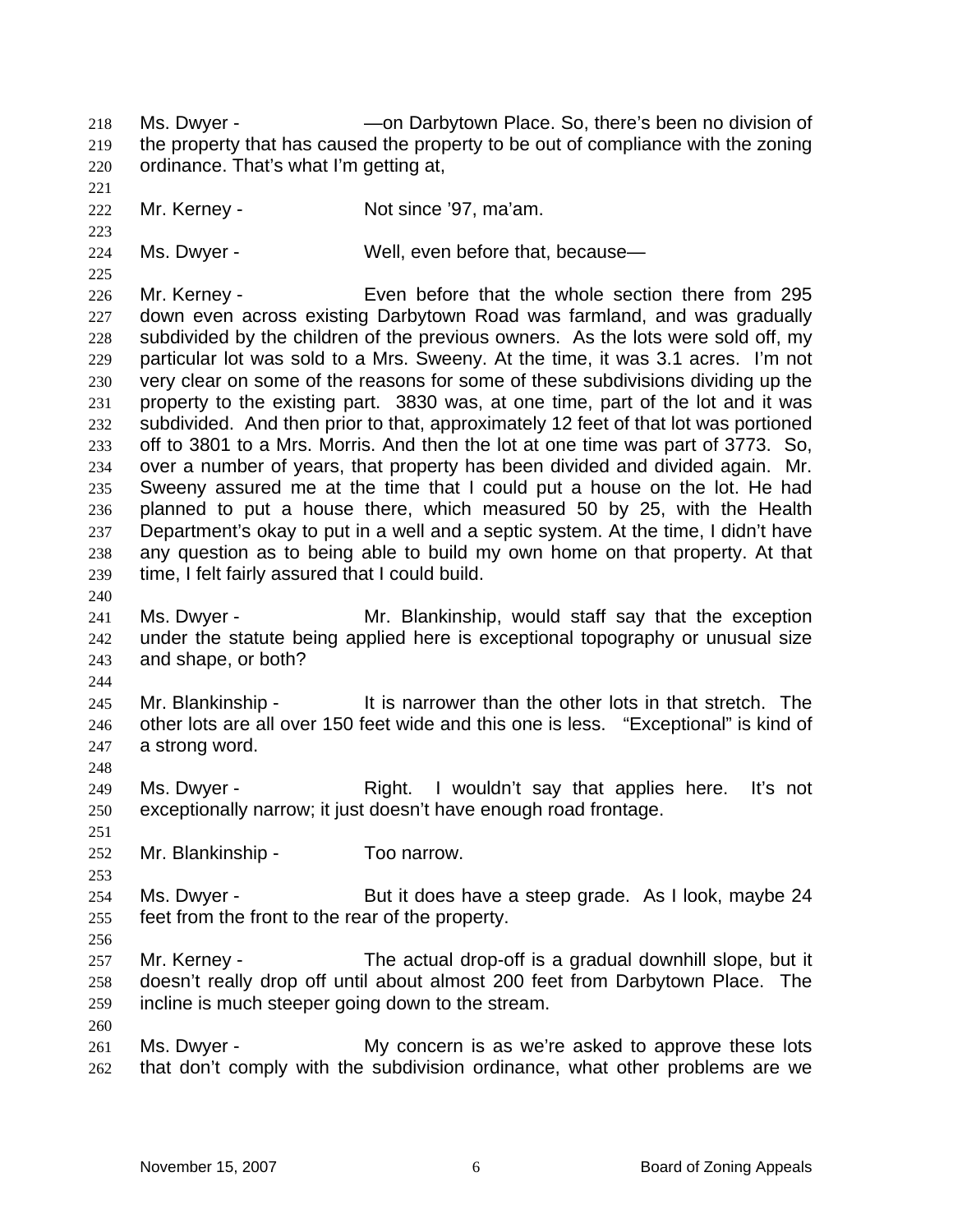Ms. Dwyer - —on Darbytown Place. So, there's been no division of the property that has caused the property to be out of compliance with the zoning ordinance. That's what I'm getting at, 218 219 220

221

223

225

222 Mr. Kerney - **Not since '97, ma'am.** 

224 Ms. Dwyer - Well, even before that, because—

226 227 228 229 230 231 232 233 234 235 236 237 238 239 Mr. Kerney - Even before that the whole section there from 295 down even across existing Darbytown Road was farmland, and was gradually subdivided by the children of the previous owners. As the lots were sold off, my particular lot was sold to a Mrs. Sweeny. At the time, it was 3.1 acres. I'm not very clear on some of the reasons for some of these subdivisions dividing up the property to the existing part. 3830 was, at one time, part of the lot and it was subdivided. And then prior to that, approximately 12 feet of that lot was portioned off to 3801 to a Mrs. Morris. And then the lot at one time was part of 3773. So, over a number of years, that property has been divided and divided again. Mr. Sweeny assured me at the time that I could put a house on the lot. He had planned to put a house there, which measured 50 by 25, with the Health Department's okay to put in a well and a septic system. At the time, I didn't have any question as to being able to build my own home on that property. At that time, I felt fairly assured that I could build.

240

241 242 243 Ms. Dwyer - Mr. Blankinship, would staff say that the exception under the statute being applied here is exceptional topography or unusual size and shape, or both?

244

248

251

253

245 246 247 Mr. Blankinship - The state is narrower than the other lots in that stretch. The other lots are all over 150 feet wide and this one is less. "Exceptional" is kind of a strong word.

249 250 Ms. Dwyer - The Right. I wouldn't say that applies here. It's not exceptionally narrow; it just doesn't have enough road frontage.

252 Mr. Blankinship - Too narrow.

254 255 Ms. Dwyer - But it does have a steep grade. As I look, maybe 24 feet from the front to the rear of the property.

256

260

257 258 259 Mr. Kerney - The actual drop-off is a gradual downhill slope, but it doesn't really drop off until about almost 200 feet from Darbytown Place. The incline is much steeper going down to the stream.

261 262 Ms. Dwyer - The My concern is as we're asked to approve these lots that don't comply with the subdivision ordinance, what other problems are we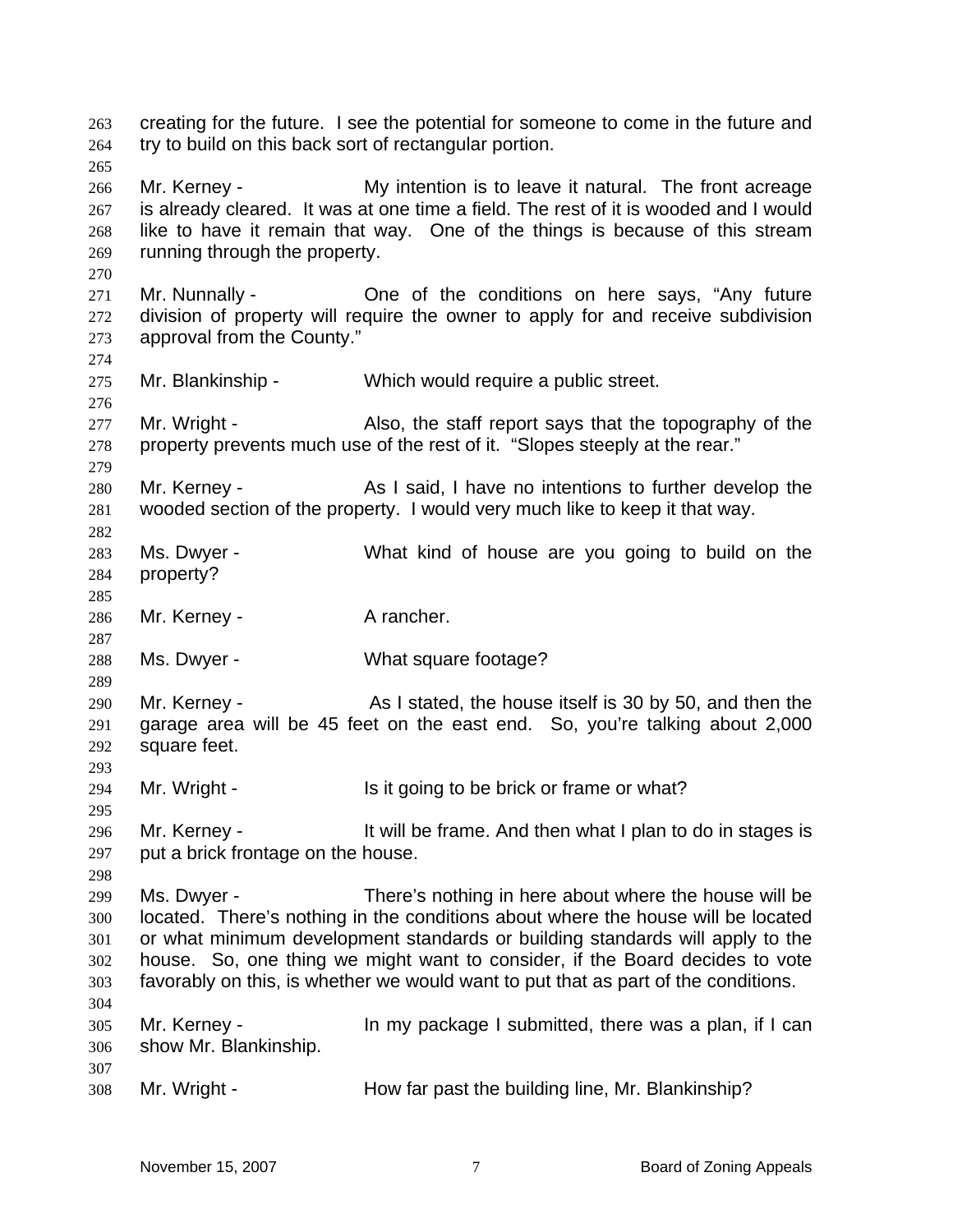creating for the future. I see the potential for someone to come in the future and try to build on this back sort of rectangular portion. 263 264 265 266 267 268 269 270 271 272 273 274 275 276 277 278 279 280 281 282 283 284 285 286 287 288 289 290 291 292 293 294 295 296 297 298 299 300 301 302 303 304 305 306 307 308 Mr. Kerney - My intention is to leave it natural. The front acreage is already cleared. It was at one time a field. The rest of it is wooded and I would like to have it remain that way. One of the things is because of this stream running through the property. Mr. Nunnally - One of the conditions on here says, "Any future division of property will require the owner to apply for and receive subdivision approval from the County." Mr. Blankinship - Which would require a public street. Mr. Wright - Also, the staff report says that the topography of the property prevents much use of the rest of it. "Slopes steeply at the rear." Mr. Kerney - As I said, I have no intentions to further develop the wooded section of the property. I would very much like to keep it that way. Ms. Dwyer - What kind of house are you going to build on the property? Mr. Kerney - A rancher. Ms. Dwyer - What square footage? Mr. Kerney - The As I stated, the house itself is 30 by 50, and then the garage area will be 45 feet on the east end. So, you're talking about 2,000 square feet. Mr. Wright - Is it going to be brick or frame or what? Mr. Kerney - The State of the frame. And then what I plan to do in stages is put a brick frontage on the house. Ms. Dwyer - There's nothing in here about where the house will be located. There's nothing in the conditions about where the house will be located or what minimum development standards or building standards will apply to the house. So, one thing we might want to consider, if the Board decides to vote favorably on this, is whether we would want to put that as part of the conditions. Mr. Kerney - In my package I submitted, there was a plan, if I can show Mr. Blankinship. Mr. Wright - The How far past the building line, Mr. Blankinship?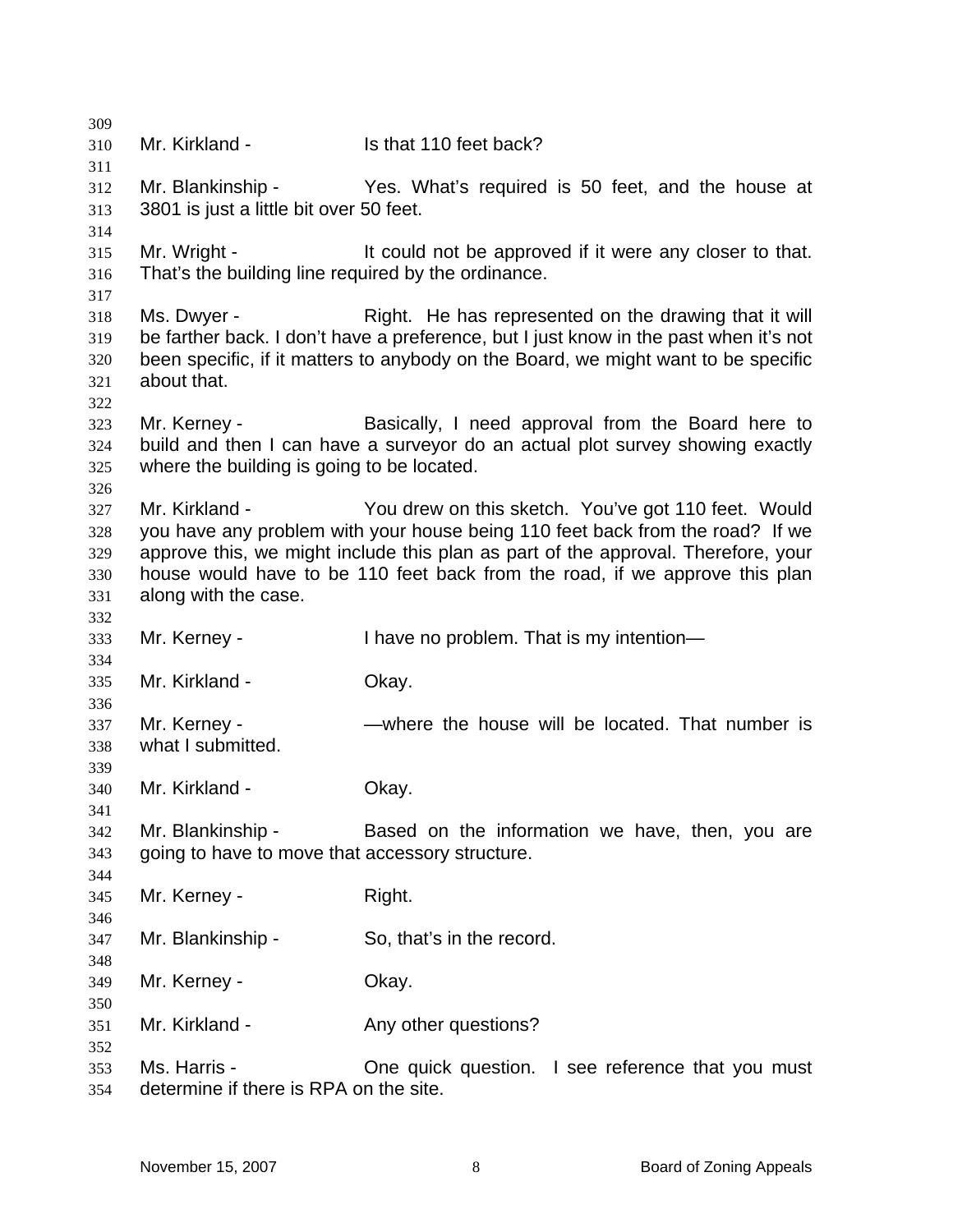| 309 |                                                     |                                                                                       |
|-----|-----------------------------------------------------|---------------------------------------------------------------------------------------|
| 310 | Mr. Kirkland -                                      | Is that 110 feet back?                                                                |
| 311 |                                                     |                                                                                       |
| 312 | Mr. Blankinship -                                   | Yes. What's required is 50 feet, and the house at                                     |
| 313 | 3801 is just a little bit over 50 feet.             |                                                                                       |
| 314 |                                                     |                                                                                       |
| 315 | Mr. Wright -                                        | It could not be approved if it were any closer to that.                               |
| 316 | That's the building line required by the ordinance. |                                                                                       |
| 317 |                                                     |                                                                                       |
| 318 | Ms. Dwyer -                                         | Right. He has represented on the drawing that it will                                 |
| 319 |                                                     | be farther back. I don't have a preference, but I just know in the past when it's not |
| 320 |                                                     | been specific, if it matters to anybody on the Board, we might want to be specific    |
| 321 | about that.                                         |                                                                                       |
| 322 |                                                     |                                                                                       |
| 323 | Mr. Kerney -                                        | Basically, I need approval from the Board here to                                     |
| 324 |                                                     | build and then I can have a surveyor do an actual plot survey showing exactly         |
| 325 | where the building is going to be located.          |                                                                                       |
| 326 |                                                     |                                                                                       |
| 327 | Mr. Kirkland -                                      | You drew on this sketch. You've got 110 feet. Would                                   |
| 328 |                                                     | you have any problem with your house being 110 feet back from the road? If we         |
| 329 |                                                     | approve this, we might include this plan as part of the approval. Therefore, your     |
| 330 |                                                     | house would have to be 110 feet back from the road, if we approve this plan           |
| 331 | along with the case.                                |                                                                                       |
| 332 |                                                     |                                                                                       |
| 333 | Mr. Kerney -                                        | I have no problem. That is my intention-                                              |
| 334 |                                                     |                                                                                       |
| 335 | Mr. Kirkland -                                      | Okay.                                                                                 |
| 336 |                                                     |                                                                                       |
| 337 | Mr. Kerney -                                        | —where the house will be located. That number is                                      |
| 338 | what I submitted.                                   |                                                                                       |
| 339 |                                                     |                                                                                       |
| 340 | Mr. Kirkland -                                      | Okay.                                                                                 |
| 341 |                                                     |                                                                                       |
| 342 | Mr. Blankinship -                                   | Based on the information we have, then, you are                                       |
| 343 | going to have to move that accessory structure.     |                                                                                       |
| 344 |                                                     |                                                                                       |
| 345 | Mr. Kerney -                                        | Right.                                                                                |
| 346 |                                                     |                                                                                       |
| 347 | Mr. Blankinship -                                   | So, that's in the record.                                                             |
| 348 |                                                     |                                                                                       |
| 349 | Mr. Kerney -                                        | Okay.                                                                                 |
| 350 |                                                     |                                                                                       |
| 351 | Mr. Kirkland -                                      | Any other questions?                                                                  |
| 352 |                                                     |                                                                                       |
| 353 | Ms. Harris -                                        | One quick question. I see reference that you must                                     |
| 354 | determine if there is RPA on the site.              |                                                                                       |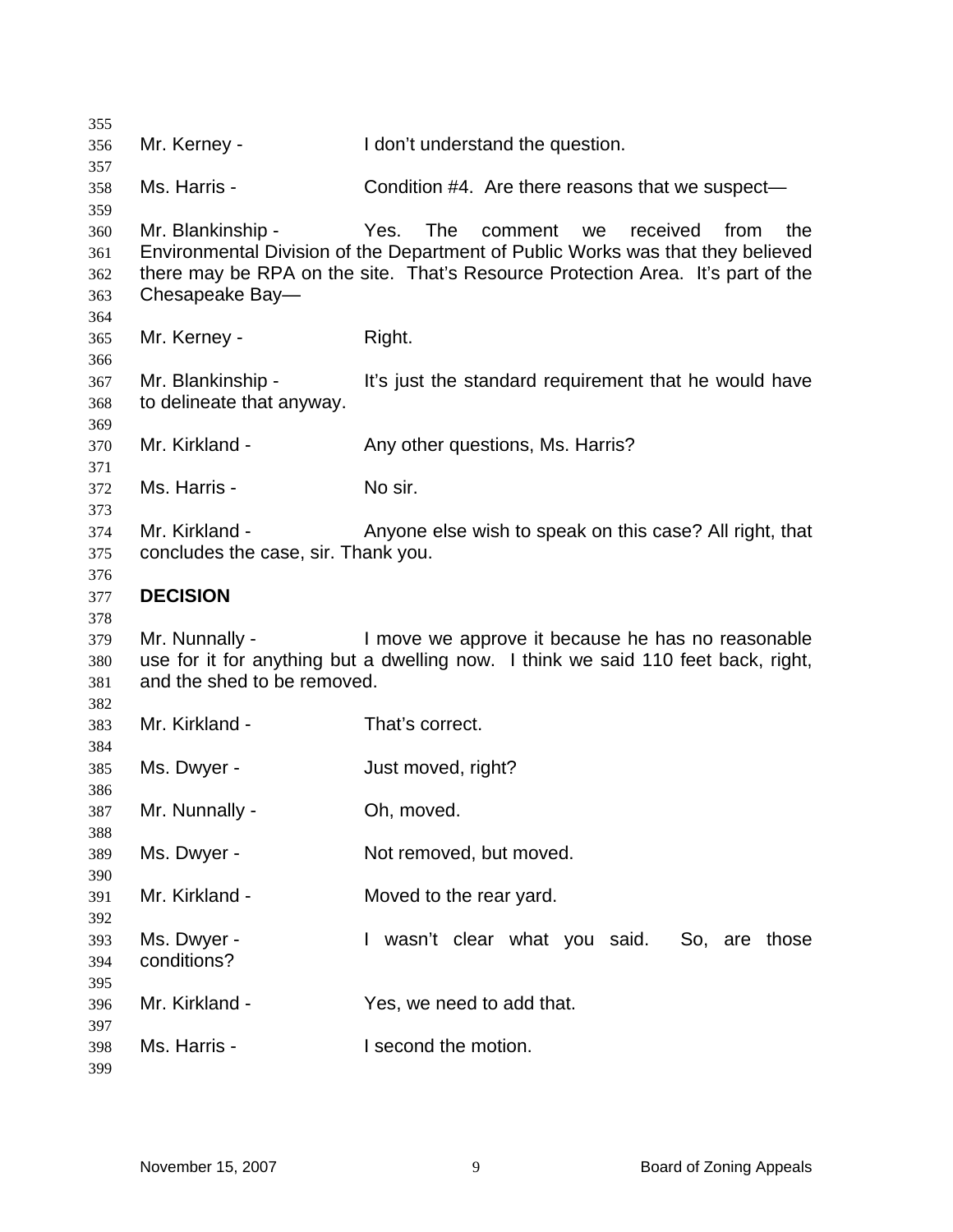| 355        |                                     |                                                                                   |
|------------|-------------------------------------|-----------------------------------------------------------------------------------|
| 356        | Mr. Kerney -                        | I don't understand the question.                                                  |
| 357        |                                     |                                                                                   |
| 358        | Ms. Harris -                        | Condition #4. Are there reasons that we suspect—                                  |
| 359        |                                     |                                                                                   |
| 360        | Mr. Blankinship -                   | The<br>Yes.<br>received<br>comment<br>from<br>the<br>we                           |
| 361        |                                     | Environmental Division of the Department of Public Works was that they believed   |
| 362        |                                     | there may be RPA on the site. That's Resource Protection Area. It's part of the   |
| 363        | Chesapeake Bay-                     |                                                                                   |
| 364        |                                     |                                                                                   |
| 365        | Mr. Kerney -                        | Right.                                                                            |
| 366        |                                     |                                                                                   |
| 367        | Mr. Blankinship -                   | It's just the standard requirement that he would have                             |
| 368        | to delineate that anyway.           |                                                                                   |
| 369        |                                     |                                                                                   |
| 370        | Mr. Kirkland -                      | Any other questions, Ms. Harris?                                                  |
| 371        | Ms. Harris -                        | No sir.                                                                           |
| 372        |                                     |                                                                                   |
| 373        | Mr. Kirkland -                      | Anyone else wish to speak on this case? All right, that                           |
| 374<br>375 | concludes the case, sir. Thank you. |                                                                                   |
| 376        |                                     |                                                                                   |
| 377        | <b>DECISION</b>                     |                                                                                   |
| 378        |                                     |                                                                                   |
| 379        | Mr. Nunnally -                      | I move we approve it because he has no reasonable                                 |
| 380        |                                     | use for it for anything but a dwelling now. I think we said 110 feet back, right, |
| 381        | and the shed to be removed.         |                                                                                   |
| 382        |                                     |                                                                                   |
| 383        | Mr. Kirkland -                      | That's correct.                                                                   |
| 384        |                                     |                                                                                   |
| 385        | Ms. Dwyer -                         | Just moved, right?                                                                |
| 386        |                                     |                                                                                   |
| 387        | Mr. Nunnally -                      | Oh, moved.                                                                        |
| 388        |                                     |                                                                                   |
| 389        | Ms. Dwyer -                         | Not removed, but moved.                                                           |
| 390        |                                     |                                                                                   |
| 391        | Mr. Kirkland -                      | Moved to the rear yard.                                                           |
| 392        |                                     |                                                                                   |
| 393        | Ms. Dwyer -                         | I wasn't clear what you said.<br>So, are those                                    |
| 394        | conditions?                         |                                                                                   |
| 395        |                                     |                                                                                   |
| 396        | Mr. Kirkland -                      | Yes, we need to add that.                                                         |
| 397        |                                     |                                                                                   |
| 398        | Ms. Harris -                        | I second the motion.                                                              |
| 399        |                                     |                                                                                   |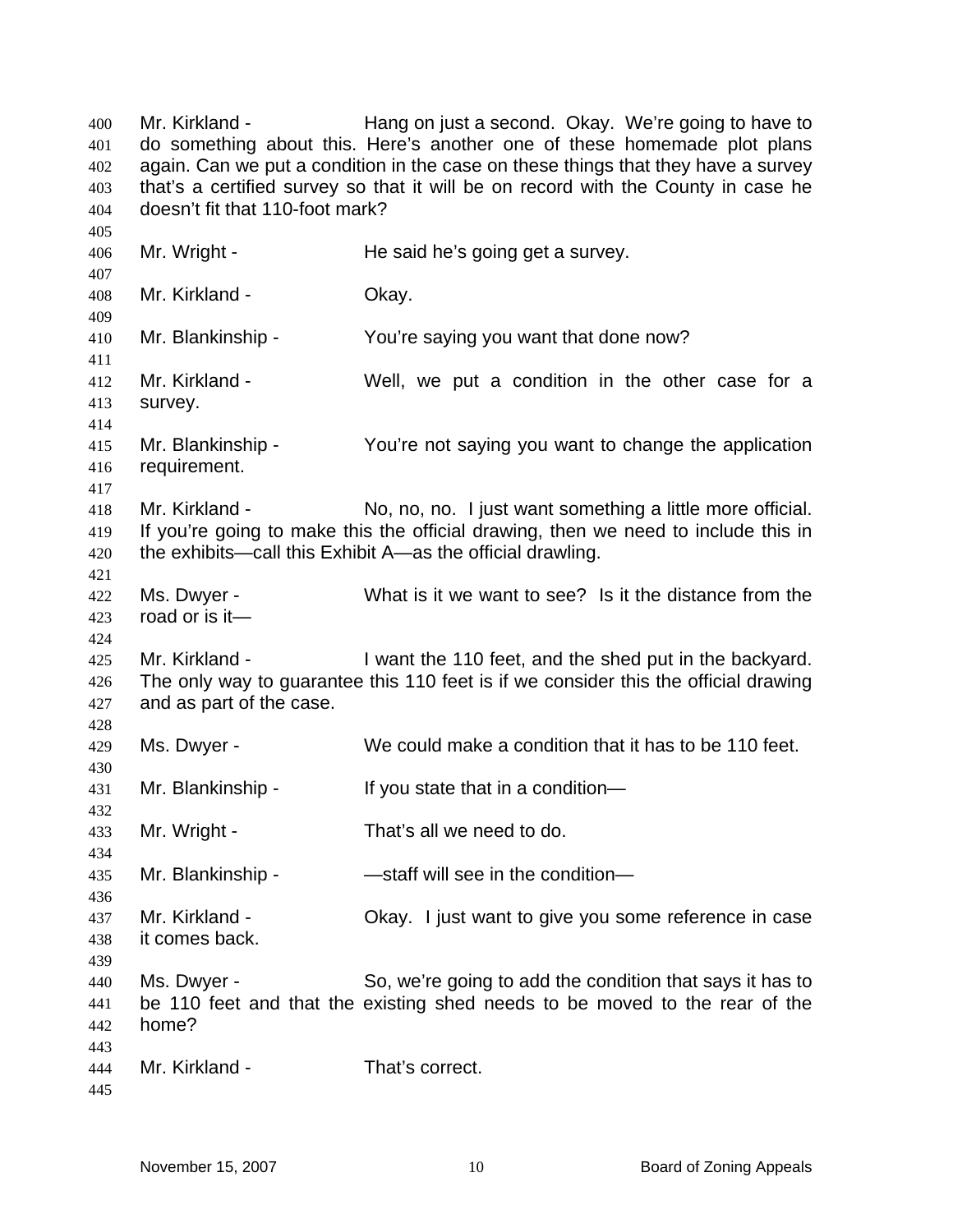Mr. Kirkland - Thang on just a second. Okay. We're going to have to do something about this. Here's another one of these homemade plot plans again. Can we put a condition in the case on these things that they have a survey that's a certified survey so that it will be on record with the County in case he doesn't fit that 110-foot mark? 400 401 402 403 404 405 406 407 408 409 410 411 412 413 414 415 416 417 418 419 420 421 422 423  $424$ 425 426 427 428 429 430 431 432 433 434 435 436 437 438 439 440 441 442 443 444 445 Mr. Wright - He said he's going get a survey. Mr. Kirkland - **Okay.** Mr. Blankinship - You're saying you want that done now? Mr. Kirkland - Well, we put a condition in the other case for a survey. Mr. Blankinship - You're not saying you want to change the application requirement. Mr. Kirkland - No, no, no. I just want something a little more official. If you're going to make this the official drawing, then we need to include this in the exhibits—call this Exhibit A—as the official drawling. Ms. Dwyer - What is it we want to see? Is it the distance from the road or is it— Mr. Kirkland - I want the 110 feet, and the shed put in the backyard. The only way to guarantee this 110 feet is if we consider this the official drawing and as part of the case. Ms. Dwyer - We could make a condition that it has to be 110 feet. Mr. Blankinship - If you state that in a condition— Mr. Wright - That's all we need to do. Mr. Blankinship - The Staff will see in the condition-Mr. Kirkland - Chay. I just want to give you some reference in case it comes back. Ms. Dwyer - So, we're going to add the condition that says it has to be 110 feet and that the existing shed needs to be moved to the rear of the home? Mr. Kirkland - That's correct.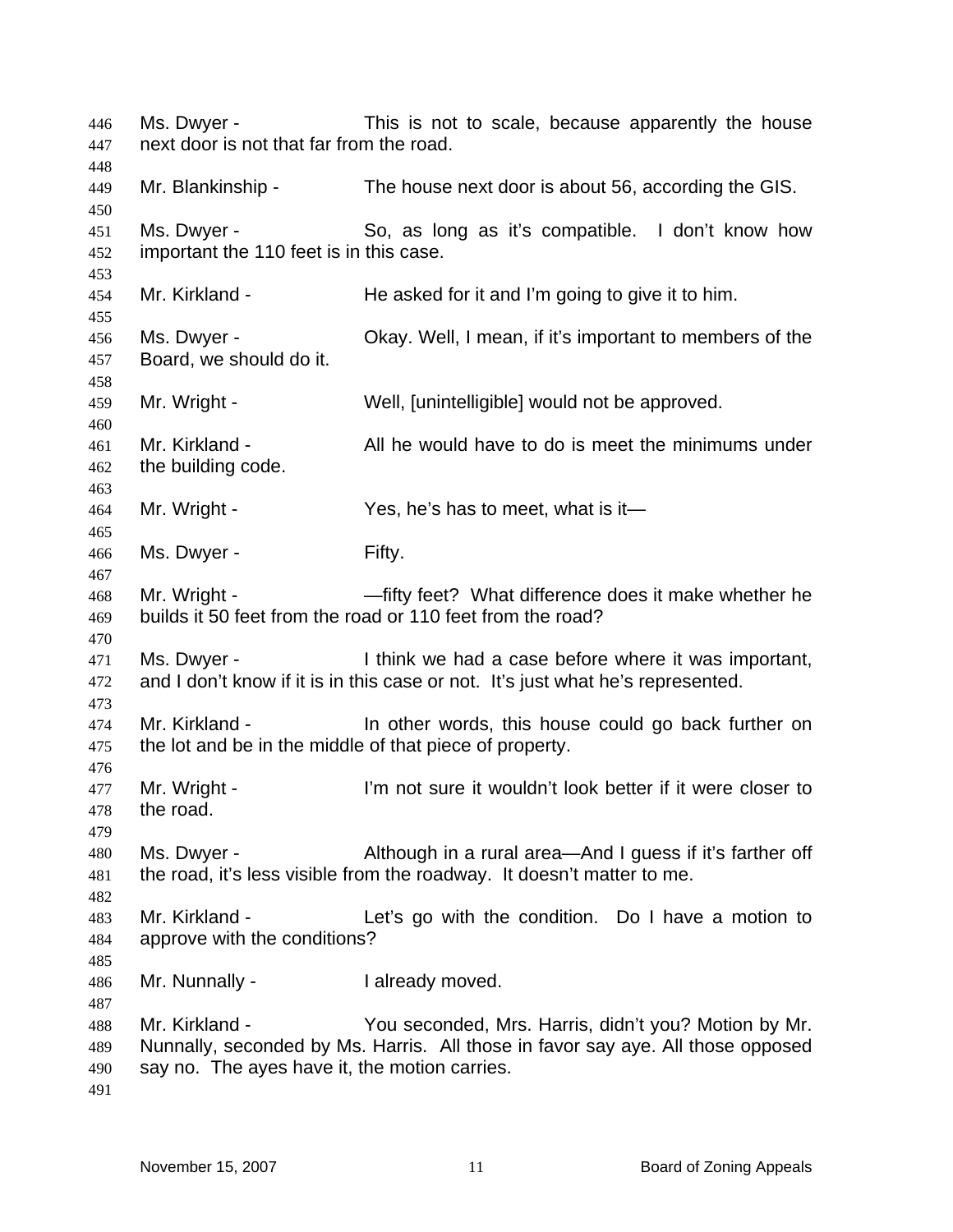Ms. Dwyer - This is not to scale, because apparently the house next door is not that far from the road. Mr. Blankinship - The house next door is about 56, according the GIS. Ms. Dwyer - So, as long as it's compatible. I don't know how important the 110 feet is in this case. Mr. Kirkland - He asked for it and I'm going to give it to him. Ms. Dwyer - Okay. Well, I mean, if it's important to members of the Board, we should do it. Mr. Wright - Well, [unintelligible] would not be approved. Mr. Kirkland - All he would have to do is meet the minimums under the building code. Mr. Wright - Yes, he's has to meet, what is it— Ms. Dwyer - Fifty. Mr. Wright - — —fifty feet? What difference does it make whether he builds it 50 feet from the road or 110 feet from the road? Ms. Dwyer - I think we had a case before where it was important, and I don't know if it is in this case or not. It's just what he's represented. Mr. Kirkland - The other words, this house could go back further on the lot and be in the middle of that piece of property. Mr. Wright - I'm not sure it wouldn't look better if it were closer to the road. Ms. Dwyer - Although in a rural area—And I guess if it's farther off the road, it's less visible from the roadway. It doesn't matter to me. Mr. Kirkland - Let's go with the condition. Do I have a motion to approve with the conditions? Mr. Nunnally - **I** already moved. Mr. Kirkland - You seconded, Mrs. Harris, didn't you? Motion by Mr. Nunnally, seconded by Ms. Harris. All those in favor say aye. All those opposed say no. The ayes have it, the motion carries.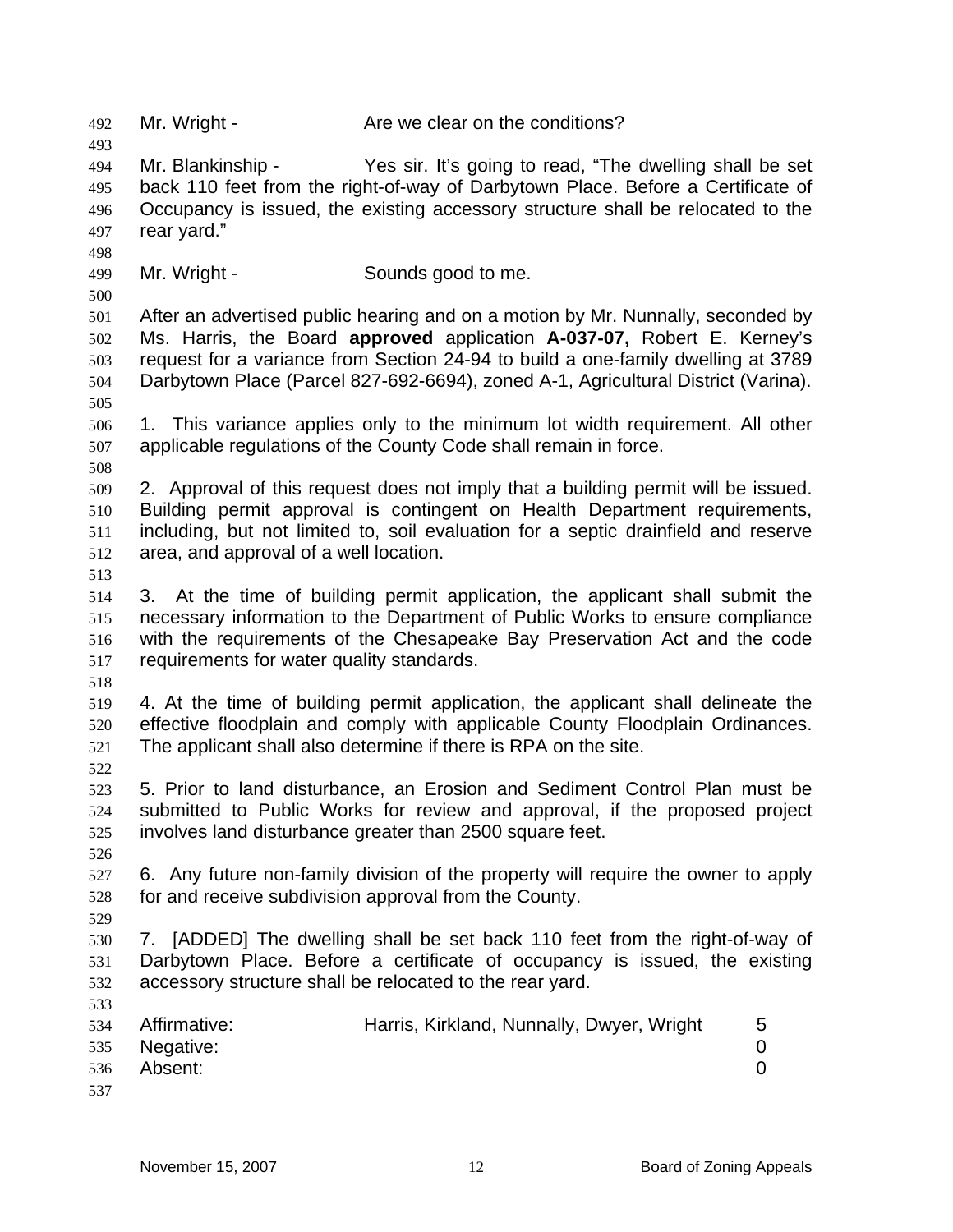493 494 495 496 497 498 499 500 501 502 503 504 505 506 507 508 509 510 511 512 513 514 515 516 517 518 519 520 521 522 Mr. Blankinship - Yes sir. It's going to read, "The dwelling shall be set back 110 feet from the right-of-way of Darbytown Place. Before a Certificate of Occupancy is issued, the existing accessory structure shall be relocated to the rear yard." Mr. Wright - Sounds good to me. After an advertised public hearing and on a motion by Mr. Nunnally, seconded by Ms. Harris, the Board **approved** application **A-037-07,** Robert E. Kerney's request for a variance from Section 24-94 to build a one-family dwelling at 3789 Darbytown Place (Parcel 827-692-6694), zoned A-1, Agricultural District (Varina). 1. This variance applies only to the minimum lot width requirement. All other applicable regulations of the County Code shall remain in force. 2. Approval of this request does not imply that a building permit will be issued. Building permit approval is contingent on Health Department requirements, including, but not limited to, soil evaluation for a septic drainfield and reserve area, and approval of a well location. 3. At the time of building permit application, the applicant shall submit the necessary information to the Department of Public Works to ensure compliance with the requirements of the Chesapeake Bay Preservation Act and the code requirements for water quality standards. 4. At the time of building permit application, the applicant shall delineate the effective floodplain and comply with applicable County Floodplain Ordinances. The applicant shall also determine if there is RPA on the site. 5. Prior to land disturbance, an Erosion and Sediment Control Plan must be

492 Mr. Wright - Are we clear on the conditions?

523 524 525 submitted to Public Works for review and approval, if the proposed project involves land disturbance greater than 2500 square feet.

526

529

533

527 528 6. Any future non-family division of the property will require the owner to apply for and receive subdivision approval from the County.

530 531 532 7. [ADDED] The dwelling shall be set back 110 feet from the right-of-way of Darbytown Place. Before a certificate of occupancy is issued, the existing accessory structure shall be relocated to the rear yard.

| 534 | Affirmative:  | Harris, Kirkland, Nunnally, Dwyer, Wright | 5 |
|-----|---------------|-------------------------------------------|---|
|     | 535 Negative: |                                           |   |
| 536 | Absent:       |                                           |   |
| 537 |               |                                           |   |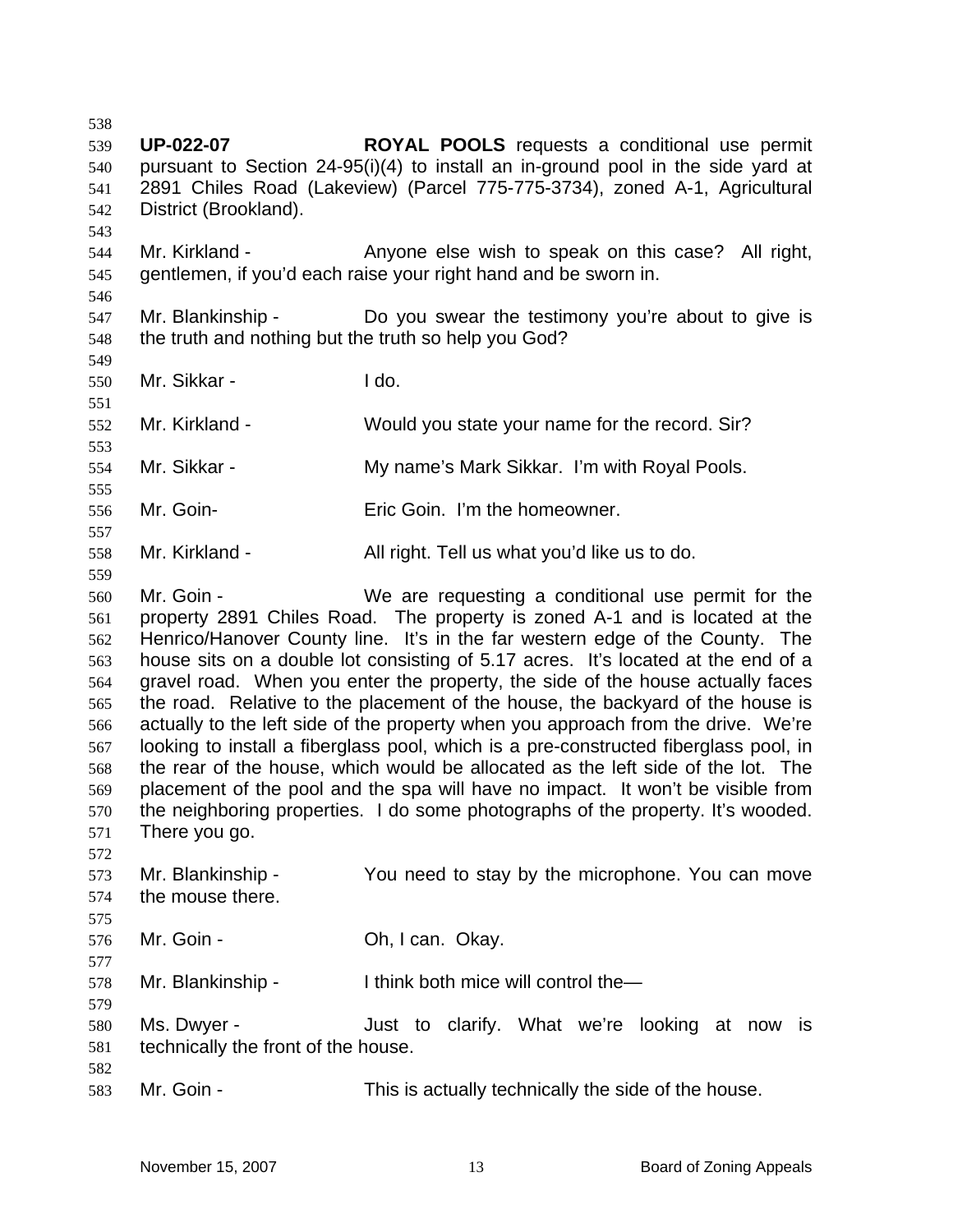538 539 540 541 542 543 544 545 546 547 548 549 550 551 552 553 554 555 556 557 558 559 560 561 562 563 564 565 566 567 568 569 570 571 572 573 574 575 576 577 578 579 580 581 582 583 **UP-022-07 ROYAL POOLS** requests a conditional use permit pursuant to Section 24-95(i)(4) to install an in-ground pool in the side yard at 2891 Chiles Road (Lakeview) (Parcel 775-775-3734), zoned A-1, Agricultural District (Brookland). Mr. Kirkland - Anyone else wish to speak on this case? All right, gentlemen, if you'd each raise your right hand and be sworn in. Mr. Blankinship - The Do you swear the testimony you're about to give is the truth and nothing but the truth so help you God? Mr. Sikkar - I do. Mr. Kirkland - Would you state your name for the record. Sir? Mr. Sikkar - My name's Mark Sikkar. I'm with Royal Pools. Mr. Goin- Eric Goin. I'm the homeowner. Mr. Kirkland - All right. Tell us what you'd like us to do. Mr. Goin - We are requesting a conditional use permit for the property 2891 Chiles Road. The property is zoned A-1 and is located at the Henrico/Hanover County line. It's in the far western edge of the County. The house sits on a double lot consisting of 5.17 acres. It's located at the end of a gravel road. When you enter the property, the side of the house actually faces the road. Relative to the placement of the house, the backyard of the house is actually to the left side of the property when you approach from the drive. We're looking to install a fiberglass pool, which is a pre-constructed fiberglass pool, in the rear of the house, which would be allocated as the left side of the lot. The placement of the pool and the spa will have no impact. It won't be visible from the neighboring properties. I do some photographs of the property. It's wooded. There you go. Mr. Blankinship - You need to stay by the microphone. You can move the mouse there. Mr. Goin - Ch, I can. Okay. Mr. Blankinship - I think both mice will control the— Ms. Dwyer - The Solution Clarify. What we're looking at now is technically the front of the house. Mr. Goin - This is actually technically the side of the house.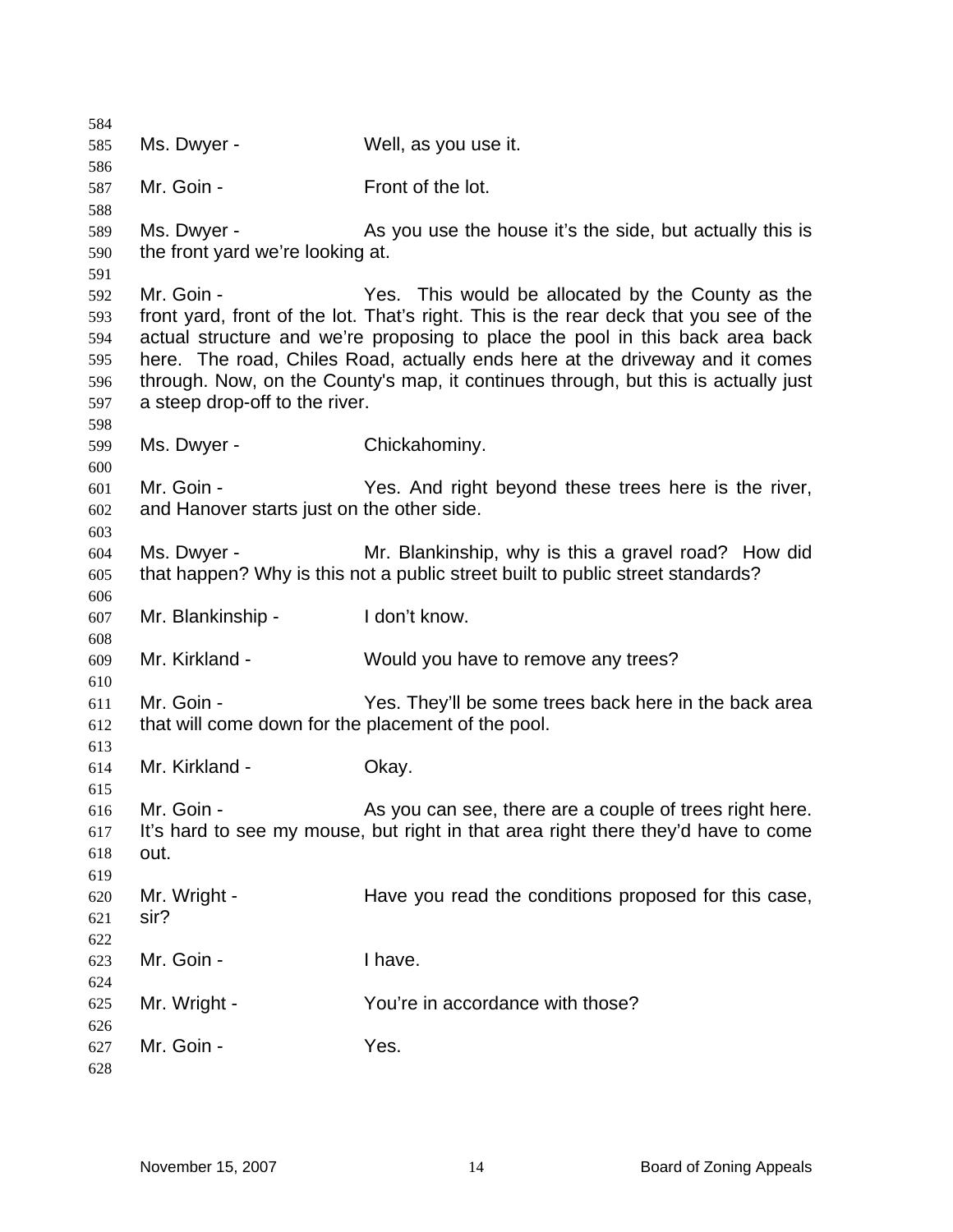Ms. Dwyer - Well, as you use it. Mr. Goin - Front of the lot. Ms. Dwyer - As you use the house it's the side, but actually this is the front yard we're looking at. Mr. Goin - Yes. This would be allocated by the County as the front yard, front of the lot. That's right. This is the rear deck that you see of the actual structure and we're proposing to place the pool in this back area back here. The road, Chiles Road, actually ends here at the driveway and it comes through. Now, on the County's map, it continues through, but this is actually just a steep drop-off to the river. Ms. Dwyer - Chickahominy. Mr. Goin - Yes. And right beyond these trees here is the river, and Hanover starts just on the other side. Ms. Dwyer - Mr. Blankinship, why is this a gravel road? How did that happen? Why is this not a public street built to public street standards? Mr. Blankinship - I don't know. Mr. Kirkland - Would you have to remove any trees? Mr. Goin - Yes. They'll be some trees back here in the back area that will come down for the placement of the pool. Mr. Kirkland - **Okay.** Mr. Goin - The As you can see, there are a couple of trees right here. It's hard to see my mouse, but right in that area right there they'd have to come out. Mr. Wright - Have you read the conditions proposed for this case, sir? Mr. Goin - Thave. Mr. Wright - The You're in accordance with those? Mr. Goin - The Mes.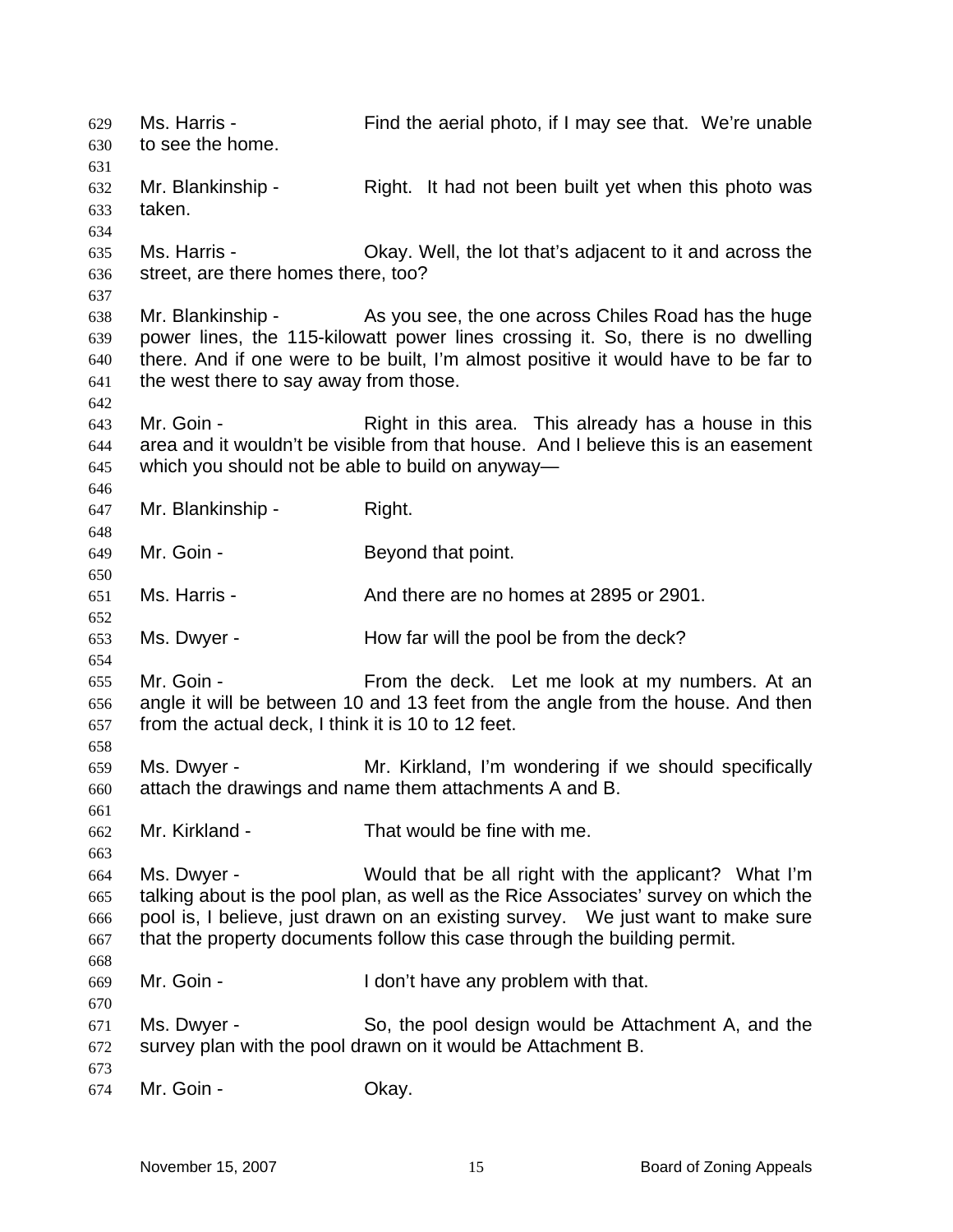Ms. Harris - Find the aerial photo, if I may see that. We're unable to see the home. 629 630 631 632 633 634 635 636 637 638 639 640 641 642 643 644 645 646 647 648 649 650 651 652 653 654 655 656 657 658 659 660 661 662 663 664 665 666 667 668 669 670 671 672 673 674 Mr. Blankinship - Right. It had not been built yet when this photo was taken. Ms. Harris - Okay. Well, the lot that's adjacent to it and across the street, are there homes there, too? Mr. Blankinship - As you see, the one across Chiles Road has the huge power lines, the 115-kilowatt power lines crossing it. So, there is no dwelling there. And if one were to be built, I'm almost positive it would have to be far to the west there to say away from those. Mr. Goin - This area. This already has a house in this area and it wouldn't be visible from that house. And I believe this is an easement which you should not be able to build on anyway— Mr. Blankinship - Right. Mr. Goin - Beyond that point. Ms. Harris - The Contract And there are no homes at 2895 or 2901. Ms. Dwyer - How far will the pool be from the deck? Mr. Goin - From the deck. Let me look at my numbers. At an angle it will be between 10 and 13 feet from the angle from the house. And then from the actual deck, I think it is 10 to 12 feet. Ms. Dwyer - **Mr. Kirkland, I'm wondering if we should specifically** attach the drawings and name them attachments A and B. Mr. Kirkland - That would be fine with me. Ms. Dwyer - Would that be all right with the applicant? What I'm talking about is the pool plan, as well as the Rice Associates' survey on which the pool is, I believe, just drawn on an existing survey. We just want to make sure that the property documents follow this case through the building permit. Mr. Goin - The Muslim Con't have any problem with that. Ms. Dwyer - So, the pool design would be Attachment A, and the survey plan with the pool drawn on it would be Attachment B. Mr. Goin - Chay.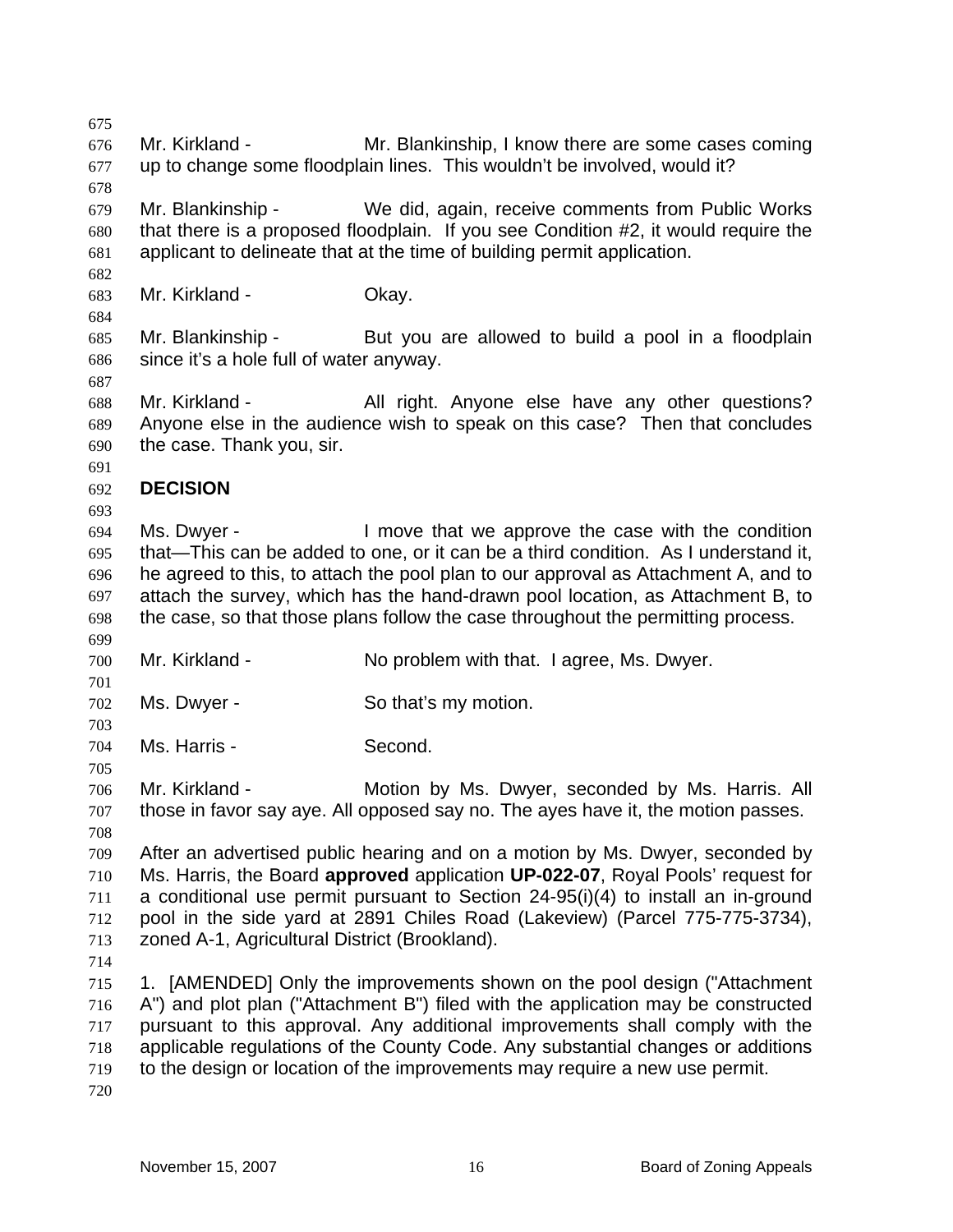675 676 677 678 679 680 681 682 683 684 685 686 687 688 689 690 691 692 693 694 695 696 697 698 699 700 701 702 703 704 705 706 707 708 709 710 711 712 713 714 715 716 717 718 719 720 Mr. Kirkland - The Mr. Blankinship, I know there are some cases coming up to change some floodplain lines. This wouldn't be involved, would it? Mr. Blankinship - We did, again, receive comments from Public Works that there is a proposed floodplain. If you see Condition #2, it would require the applicant to delineate that at the time of building permit application. Mr. Kirkland - **Okay.** Mr. Blankinship - But you are allowed to build a pool in a floodplain since it's a hole full of water anyway. Mr. Kirkland - All right. Anyone else have any other questions? Anyone else in the audience wish to speak on this case? Then that concludes the case. Thank you, sir. **DECISION**  Ms. Dwyer - The Move that we approve the case with the condition that—This can be added to one, or it can be a third condition. As I understand it, he agreed to this, to attach the pool plan to our approval as Attachment A, and to attach the survey, which has the hand-drawn pool location, as Attachment B, to the case, so that those plans follow the case throughout the permitting process. Mr. Kirkland - The No problem with that. I agree, Ms. Dwyer. Ms. Dwyer - So that's my motion. Ms. Harris - Second. Mr. Kirkland - The Motion by Ms. Dwyer, seconded by Ms. Harris. All those in favor say aye. All opposed say no. The ayes have it, the motion passes. After an advertised public hearing and on a motion by Ms. Dwyer, seconded by Ms. Harris, the Board **approved** application **UP-022-07**, Royal Pools' request for a conditional use permit pursuant to Section 24-95(i)(4) to install an in-ground pool in the side yard at 2891 Chiles Road (Lakeview) (Parcel 775-775-3734), zoned A-1, Agricultural District (Brookland). 1. [AMENDED] Only the improvements shown on the pool design ("Attachment A") and plot plan ("Attachment B") filed with the application may be constructed pursuant to this approval. Any additional improvements shall comply with the applicable regulations of the County Code. Any substantial changes or additions to the design or location of the improvements may require a new use permit.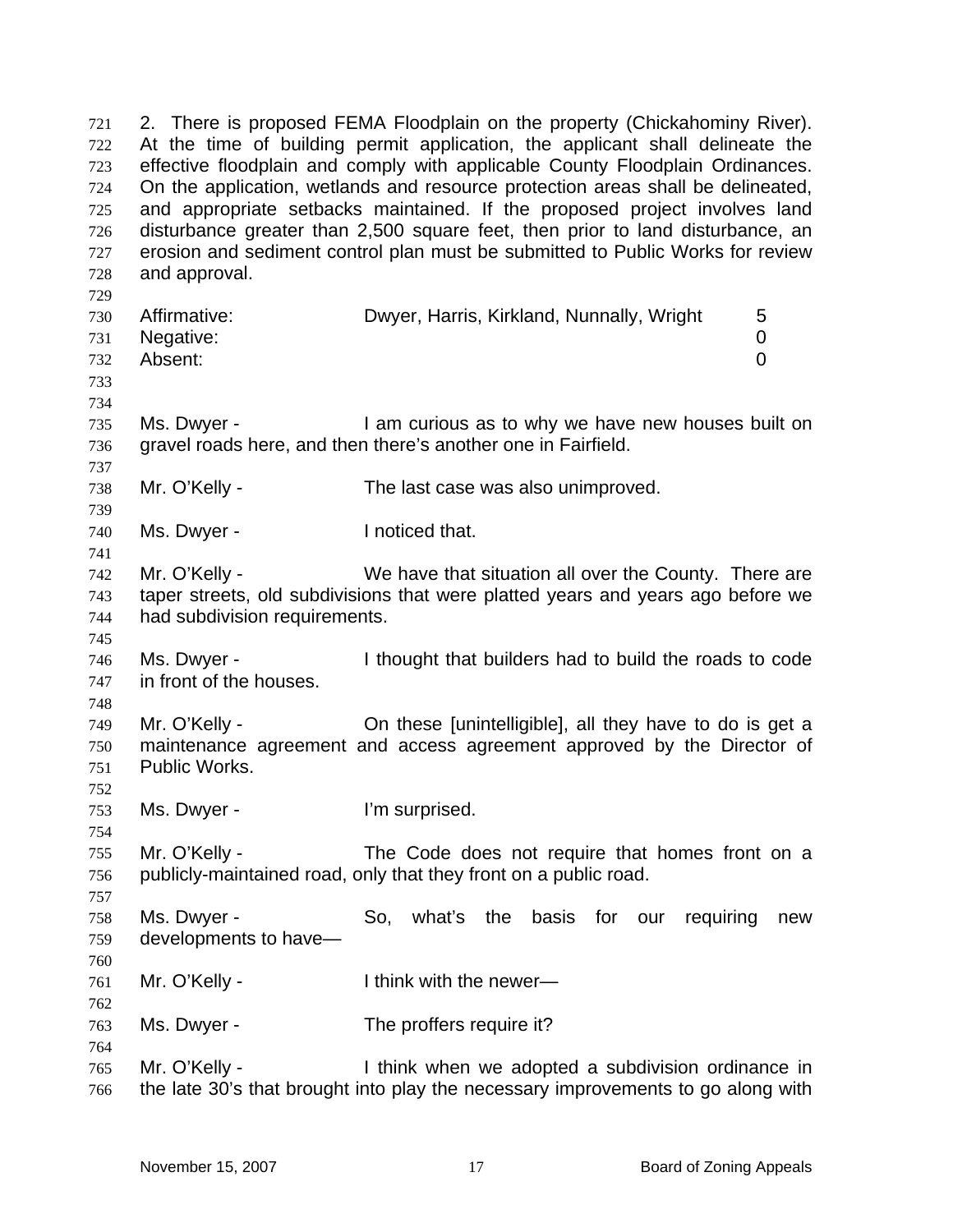2. There is proposed FEMA Floodplain on the property (Chickahominy River). At the time of building permit application, the applicant shall delineate the effective floodplain and comply with applicable County Floodplain Ordinances. On the application, wetlands and resource protection areas shall be delineated, and appropriate setbacks maintained. If the proposed project involves land disturbance greater than 2,500 square feet, then prior to land disturbance, an erosion and sediment control plan must be submitted to Public Works for review and approval. 721 722 723 724 725 726 727 728 729 730 731 732 733 734 735 736 737 738 739 740 741 742 743 744 745 746 747 748 749 750 751 752 753 754 755 756 757 758 759 760 761 762 763 764 765 766 Affirmative: Dwyer, Harris, Kirkland, Nunnally, Wright 5 Negative: 0 Absent: 0 Ms. Dwyer - I am curious as to why we have new houses built on gravel roads here, and then there's another one in Fairfield. Mr. O'Kelly - The last case was also unimproved. Ms. Dwyer - The Inoticed that. Mr. O'Kelly - We have that situation all over the County. There are taper streets, old subdivisions that were platted years and years ago before we had subdivision requirements. Ms. Dwyer - I thought that builders had to build the roads to code in front of the houses. Mr. O'Kelly - On these [unintelligible], all they have to do is get a maintenance agreement and access agreement approved by the Director of Public Works. Ms. Dwyer - The U'm surprised. Mr. O'Kelly - The Code does not require that homes front on a publicly-maintained road, only that they front on a public road. Ms. Dwyer - So, what's the basis for our requiring new developments to have— Mr. O'Kelly - Think with the newer— Ms. Dwyer - The proffers require it? Mr. O'Kelly - I think when we adopted a subdivision ordinance in the late 30's that brought into play the necessary improvements to go along with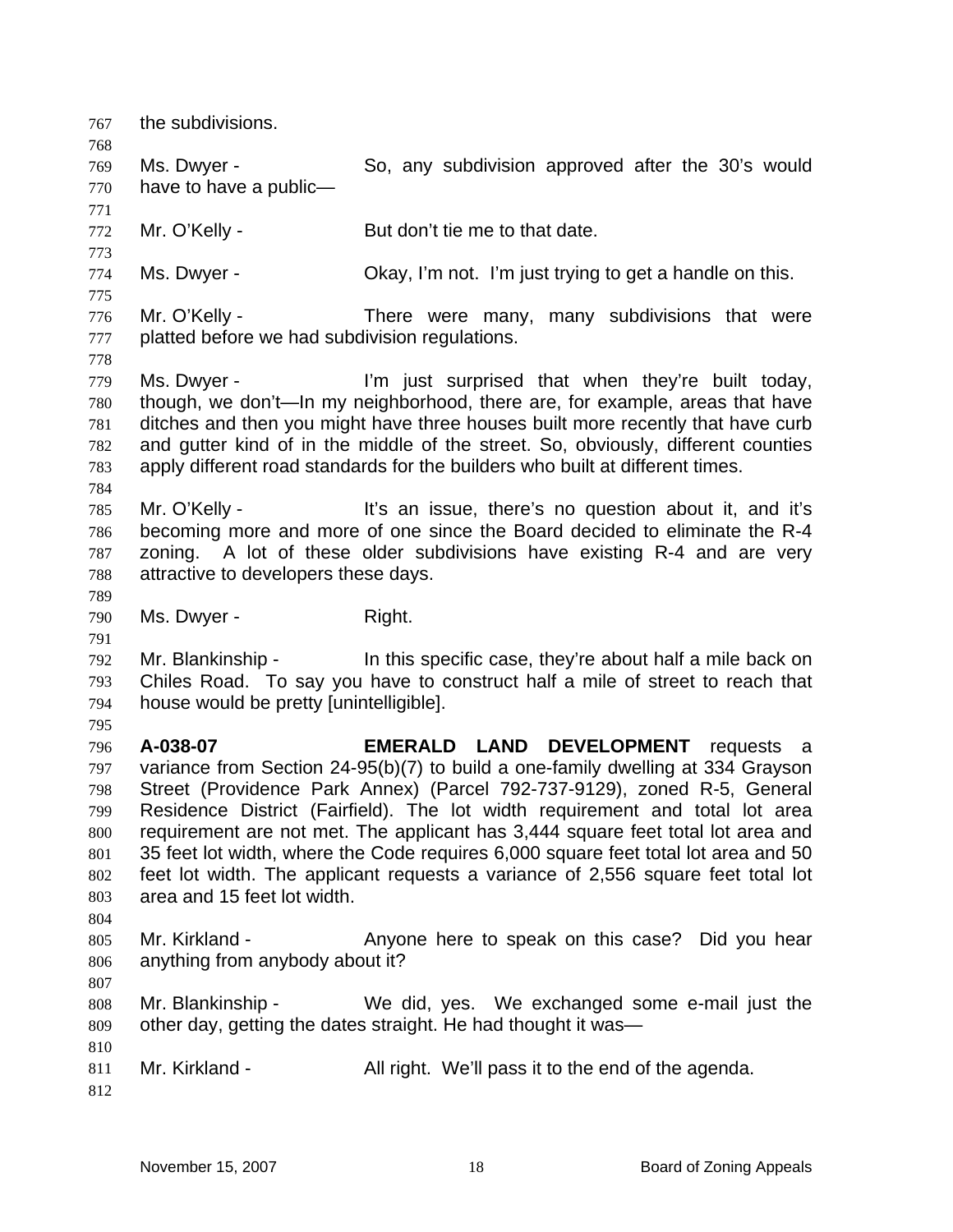767 the subdivisions. 768 769 770 771 772 773 774 775 776 777 778 779 780 781 782 783 784 785 786 787 788 789 790 791 792 793 794 795 796 797 798 799 800 801 802 803 804 805 806 807 808 809 810 811 812 Ms. Dwyer - So, any subdivision approved after the 30's would have to have a public— Mr. O'Kelly - But don't tie me to that date. Ms. Dwyer - Chay, I'm not. I'm just trying to get a handle on this. Mr. O'Kelly - There were many, many subdivisions that were platted before we had subdivision regulations. Ms. Dwyer - I'm just surprised that when they're built today, though, we don't—In my neighborhood, there are, for example, areas that have ditches and then you might have three houses built more recently that have curb and gutter kind of in the middle of the street. So, obviously, different counties apply different road standards for the builders who built at different times. Mr. O'Kelly - The same it's an issue, there's no question about it, and it's becoming more and more of one since the Board decided to eliminate the R-4 zoning. A lot of these older subdivisions have existing R-4 and are very attractive to developers these days. Ms. Dwyer - Right. Mr. Blankinship - In this specific case, they're about half a mile back on Chiles Road. To say you have to construct half a mile of street to reach that house would be pretty [unintelligible]. **A-038-07 EMERALD LAND DEVELOPMENT** requests a variance from Section 24-95(b)(7) to build a one-family dwelling at 334 Grayson Street (Providence Park Annex) (Parcel 792-737-9129), zoned R-5, General Residence District (Fairfield). The lot width requirement and total lot area requirement are not met. The applicant has 3,444 square feet total lot area and 35 feet lot width, where the Code requires 6,000 square feet total lot area and 50 feet lot width. The applicant requests a variance of 2,556 square feet total lot area and 15 feet lot width. Mr. Kirkland - The Anyone here to speak on this case? Did you hear anything from anybody about it? Mr. Blankinship - We did, yes. We exchanged some e-mail just the other day, getting the dates straight. He had thought it was— Mr. Kirkland - All right. We'll pass it to the end of the agenda.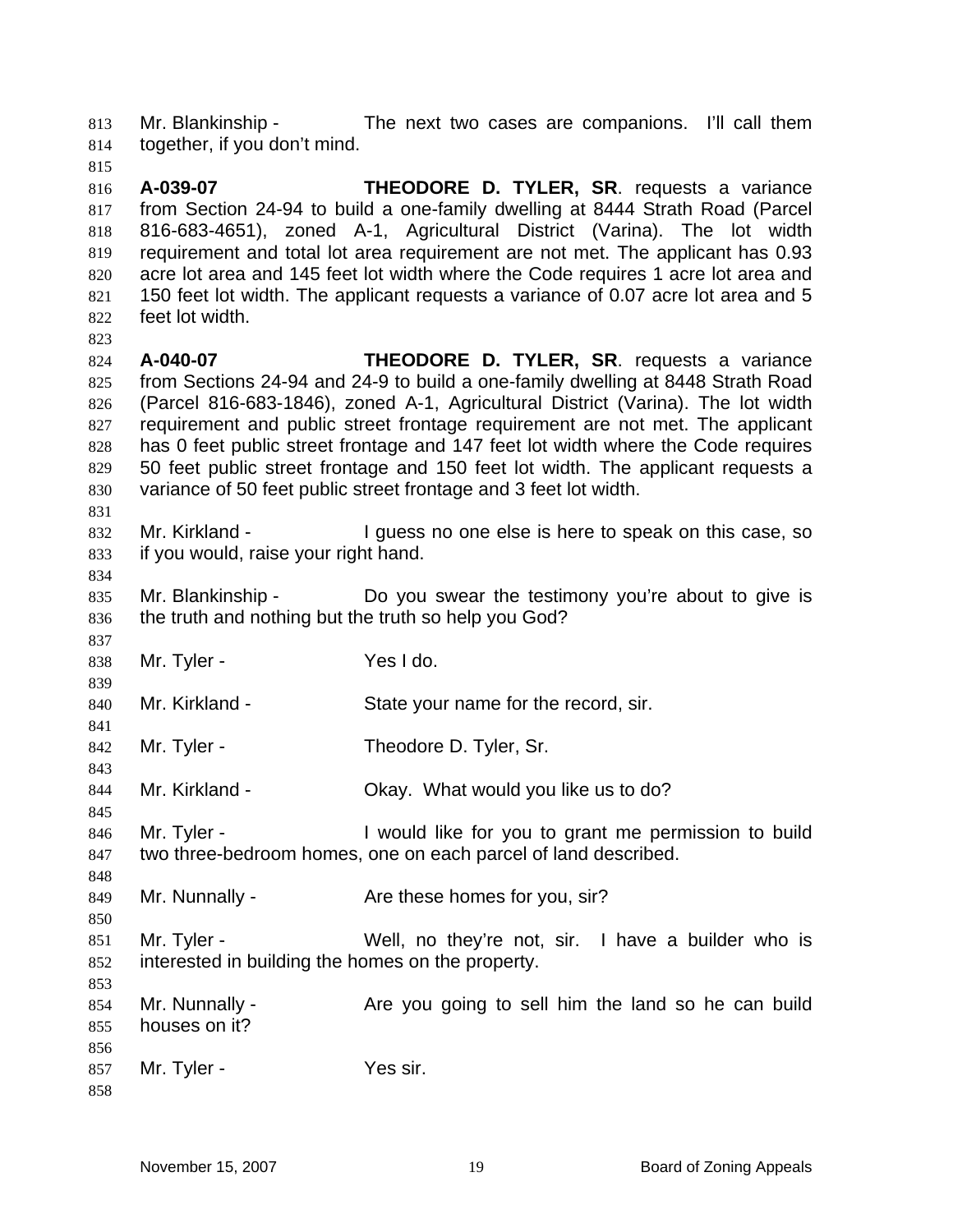Mr. Blankinship - The next two cases are companions. I'll call them together, if you don't mind. 813 814

815

823

831

834

837

839

841

843

845

848

850

853

816 817 818 819 820 821 822 **A-039-07 THEODORE D. TYLER, SR**. requests a variance from Section 24-94 to build a one-family dwelling at 8444 Strath Road (Parcel 816-683-4651), zoned A-1, Agricultural District (Varina). The lot width requirement and total lot area requirement are not met. The applicant has 0.93 acre lot area and 145 feet lot width where the Code requires 1 acre lot area and 150 feet lot width. The applicant requests a variance of 0.07 acre lot area and 5 feet lot width.

824 825 826 827 828 829 830 **A-040-07 THEODORE D. TYLER, SR**. requests a variance from Sections 24-94 and 24-9 to build a one-family dwelling at 8448 Strath Road (Parcel 816-683-1846), zoned A-1, Agricultural District (Varina). The lot width requirement and public street frontage requirement are not met. The applicant has 0 feet public street frontage and 147 feet lot width where the Code requires 50 feet public street frontage and 150 feet lot width. The applicant requests a variance of 50 feet public street frontage and 3 feet lot width.

832 833 Mr. Kirkland - The I guess no one else is here to speak on this case, so if you would, raise your right hand.

835 836 Mr. Blankinship - Do you swear the testimony you're about to give is the truth and nothing but the truth so help you God?

838 Mr. Tyler - Yes I do.

840 Mr. Kirkland - State your name for the record, sir.

842 Mr. Tyler - Theodore D. Tyler, Sr.

844 Mr. Kirkland - Ckay. What would you like us to do?

846 847 Mr. Tyler - I would like for you to grant me permission to build two three-bedroom homes, one on each parcel of land described.

849 Mr. Nunnally - Are these homes for you, sir?

851 852 Mr. Tyler - Well, no they're not, sir. I have a builder who is interested in building the homes on the property.

854 855 856 Mr. Nunnally - Are you going to sell him the land so he can build houses on it?

857 Mr. Tyler - Yes sir.

858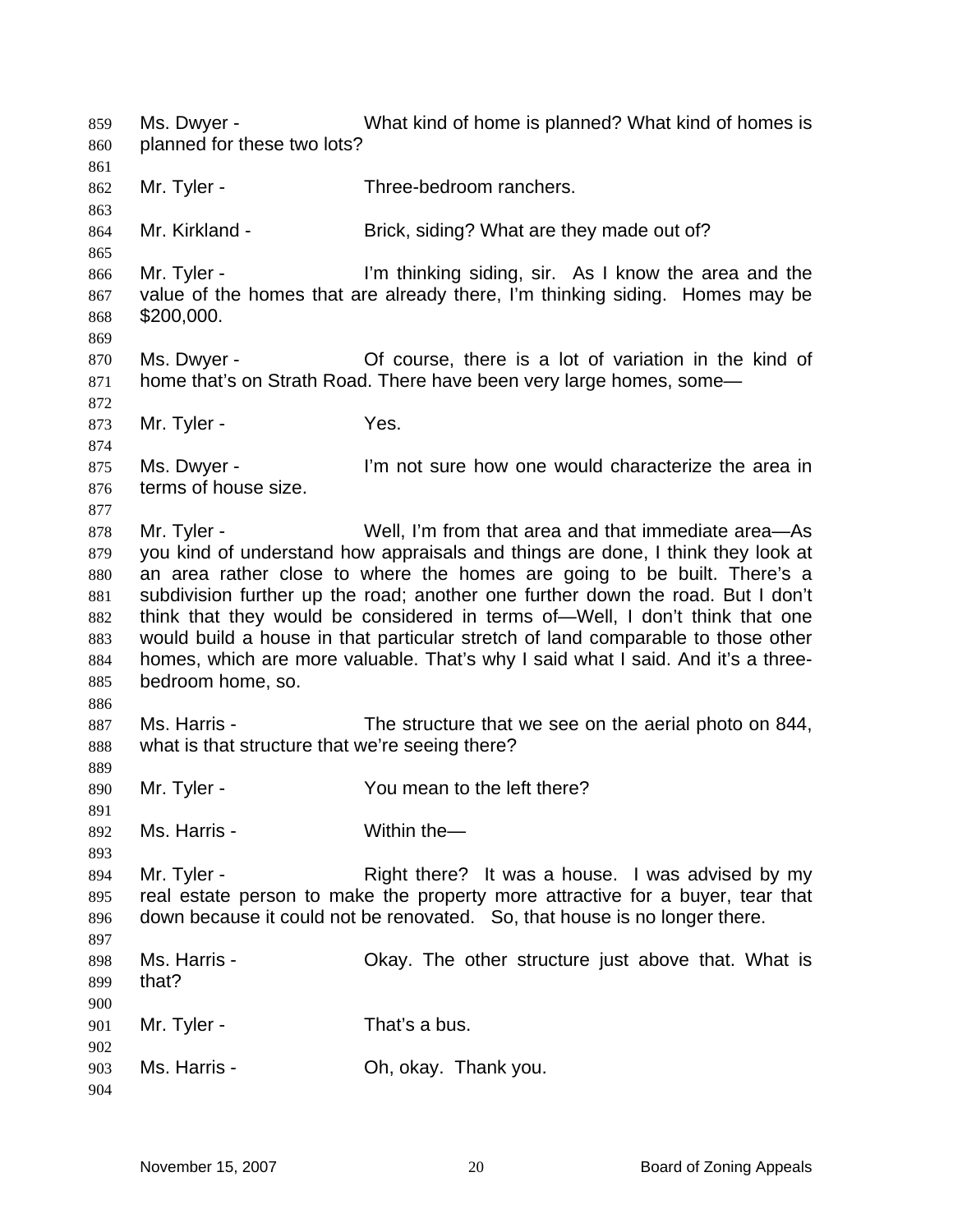Ms. Dwyer - What kind of home is planned? What kind of homes is planned for these two lots? 859 860 861 862 863 864 865 866 867 868 869 870 871 872 873 874 875 876 877 878 879 880 881 882 883 884 885 886 887 888 889 890 891 892 893 894 895 896 897 898 899 900 901 902 903 904 Mr. Tyler - Three-bedroom ranchers. Mr. Kirkland - Brick, siding? What are they made out of? Mr. Tyler - I'm thinking siding, sir. As I know the area and the value of the homes that are already there, I'm thinking siding. Homes may be \$200,000. Ms. Dwyer - Collecture Course, there is a lot of variation in the kind of home that's on Strath Road. There have been very large homes, some— Mr. Tyler - Yes. Ms. Dwyer - The lim not sure how one would characterize the area in terms of house size. Mr. Tyler - Well, I'm from that area and that immediate area—As you kind of understand how appraisals and things are done, I think they look at an area rather close to where the homes are going to be built. There's a subdivision further up the road; another one further down the road. But I don't think that they would be considered in terms of—Well, I don't think that one would build a house in that particular stretch of land comparable to those other homes, which are more valuable. That's why I said what I said. And it's a threebedroom home, so. Ms. Harris - The structure that we see on the aerial photo on 844, what is that structure that we're seeing there? Mr. Tyler - You mean to the left there? Ms. Harris - Within the — Mr. Tyler - The Right there? It was a house. I was advised by my real estate person to make the property more attractive for a buyer, tear that down because it could not be renovated. So, that house is no longer there. Ms. Harris - Chay. The other structure just above that. What is that? Mr. Tyler - That's a bus. Ms. Harris - Ch, okay. Thank you.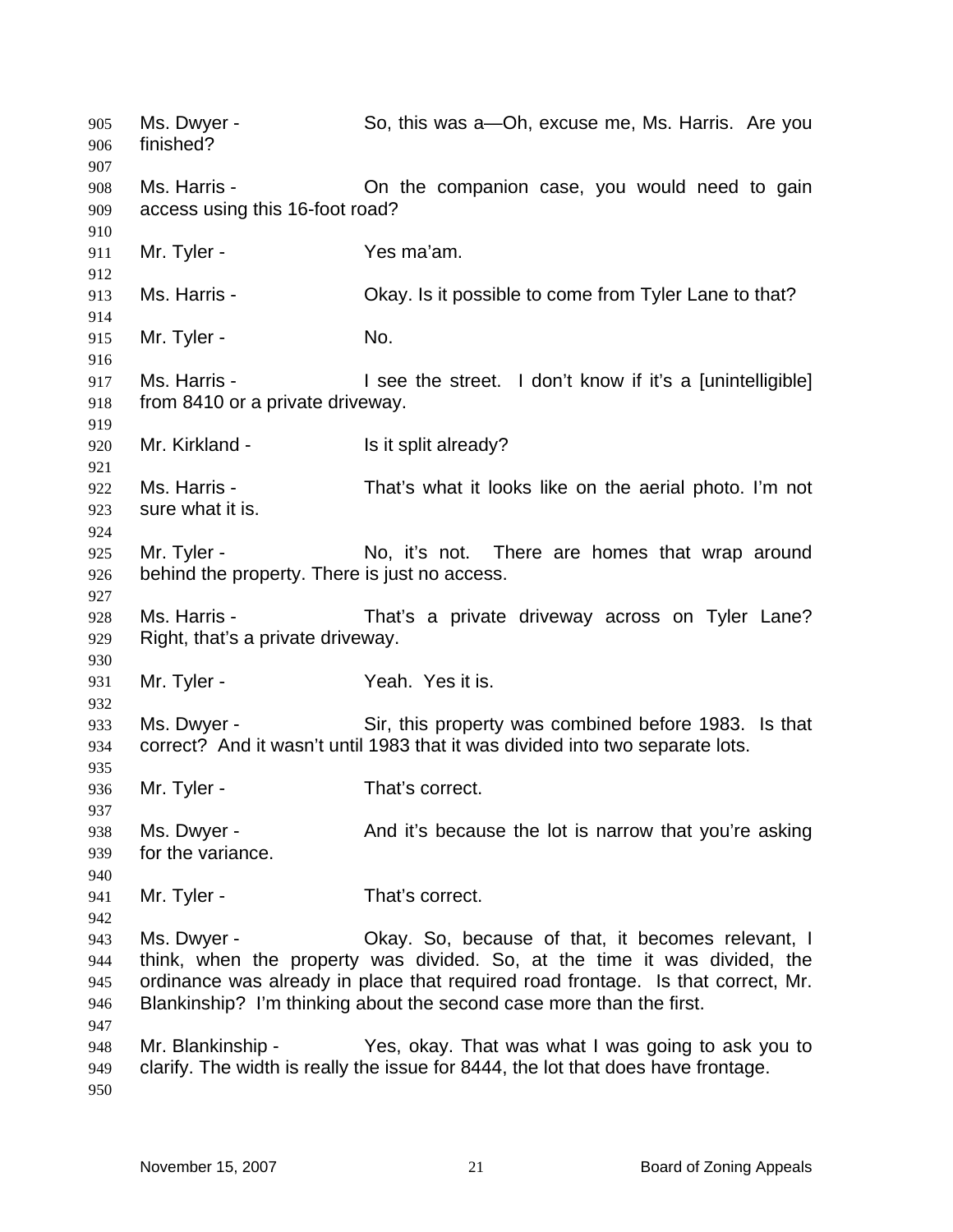Ms. Dwyer - So, this was a—Oh, excuse me, Ms. Harris. Are you finished? Ms. Harris - The Companion case, you would need to gain access using this 16-foot road? Mr. Tyler - Yes ma'am. Ms. Harris - Chay. Is it possible to come from Tyler Lane to that? Mr. Tyler - No. Ms. Harris - **I** see the street. I don't know if it's a [unintelligible] from 8410 or a private driveway. Mr. Kirkland - Is it split already? Ms. Harris - That's what it looks like on the aerial photo. I'm not sure what it is. Mr. Tyler - No, it's not. There are homes that wrap around behind the property. There is just no access. Ms. Harris - That's a private driveway across on Tyler Lane? Right, that's a private driveway. Mr. Tyler - Yeah. Yes it is. Ms. Dwyer - Sir, this property was combined before 1983. Is that correct? And it wasn't until 1983 that it was divided into two separate lots. Mr. Tyler - That's correct. Ms. Dwyer - And it's because the lot is narrow that you're asking for the variance. Mr. Tyler - That's correct. Ms. Dwyer - Okay. So, because of that, it becomes relevant, I think, when the property was divided. So, at the time it was divided, the ordinance was already in place that required road frontage. Is that correct, Mr. Blankinship? I'm thinking about the second case more than the first. Mr. Blankinship - Yes, okay. That was what I was going to ask you to clarify. The width is really the issue for 8444, the lot that does have frontage.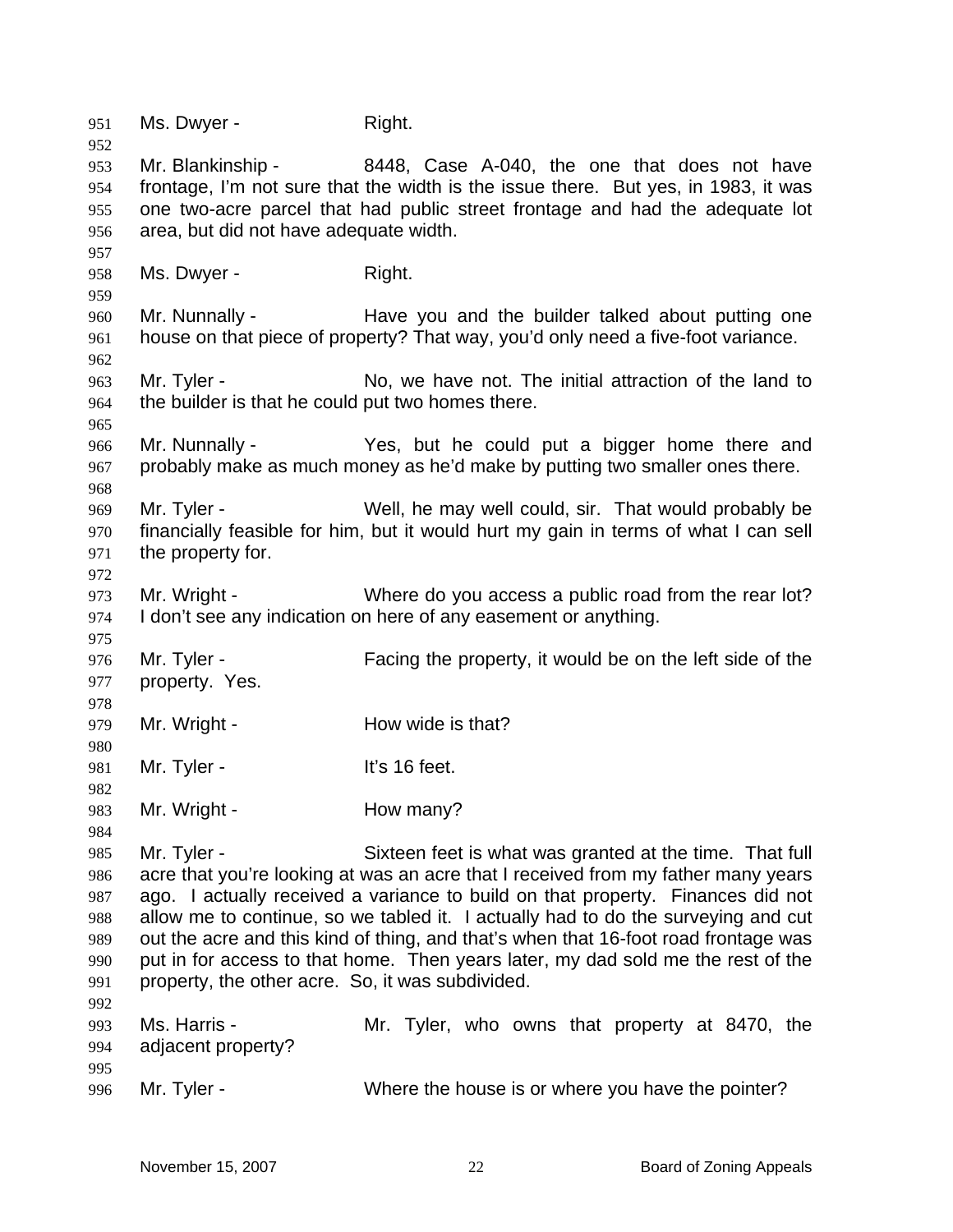951 Ms. Dwyer - Right. 952 953 954 955 956 957 958 959 960 961 962 963 964 965 966 967 968 969 970 971 972 973 974 975 976 977 978 979 980 981 982 983 984 985 986 987 988 989 990 991 992 993 994 995 996 Mr. Blankinship - 8448, Case A-040, the one that does not have frontage, I'm not sure that the width is the issue there. But yes, in 1983, it was one two-acre parcel that had public street frontage and had the adequate lot area, but did not have adequate width. Ms. Dwyer - Right. Mr. Nunnally - The Have you and the builder talked about putting one house on that piece of property? That way, you'd only need a five-foot variance. Mr. Tyler - No, we have not. The initial attraction of the land to the builder is that he could put two homes there. Mr. Nunnally - Yes, but he could put a bigger home there and probably make as much money as he'd make by putting two smaller ones there. Mr. Tyler - Well, he may well could, sir. That would probably be financially feasible for him, but it would hurt my gain in terms of what I can sell the property for. Mr. Wright - Where do you access a public road from the rear lot? I don't see any indication on here of any easement or anything. Mr. Tyler - Facing the property, it would be on the left side of the property. Yes. Mr. Wright - **How wide is that?** Mr. Tyler - It's 16 feet. Mr. Wright - **How many?** Mr. Tyler - Sixteen feet is what was granted at the time. That full acre that you're looking at was an acre that I received from my father many years ago. I actually received a variance to build on that property. Finances did not allow me to continue, so we tabled it. I actually had to do the surveying and cut out the acre and this kind of thing, and that's when that 16-foot road frontage was put in for access to that home. Then years later, my dad sold me the rest of the property, the other acre. So, it was subdivided. Ms. Harris - Mr. Tyler, who owns that property at 8470, the adjacent property? Mr. Tyler - Where the house is or where you have the pointer?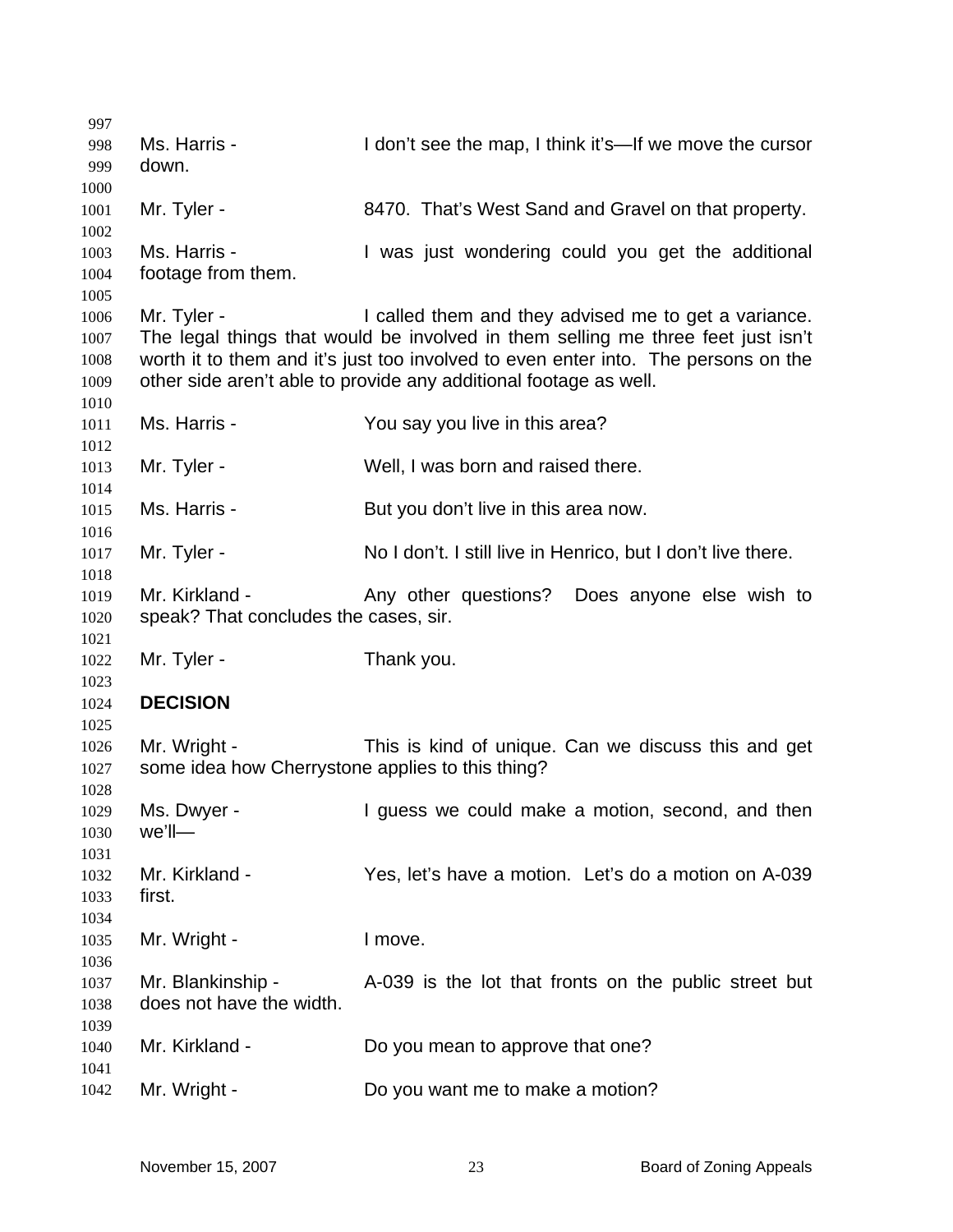| 997          |                                                  |                                                                                    |
|--------------|--------------------------------------------------|------------------------------------------------------------------------------------|
| 998          | Ms. Harris -                                     | I don't see the map, I think it's—If we move the cursor                            |
| 999          | down.                                            |                                                                                    |
| 1000         |                                                  |                                                                                    |
| 1001         | Mr. Tyler -                                      | 8470. That's West Sand and Gravel on that property.                                |
| 1002         |                                                  |                                                                                    |
| 1003         | Ms. Harris -                                     | I was just wondering could you get the additional                                  |
| 1004         | footage from them.                               |                                                                                    |
| 1005         |                                                  |                                                                                    |
| 1006         | Mr. Tyler -                                      | I called them and they advised me to get a variance.                               |
| 1007         |                                                  | The legal things that would be involved in them selling me three feet just isn't   |
| 1008         |                                                  | worth it to them and it's just too involved to even enter into. The persons on the |
| 1009         |                                                  | other side aren't able to provide any additional footage as well.                  |
| 1010         |                                                  |                                                                                    |
| 1011         | Ms. Harris -                                     | You say you live in this area?                                                     |
| 1012         |                                                  |                                                                                    |
| 1013         | Mr. Tyler -                                      | Well, I was born and raised there.                                                 |
| 1014         |                                                  |                                                                                    |
| 1015         | Ms. Harris -                                     | But you don't live in this area now.                                               |
|              |                                                  |                                                                                    |
| 1016         | Mr. Tyler -                                      | No I don't. I still live in Henrico, but I don't live there.                       |
| 1017         |                                                  |                                                                                    |
| 1018         | Mr. Kirkland -                                   | Any other questions? Does anyone else wish to                                      |
| 1019         |                                                  |                                                                                    |
| 1020         | speak? That concludes the cases, sir.            |                                                                                    |
| 1021<br>1022 | Mr. Tyler -                                      | Thank you.                                                                         |
| 1023         |                                                  |                                                                                    |
| 1024         | <b>DECISION</b>                                  |                                                                                    |
| 1025         |                                                  |                                                                                    |
| 1026         | Mr. Wright -                                     | This is kind of unique. Can we discuss this and get                                |
| 1027         | some idea how Cherrystone applies to this thing? |                                                                                    |
| 1028         |                                                  |                                                                                    |
| 1029         | Ms. Dwyer -                                      | I guess we could make a motion, second, and then                                   |
| 1030         | $we'll$ —                                        |                                                                                    |
| 1031         |                                                  |                                                                                    |
| 1032         | Mr. Kirkland -                                   | Yes, let's have a motion. Let's do a motion on A-039                               |
| 1033         | first.                                           |                                                                                    |
| 1034         |                                                  |                                                                                    |
| 1035         | Mr. Wright -                                     | I move.                                                                            |
| 1036         |                                                  |                                                                                    |
| 1037         | Mr. Blankinship -                                | A-039 is the lot that fronts on the public street but                              |
|              | does not have the width.                         |                                                                                    |
| 1038         |                                                  |                                                                                    |
| 1039         | Mr. Kirkland -                                   | Do you mean to approve that one?                                                   |
| 1040         |                                                  |                                                                                    |
| 1041         |                                                  |                                                                                    |
| 1042         | Mr. Wright -                                     | Do you want me to make a motion?                                                   |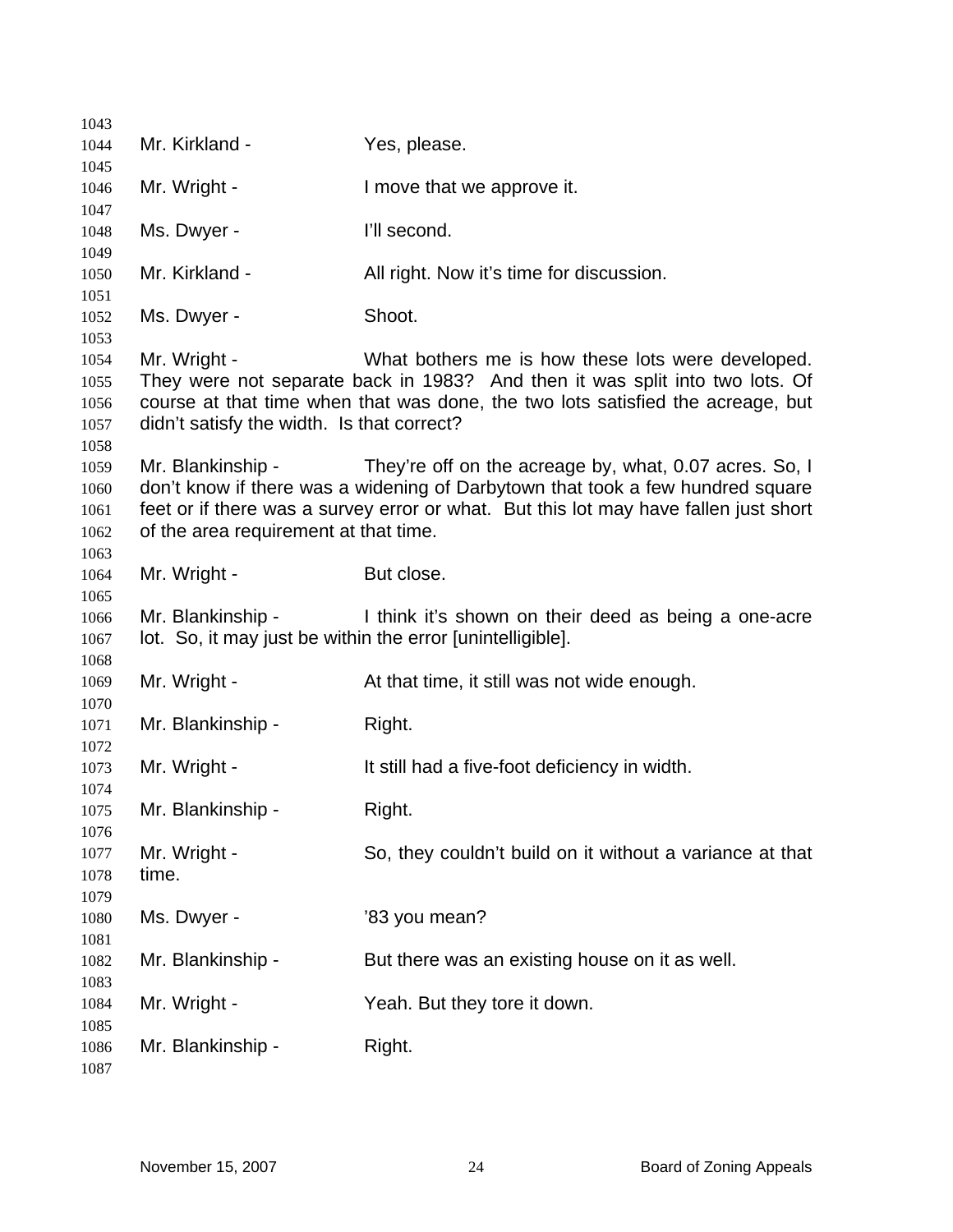| 1043         |                                                            |                                                                                                                                                                 |
|--------------|------------------------------------------------------------|-----------------------------------------------------------------------------------------------------------------------------------------------------------------|
| 1044         | Mr. Kirkland -                                             | Yes, please.                                                                                                                                                    |
| 1045         |                                                            |                                                                                                                                                                 |
| 1046         | Mr. Wright -                                               | I move that we approve it.                                                                                                                                      |
| 1047<br>1048 | Ms. Dwyer -                                                | I'll second.                                                                                                                                                    |
| 1049         |                                                            |                                                                                                                                                                 |
| 1050         | Mr. Kirkland -                                             | All right. Now it's time for discussion.                                                                                                                        |
| 1051<br>1052 | Ms. Dwyer -                                                | Shoot.                                                                                                                                                          |
| 1053         |                                                            |                                                                                                                                                                 |
| 1054         | Mr. Wright -                                               | What bothers me is how these lots were developed.                                                                                                               |
| 1055<br>1056 |                                                            | They were not separate back in 1983? And then it was split into two lots. Of<br>course at that time when that was done, the two lots satisfied the acreage, but |
| 1057         | didn't satisfy the width. Is that correct?                 |                                                                                                                                                                 |
| 1058         |                                                            |                                                                                                                                                                 |
| 1059         | Mr. Blankinship -                                          | They're off on the acreage by, what, 0.07 acres. So, I                                                                                                          |
| 1060         |                                                            | don't know if there was a widening of Darbytown that took a few hundred square                                                                                  |
| 1061         |                                                            | feet or if there was a survey error or what. But this lot may have fallen just short                                                                            |
| 1062         | of the area requirement at that time.                      |                                                                                                                                                                 |
| 1063         |                                                            |                                                                                                                                                                 |
| 1064         | Mr. Wright -                                               | But close.                                                                                                                                                      |
| 1065         |                                                            |                                                                                                                                                                 |
| 1066         | Mr. Blankinship -                                          | I think it's shown on their deed as being a one-acre                                                                                                            |
| 1067         | lot. So, it may just be within the error [unintelligible]. |                                                                                                                                                                 |
| 1068<br>1069 | Mr. Wright -                                               | At that time, it still was not wide enough.                                                                                                                     |
| 1070         |                                                            |                                                                                                                                                                 |
| 1071         | Mr. Blankinship -                                          | Right.                                                                                                                                                          |
| 1072         |                                                            |                                                                                                                                                                 |
| 1073         | Mr. Wright -                                               | It still had a five-foot deficiency in width.                                                                                                                   |
| 1074         |                                                            |                                                                                                                                                                 |
| 1075         | Mr. Blankinship -                                          | Right.                                                                                                                                                          |
| 1076         |                                                            |                                                                                                                                                                 |
| 1077         | Mr. Wright -                                               | So, they couldn't build on it without a variance at that                                                                                                        |
| 1078         | time.                                                      |                                                                                                                                                                 |
| 1079         |                                                            |                                                                                                                                                                 |
| 1080         | Ms. Dwyer -                                                | '83 you mean?                                                                                                                                                   |
| 1081<br>1082 | Mr. Blankinship -                                          | But there was an existing house on it as well.                                                                                                                  |
| 1083         |                                                            |                                                                                                                                                                 |
| 1084         | Mr. Wright -                                               | Yeah. But they tore it down.                                                                                                                                    |
| 1085         |                                                            |                                                                                                                                                                 |
| 1086         | Mr. Blankinship -                                          | Right.                                                                                                                                                          |
| 1087         |                                                            |                                                                                                                                                                 |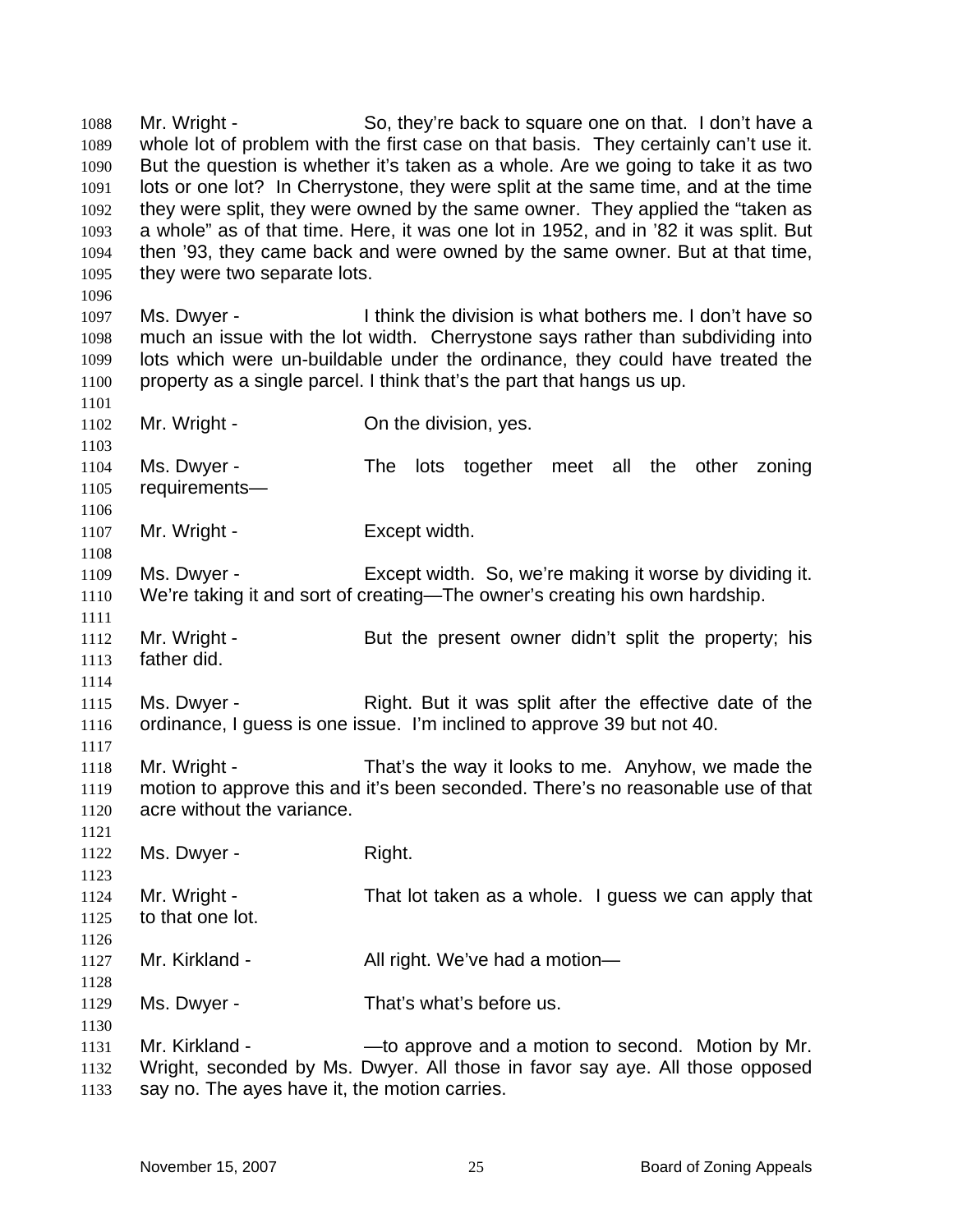Mr. Wright - So, they're back to square one on that. I don't have a whole lot of problem with the first case on that basis. They certainly can't use it. But the question is whether it's taken as a whole. Are we going to take it as two lots or one lot? In Cherrystone, they were split at the same time, and at the time they were split, they were owned by the same owner. They applied the "taken as a whole" as of that time. Here, it was one lot in 1952, and in '82 it was split. But then '93, they came back and were owned by the same owner. But at that time, they were two separate lots. 1088 1089 1090 1091 1092 1093 1094 1095 1096 1097 1098 1099 1100 1101 1102 1103 1104 1105 1106 1107 1108 1109 1110 1111 1112 1113 1114 1115 1116 1117 1118 1119 1120 1121 1122 1123 1124 1125 1126 1127 1128 1129 1130 1131 1132 1133 Ms. Dwyer - I think the division is what bothers me. I don't have so much an issue with the lot width. Cherrystone says rather than subdividing into lots which were un-buildable under the ordinance, they could have treated the property as a single parcel. I think that's the part that hangs us up. Mr. Wright - The division, yes. Ms. Dwyer - The lots together meet all the other zoning requirements— Mr. Wright - Except width. Ms. Dwyer - Except width. So, we're making it worse by dividing it. We're taking it and sort of creating—The owner's creating his own hardship. Mr. Wright - But the present owner didn't split the property; his father did. Ms. Dwyer - Right. But it was split after the effective date of the ordinance, I guess is one issue. I'm inclined to approve 39 but not 40. Mr. Wright - That's the way it looks to me. Anyhow, we made the motion to approve this and it's been seconded. There's no reasonable use of that acre without the variance. Ms. Dwyer - Right. Mr. Wright - That lot taken as a whole. I guess we can apply that to that one lot. Mr. Kirkland - All right. We've had a motion— Ms. Dwyer - That's what's before us. Mr. Kirkland - — — — to approve and a motion to second. Motion by Mr. Wright, seconded by Ms. Dwyer. All those in favor say aye. All those opposed say no. The ayes have it, the motion carries.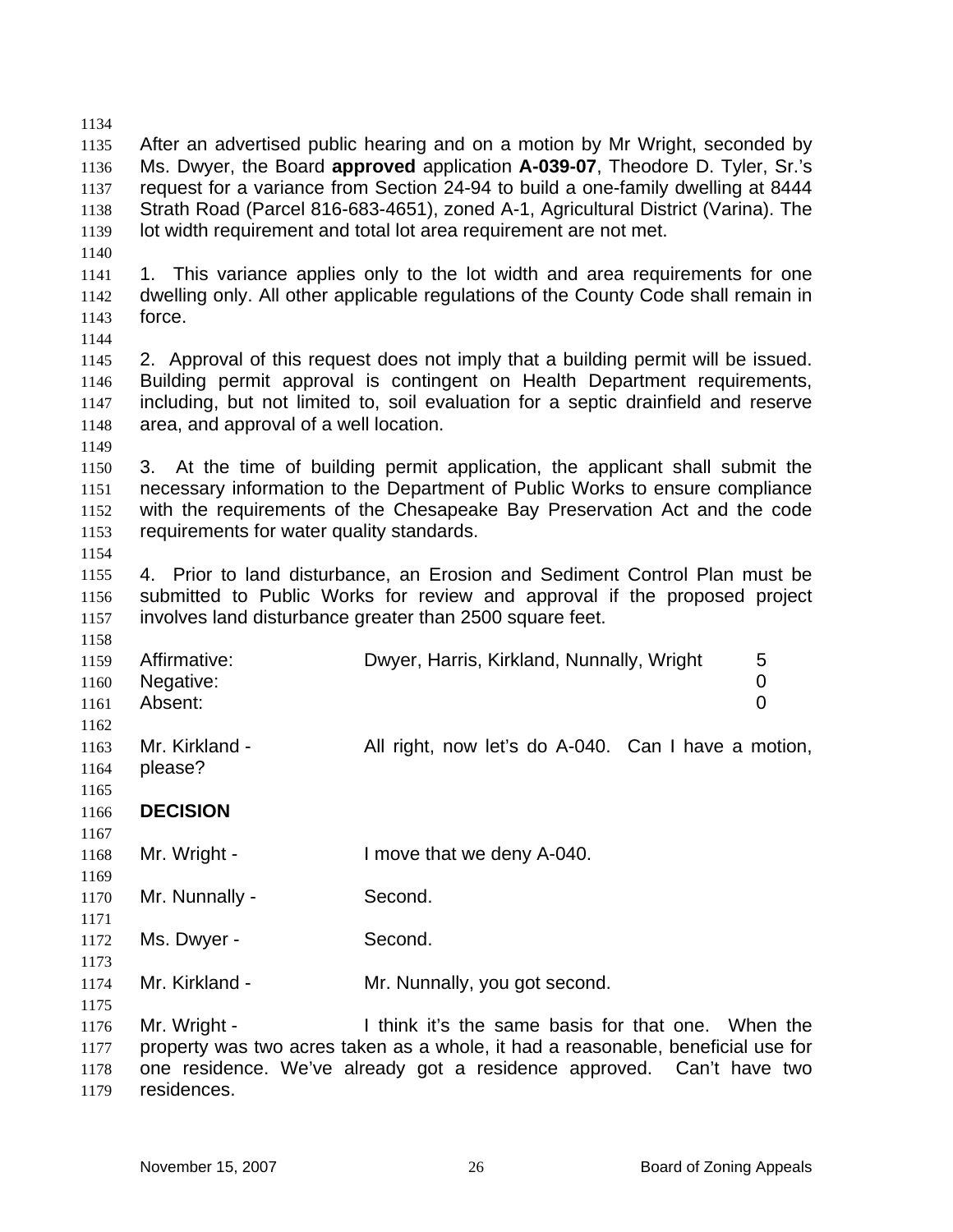| 1134 |                                           |                                                                                    |
|------|-------------------------------------------|------------------------------------------------------------------------------------|
| 1135 |                                           | After an advertised public hearing and on a motion by Mr Wright, seconded by       |
| 1136 |                                           | Ms. Dwyer, the Board approved application A-039-07, Theodore D. Tyler, Sr.'s       |
| 1137 |                                           | request for a variance from Section 24-94 to build a one-family dwelling at 8444   |
| 1138 |                                           | Strath Road (Parcel 816-683-4651), zoned A-1, Agricultural District (Varina). The  |
| 1139 |                                           | lot width requirement and total lot area requirement are not met.                  |
| 1140 |                                           |                                                                                    |
| 1141 |                                           | 1. This variance applies only to the lot width and area requirements for one       |
| 1142 |                                           | dwelling only. All other applicable regulations of the County Code shall remain in |
| 1143 | force.                                    |                                                                                    |
| 1144 |                                           |                                                                                    |
| 1145 |                                           | 2. Approval of this request does not imply that a building permit will be issued.  |
| 1146 |                                           | Building permit approval is contingent on Health Department requirements,          |
| 1147 |                                           | including, but not limited to, soil evaluation for a septic drainfield and reserve |
| 1148 | area, and approval of a well location.    |                                                                                    |
| 1149 |                                           |                                                                                    |
| 1150 |                                           | 3. At the time of building permit application, the applicant shall submit the      |
| 1151 |                                           | necessary information to the Department of Public Works to ensure compliance       |
| 1152 |                                           | with the requirements of the Chesapeake Bay Preservation Act and the code          |
| 1153 | requirements for water quality standards. |                                                                                    |
| 1154 |                                           |                                                                                    |
| 1155 |                                           | 4. Prior to land disturbance, an Erosion and Sediment Control Plan must be         |
| 1156 |                                           | submitted to Public Works for review and approval if the proposed project          |
| 1157 |                                           | involves land disturbance greater than 2500 square feet.                           |
| 1158 |                                           |                                                                                    |
| 1159 | Affirmative:                              | Dwyer, Harris, Kirkland, Nunnally, Wright<br>5                                     |
| 1160 | Negative:                                 | $\pmb{0}$                                                                          |
| 1161 | Absent:                                   | $\overline{0}$                                                                     |
| 1162 |                                           |                                                                                    |
| 1163 | Mr. Kirkland -                            | All right, now let's do A-040. Can I have a motion,                                |
| 1164 | please?                                   |                                                                                    |
| 1165 |                                           |                                                                                    |
| 1166 | <b>DECISION</b>                           |                                                                                    |
| 1167 |                                           |                                                                                    |
| 1168 | Mr. Wright -                              | I move that we deny A-040.                                                         |
| 1169 |                                           |                                                                                    |
| 1170 | Mr. Nunnally -                            | Second.                                                                            |
| 1171 |                                           |                                                                                    |
| 1172 | Ms. Dwyer -                               | Second.                                                                            |
| 1173 |                                           |                                                                                    |
| 1174 | Mr. Kirkland -                            | Mr. Nunnally, you got second.                                                      |
| 1175 |                                           |                                                                                    |
| 1176 | Mr. Wright -                              | I think it's the same basis for that one. When the                                 |
| 1177 |                                           | property was two acres taken as a whole, it had a reasonable, beneficial use for   |
| 1178 |                                           | one residence. We've already got a residence approved. Can't have two              |
| 1179 | residences.                               |                                                                                    |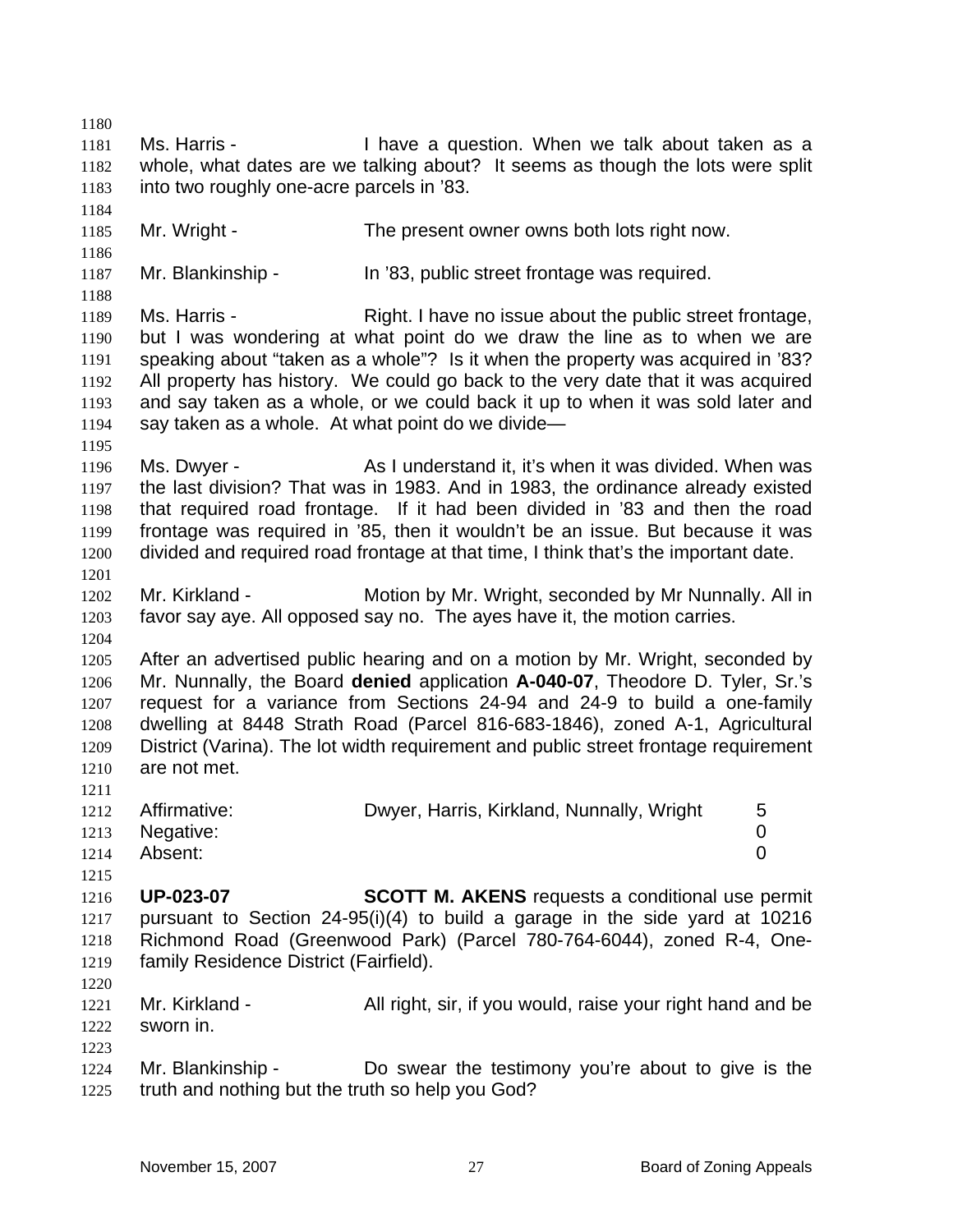1180 1181 1182 1183 1184 1185 1186 1187 1188 1189 1190 1191 1192 1193 1194 1195 1196 1197 1198 1199 1200 1201 1202 1203 1204 1205 1206 1207 1208 1209 1210 1211 1212 1213 1214 1215 1216 1217 1218 1219 1220 1221 1222 1223 1224 1225 Ms. Harris - Thave a question. When we talk about taken as a whole, what dates are we talking about? It seems as though the lots were split into two roughly one-acre parcels in '83. Mr. Wright - The present owner owns both lots right now. Mr. Blankinship - In '83, public street frontage was required. Ms. Harris - Right. I have no issue about the public street frontage, but I was wondering at what point do we draw the line as to when we are speaking about "taken as a whole"? Is it when the property was acquired in '83? All property has history. We could go back to the very date that it was acquired and say taken as a whole, or we could back it up to when it was sold later and say taken as a whole. At what point do we divide— Ms. Dwyer - As I understand it, it's when it was divided. When was the last division? That was in 1983. And in 1983, the ordinance already existed that required road frontage. If it had been divided in '83 and then the road frontage was required in '85, then it wouldn't be an issue. But because it was divided and required road frontage at that time, I think that's the important date. Mr. Kirkland - Motion by Mr. Wright, seconded by Mr Nunnally. All in favor say aye. All opposed say no. The ayes have it, the motion carries. After an advertised public hearing and on a motion by Mr. Wright, seconded by Mr. Nunnally, the Board **denied** application **A-040-07**, Theodore D. Tyler, Sr.'s request for a variance from Sections 24-94 and 24-9 to build a one-family dwelling at 8448 Strath Road (Parcel 816-683-1846), zoned A-1, Agricultural District (Varina). The lot width requirement and public street frontage requirement are not met. Affirmative: Dwyer, Harris, Kirkland, Nunnally, Wright 5 Negative: 0 Absent: 0 **UP-023-07 SCOTT M. AKENS** requests a conditional use permit pursuant to Section 24-95(i)(4) to build a garage in the side yard at 10216 Richmond Road (Greenwood Park) (Parcel 780-764-6044), zoned R-4, Onefamily Residence District (Fairfield). Mr. Kirkland - All right, sir, if you would, raise your right hand and be sworn in. Mr. Blankinship - Do swear the testimony you're about to give is the truth and nothing but the truth so help you God?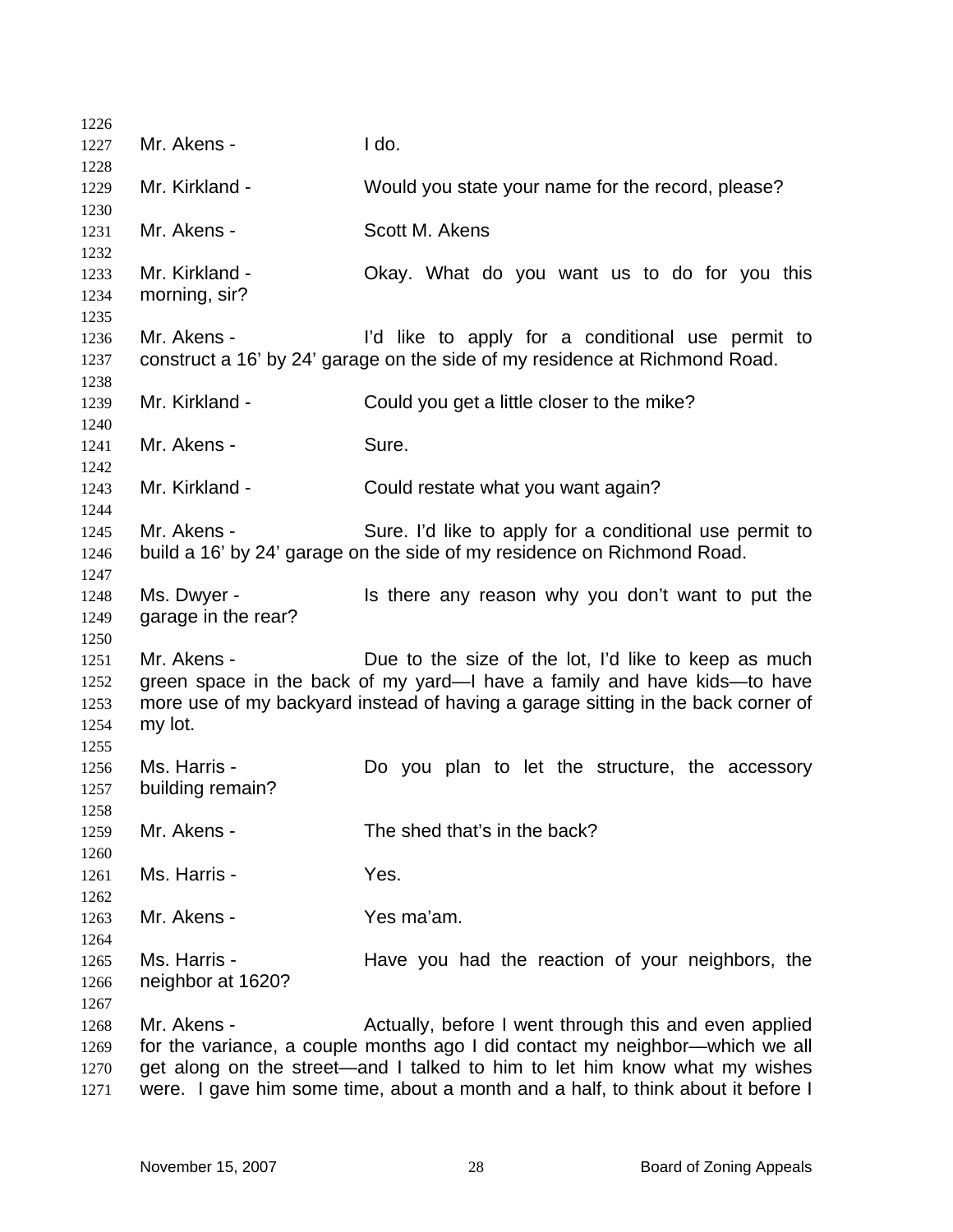| 1226         |                     |                                                                                                                                  |
|--------------|---------------------|----------------------------------------------------------------------------------------------------------------------------------|
| 1227         | Mr. Akens -         | I do.                                                                                                                            |
| 1228         |                     |                                                                                                                                  |
| 1229         | Mr. Kirkland -      | Would you state your name for the record, please?                                                                                |
| 1230         |                     |                                                                                                                                  |
| 1231         | Mr. Akens -         | Scott M. Akens                                                                                                                   |
| 1232         |                     |                                                                                                                                  |
| 1233         | Mr. Kirkland -      | Okay. What do you want us to do for you this                                                                                     |
| 1234         | morning, sir?       |                                                                                                                                  |
| 1235         |                     |                                                                                                                                  |
| 1236         | Mr. Akens -         | I'd like to apply for a conditional use permit to                                                                                |
| 1237         |                     | construct a 16' by 24' garage on the side of my residence at Richmond Road.                                                      |
| 1238         |                     |                                                                                                                                  |
| 1239         | Mr. Kirkland -      | Could you get a little closer to the mike?                                                                                       |
| 1240         |                     |                                                                                                                                  |
| 1241         | Mr. Akens -         | Sure.                                                                                                                            |
| 1242         |                     |                                                                                                                                  |
| 1243         | Mr. Kirkland -      | Could restate what you want again?                                                                                               |
| 1244         |                     |                                                                                                                                  |
| 1245         | Mr. Akens -         | Sure. I'd like to apply for a conditional use permit to                                                                          |
| 1246         |                     | build a 16' by 24' garage on the side of my residence on Richmond Road.                                                          |
| 1247         |                     |                                                                                                                                  |
| 1248         | Ms. Dwyer -         | Is there any reason why you don't want to put the                                                                                |
| 1249         | garage in the rear? |                                                                                                                                  |
| 1250         | Mr. Akens -         |                                                                                                                                  |
| 1251         |                     | Due to the size of the lot, I'd like to keep as much<br>green space in the back of my yard—I have a family and have kids—to have |
| 1252<br>1253 |                     | more use of my backyard instead of having a garage sitting in the back corner of                                                 |
| 1254         | my lot.             |                                                                                                                                  |
| 1255         |                     |                                                                                                                                  |
| 1256         | Ms. Harris -        | Do you plan to let the structure, the accessory                                                                                  |
| 1257         | building remain?    |                                                                                                                                  |
| 1258         |                     |                                                                                                                                  |
| 1259         | Mr. Akens -         | The shed that's in the back?                                                                                                     |
| 1260         |                     |                                                                                                                                  |
| 1261         | Ms. Harris -        | Yes.                                                                                                                             |
| 1262         |                     |                                                                                                                                  |
| 1263         | Mr. Akens -         | Yes ma'am.                                                                                                                       |
| 1264         |                     |                                                                                                                                  |
| 1265         | Ms. Harris -        | Have you had the reaction of your neighbors, the                                                                                 |
| 1266         | neighbor at 1620?   |                                                                                                                                  |
| 1267         |                     |                                                                                                                                  |
| 1268         | Mr. Akens -         | Actually, before I went through this and even applied                                                                            |
| 1269         |                     | for the variance, a couple months ago I did contact my neighbor—which we all                                                     |
| 1270         |                     | get along on the street—and I talked to him to let him know what my wishes                                                       |
| 1271         |                     | were. I gave him some time, about a month and a half, to think about it before I                                                 |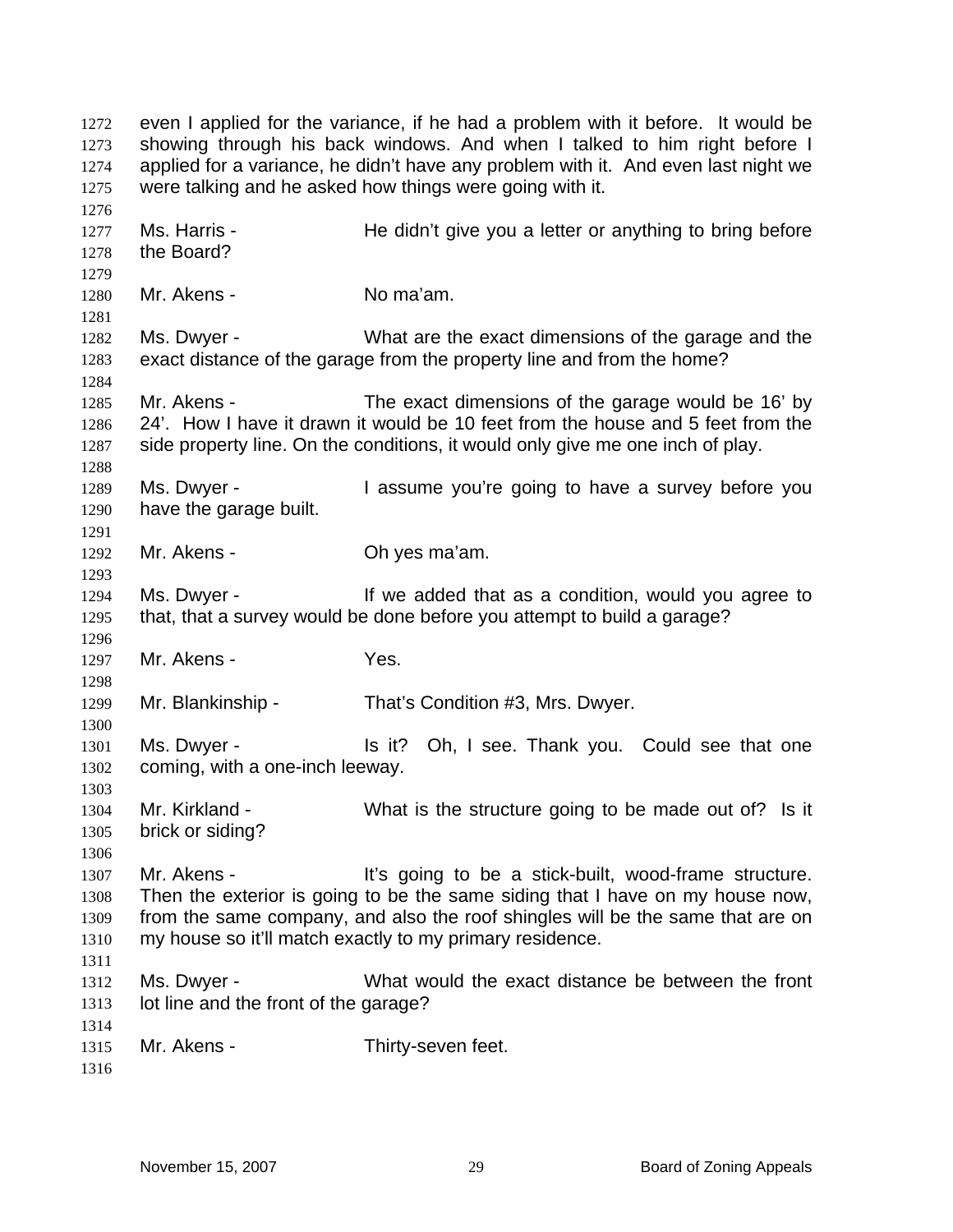even I applied for the variance, if he had a problem with it before. It would be showing through his back windows. And when I talked to him right before I applied for a variance, he didn't have any problem with it. And even last night we were talking and he asked how things were going with it. 1272 1273 1274 1275 1276 1277 1278 1279 1280 1281 1282 1283 1284 1285 1286 1287 1288 1289 1290 1291 1292 1293 1294 1295 1296 1297 1298 1299 1300 1301 1302 1303 1304 1305 1306 1307 1308 1309 1310 1311 1312 1313 1314 1315 1316 Ms. Harris - He didn't give you a letter or anything to bring before the Board? Mr. Akens - No ma'am. Ms. Dwyer - What are the exact dimensions of the garage and the exact distance of the garage from the property line and from the home? Mr. Akens - The exact dimensions of the garage would be 16' by 24'. How I have it drawn it would be 10 feet from the house and 5 feet from the side property line. On the conditions, it would only give me one inch of play. Ms. Dwyer - The Sume you're going to have a survey before you have the garage built. Mr. Akens - Ch yes ma'am. Ms. Dwyer - The Music of the added that as a condition, would you agree to that, that a survey would be done before you attempt to build a garage? Mr. Akens - Yes. Mr. Blankinship - That's Condition #3, Mrs. Dwyer. Ms. Dwyer - Is it? Oh, I see. Thank you. Could see that one coming, with a one-inch leeway. Mr. Kirkland - What is the structure going to be made out of? Is it brick or siding? Mr. Akens - The Muslim stick-built, wood-frame structure. Then the exterior is going to be the same siding that I have on my house now, from the same company, and also the roof shingles will be the same that are on my house so it'll match exactly to my primary residence. Ms. Dwyer - What would the exact distance be between the front lot line and the front of the garage? Mr. Akens - Thirty-seven feet.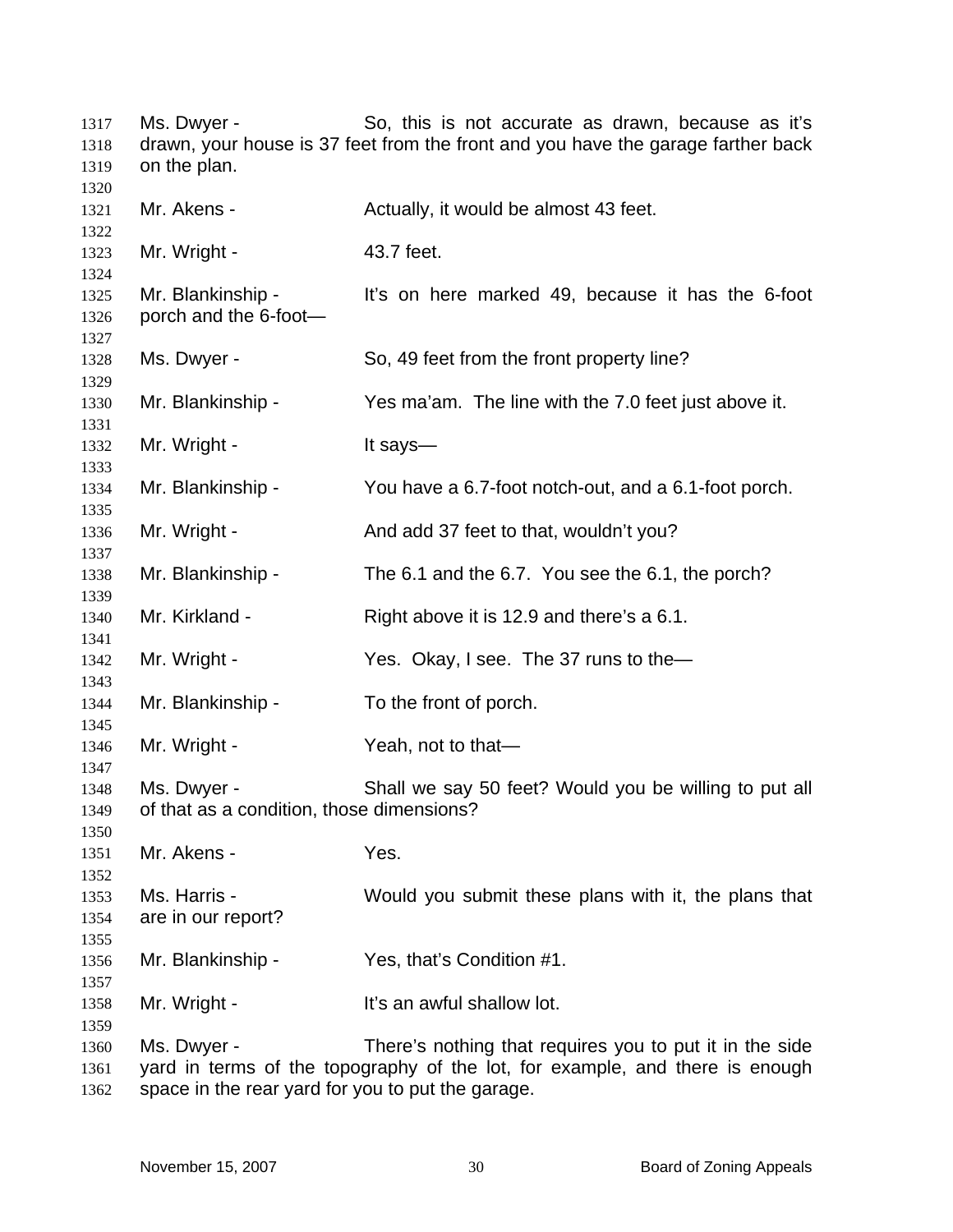Ms. Dwyer - So, this is not accurate as drawn, because as it's drawn, your house is 37 feet from the front and you have the garage farther back on the plan. Mr. Akens - The Actually, it would be almost 43 feet. Mr. Wright - 43.7 feet. Mr. Blankinship - It's on here marked 49, because it has the 6-foot porch and the 6-foot— Ms. Dwyer - So, 49 feet from the front property line? Mr. Blankinship - Yes ma'am. The line with the 7.0 feet just above it. Mr. Wright - It says— Mr. Blankinship - You have a 6.7-foot notch-out, and a 6.1-foot porch. Mr. Wright - And add 37 feet to that, wouldn't you? Mr. Blankinship - The 6.1 and the 6.7. You see the 6.1, the porch? Mr. Kirkland - Right above it is 12.9 and there's a 6.1. Mr. Wright - Yes. Okay, I see. The 37 runs to the Mr. Blankinship - To the front of porch. Mr. Wright - Yeah, not to that— Ms. Dwyer - Shall we say 50 feet? Would you be willing to put all of that as a condition, those dimensions? Mr. Akens - Yes. Ms. Harris - Would you submit these plans with it, the plans that are in our report? Mr. Blankinship - Yes, that's Condition #1. Mr. Wright - The It's an awful shallow lot. Ms. Dwyer - There's nothing that requires you to put it in the side yard in terms of the topography of the lot, for example, and there is enough space in the rear yard for you to put the garage.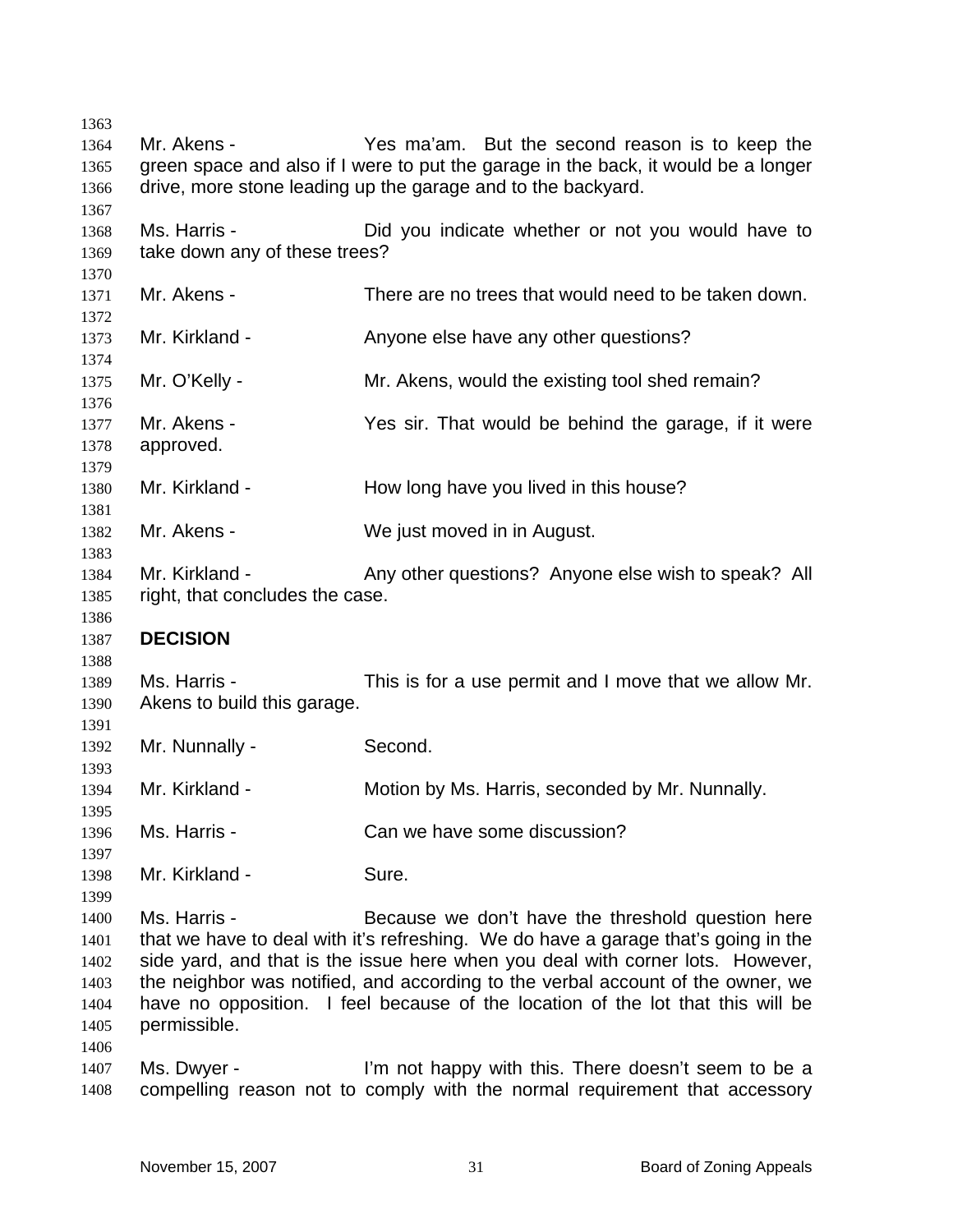Mr. Akens - Yes ma'am. But the second reason is to keep the green space and also if I were to put the garage in the back, it would be a longer drive, more stone leading up the garage and to the backyard. Ms. Harris - The Did you indicate whether or not you would have to take down any of these trees? Mr. Akens - There are no trees that would need to be taken down. Mr. Kirkland - The Anyone else have any other questions? Mr. O'Kelly - Mr. Akens, would the existing tool shed remain? Mr. Akens - Yes sir. That would be behind the garage, if it were approved. Mr. Kirkland - The How long have you lived in this house? Mr. Akens - We just moved in in August. Mr. Kirkland - Any other questions? Anyone else wish to speak? All right, that concludes the case. **DECISION**  Ms. Harris - This is for a use permit and I move that we allow Mr. Akens to build this garage. Mr. Nunnally - Second. Mr. Kirkland - Motion by Ms. Harris, seconded by Mr. Nunnally. Ms. Harris - Can we have some discussion? Mr. Kirkland - Sure. Ms. Harris - **Because we don't have the threshold question here** that we have to deal with it's refreshing. We do have a garage that's going in the side yard, and that is the issue here when you deal with corner lots. However, the neighbor was notified, and according to the verbal account of the owner, we have no opposition. I feel because of the location of the lot that this will be permissible. Ms. Dwyer - I'm not happy with this. There doesn't seem to be a compelling reason not to comply with the normal requirement that accessory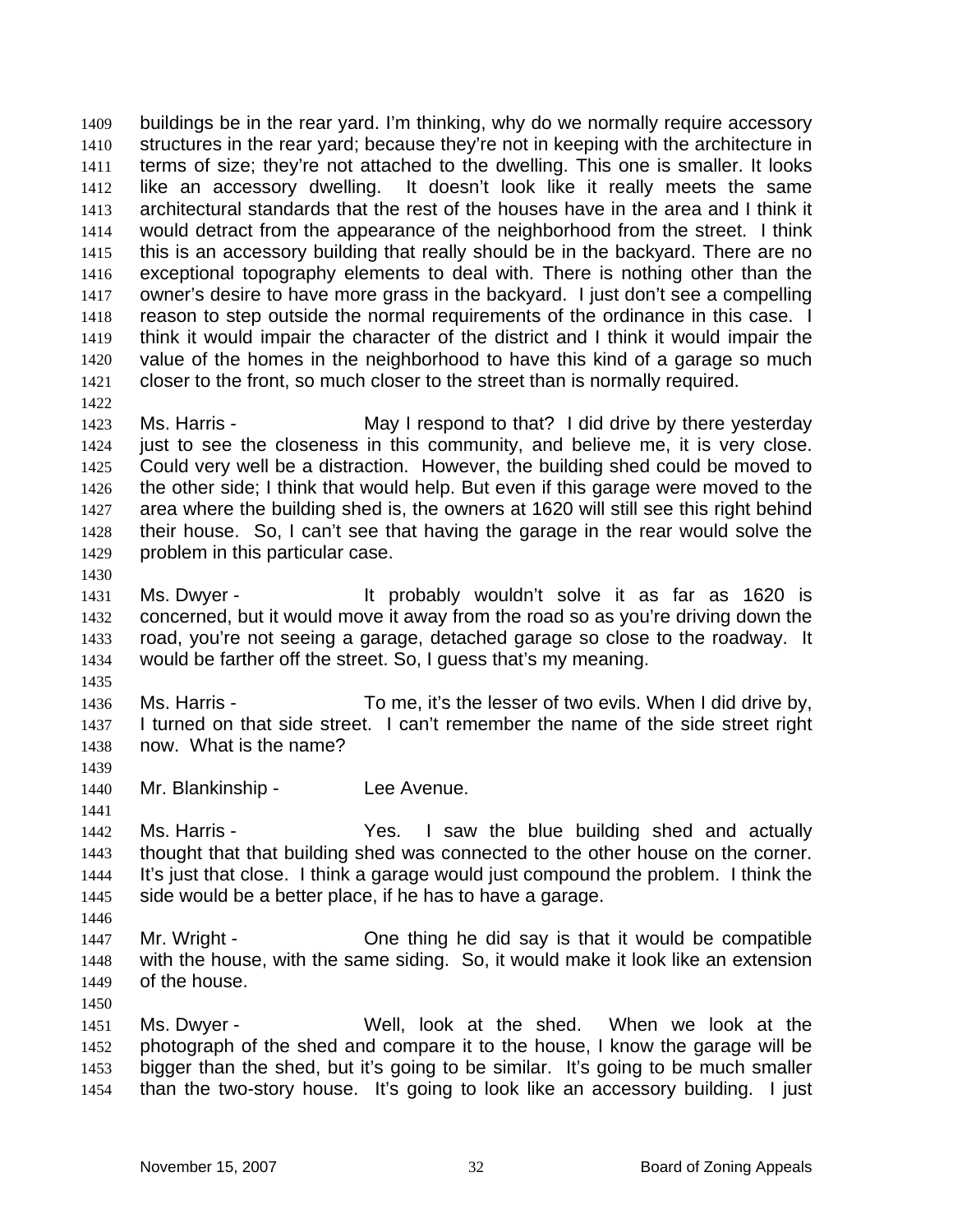buildings be in the rear yard. I'm thinking, why do we normally require accessory structures in the rear yard; because they're not in keeping with the architecture in terms of size; they're not attached to the dwelling. This one is smaller. It looks like an accessory dwelling. It doesn't look like it really meets the same architectural standards that the rest of the houses have in the area and I think it would detract from the appearance of the neighborhood from the street. I think this is an accessory building that really should be in the backyard. There are no exceptional topography elements to deal with. There is nothing other than the owner's desire to have more grass in the backyard. I just don't see a compelling reason to step outside the normal requirements of the ordinance in this case. I think it would impair the character of the district and I think it would impair the value of the homes in the neighborhood to have this kind of a garage so much closer to the front, so much closer to the street than is normally required. 1409 1410 1411 1412 1413 1414 1415 1416 1417 1418 1419 1420 1421 1422

1423 1424 1425 1426 1427 1428 1429 Ms. Harris - May I respond to that? I did drive by there yesterday just to see the closeness in this community, and believe me, it is very close. Could very well be a distraction. However, the building shed could be moved to the other side; I think that would help. But even if this garage were moved to the area where the building shed is, the owners at 1620 will still see this right behind their house. So, I can't see that having the garage in the rear would solve the problem in this particular case.

1430

1435

1439

1441

1431 1432 1433 1434 Ms. Dwyer - It probably wouldn't solve it as far as 1620 is concerned, but it would move it away from the road so as you're driving down the road, you're not seeing a garage, detached garage so close to the roadway. It would be farther off the street. So, I guess that's my meaning.

1436 1437 1438 Ms. Harris - To me, it's the lesser of two evils. When I did drive by, I turned on that side street. I can't remember the name of the side street right now. What is the name?

1440 Mr. Blankinship - Lee Avenue.

1442 1443 1444 1445 Ms. Harris - The Yes. I saw the blue building shed and actually thought that that building shed was connected to the other house on the corner. It's just that close. I think a garage would just compound the problem. I think the side would be a better place, if he has to have a garage.

- 1447 1448 1449 Mr. Wright - One thing he did say is that it would be compatible with the house, with the same siding. So, it would make it look like an extension of the house.
- 1450

1446

1451 1452 1453 1454 Ms. Dwyer - Well, look at the shed. When we look at the photograph of the shed and compare it to the house, I know the garage will be bigger than the shed, but it's going to be similar. It's going to be much smaller than the two-story house. It's going to look like an accessory building. I just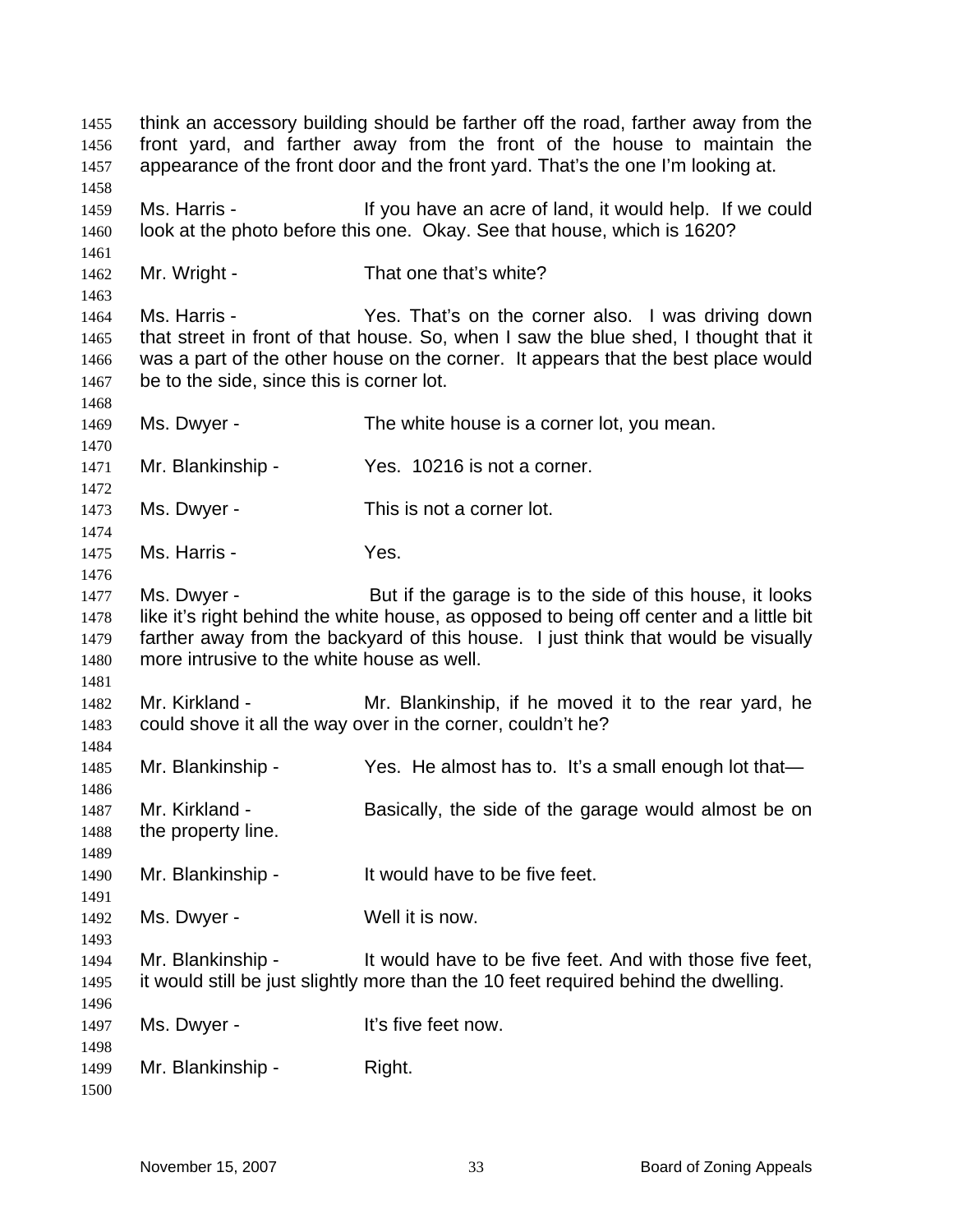think an accessory building should be farther off the road, farther away from the front yard, and farther away from the front of the house to maintain the appearance of the front door and the front yard. That's the one I'm looking at. Ms. Harris - The Music of Islam acre of land, it would help. If we could look at the photo before this one. Okay. See that house, which is 1620? Mr. Wright - That one that's white? Ms. Harris - The Yes. That's on the corner also. I was driving down that street in front of that house. So, when I saw the blue shed, I thought that it was a part of the other house on the corner. It appears that the best place would be to the side, since this is corner lot. Ms. Dwyer - The white house is a corner lot, you mean. Mr. Blankinship - Yes. 10216 is not a corner. Ms. Dwyer - This is not a corner lot. Ms. Harris - Yes. Ms. Dwyer - But if the garage is to the side of this house, it looks like it's right behind the white house, as opposed to being off center and a little bit farther away from the backyard of this house. I just think that would be visually more intrusive to the white house as well. Mr. Kirkland - The Mr. Blankinship, if he moved it to the rear yard, he could shove it all the way over in the corner, couldn't he? Mr. Blankinship - Yes. He almost has to. It's a small enough lot that-Mr. Kirkland - Basically, the side of the garage would almost be on the property line. Mr. Blankinship - It would have to be five feet. Ms. Dwyer - Well it is now. Mr. Blankinship - It would have to be five feet. And with those five feet, it would still be just slightly more than the 10 feet required behind the dwelling. Ms. Dwyer - The Music Controller's five feet now. Mr. Blankinship - Right.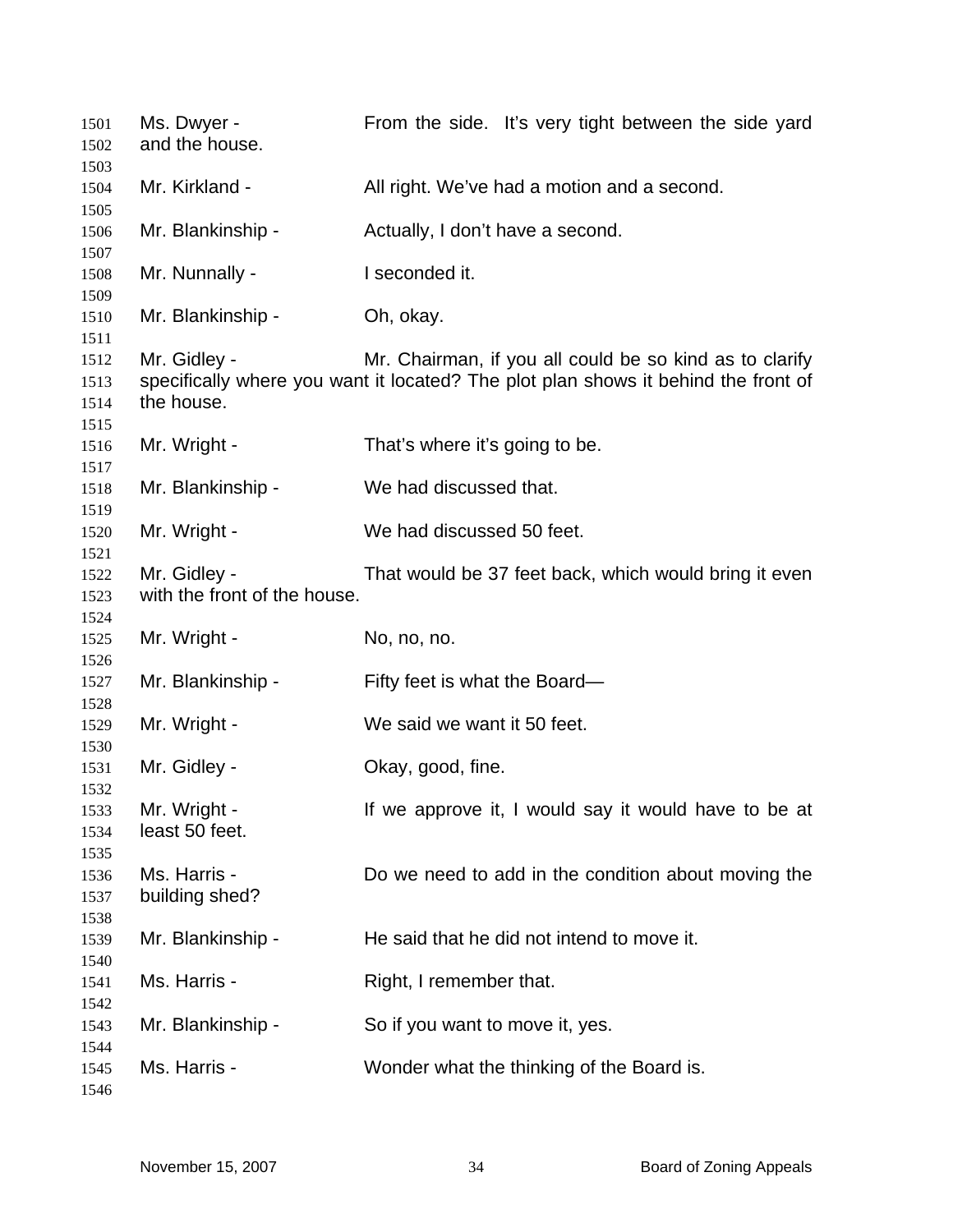| 1501<br>1502                 | Ms. Dwyer -<br>and the house.                | From the side. It's very tight between the side yard                                                                                          |
|------------------------------|----------------------------------------------|-----------------------------------------------------------------------------------------------------------------------------------------------|
| 1503<br>1504<br>1505         | Mr. Kirkland -                               | All right. We've had a motion and a second.                                                                                                   |
| 1506<br>1507                 | Mr. Blankinship -                            | Actually, I don't have a second.                                                                                                              |
| 1508<br>1509                 | Mr. Nunnally -                               | I seconded it.                                                                                                                                |
| 1510<br>1511                 | Mr. Blankinship -                            | Oh, okay.                                                                                                                                     |
| 1512<br>1513<br>1514<br>1515 | Mr. Gidley -<br>the house.                   | Mr. Chairman, if you all could be so kind as to clarify<br>specifically where you want it located? The plot plan shows it behind the front of |
| 1516<br>1517                 | Mr. Wright -                                 | That's where it's going to be.                                                                                                                |
| 1518<br>1519                 | Mr. Blankinship -                            | We had discussed that.                                                                                                                        |
| 1520<br>1521                 | Mr. Wright -                                 | We had discussed 50 feet.                                                                                                                     |
| 1522<br>1523<br>1524         | Mr. Gidley -<br>with the front of the house. | That would be 37 feet back, which would bring it even                                                                                         |
| 1525<br>1526                 | Mr. Wright -                                 | No, no, no.                                                                                                                                   |
| 1527<br>1528                 | Mr. Blankinship -                            | Fifty feet is what the Board-                                                                                                                 |
| 1529<br>1530                 | Mr. Wright -                                 | We said we want it 50 feet.                                                                                                                   |
| 1531<br>1532                 | Mr. Gidley -                                 | Okay, good, fine.                                                                                                                             |
| 1533<br>1534<br>1535         | Mr. Wright -<br>least 50 feet.               | If we approve it, I would say it would have to be at                                                                                          |
| 1536<br>1537<br>1538         | Ms. Harris -<br>building shed?               | Do we need to add in the condition about moving the                                                                                           |
| 1539<br>1540                 | Mr. Blankinship -                            | He said that he did not intend to move it.                                                                                                    |
| 1541<br>1542                 | Ms. Harris -                                 | Right, I remember that.                                                                                                                       |
| 1543<br>1544                 | Mr. Blankinship -                            | So if you want to move it, yes.                                                                                                               |
| 1545<br>1546                 | Ms. Harris -                                 | Wonder what the thinking of the Board is.                                                                                                     |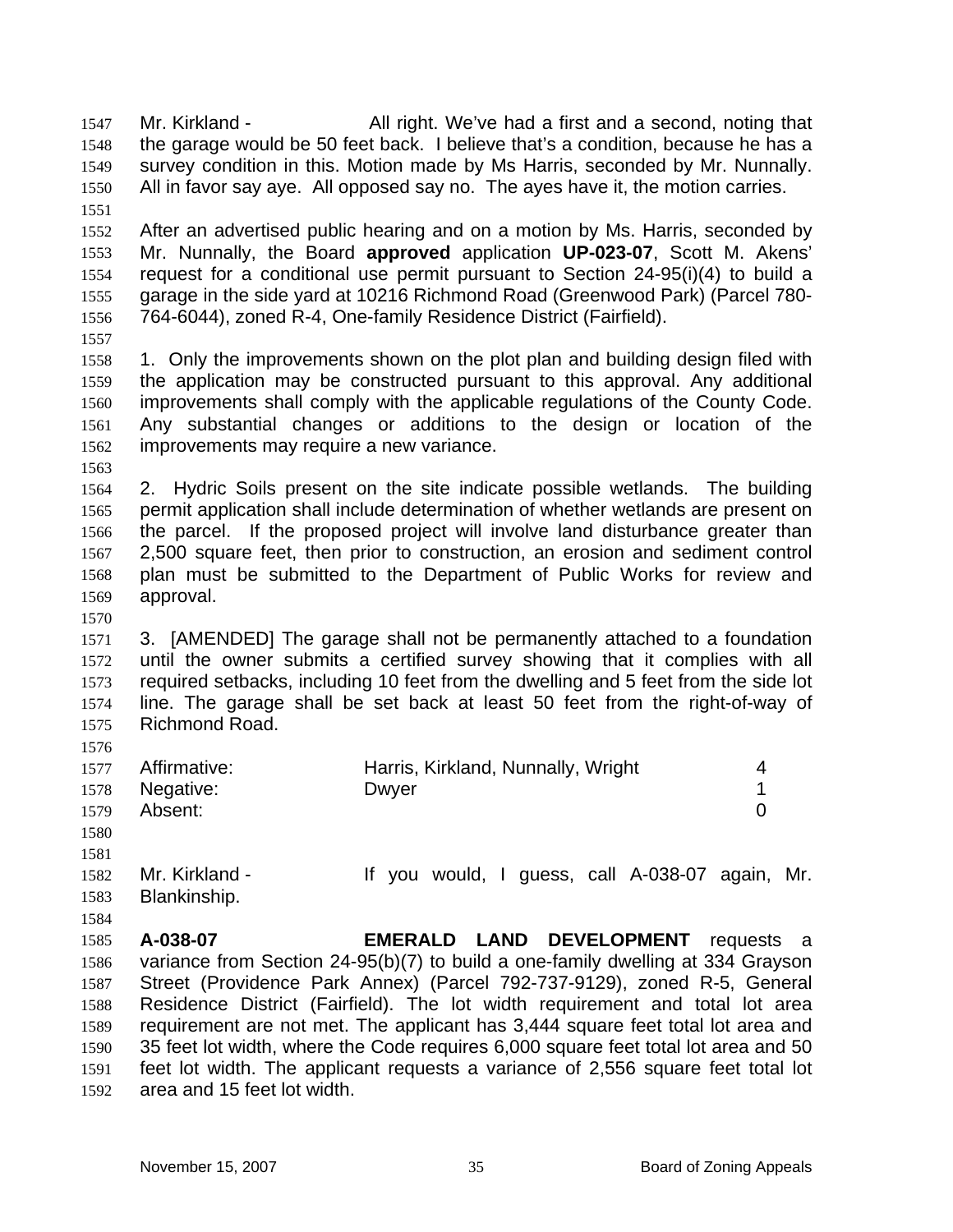Mr. Kirkland - All right. We've had a first and a second, noting that the garage would be 50 feet back. I believe that's a condition, because he has a survey condition in this. Motion made by Ms Harris, seconded by Mr. Nunnally. All in favor say aye. All opposed say no. The ayes have it, the motion carries. 1547 1548 1549 1550 1551 1552 1553 1554 1555 1556 1557 1558 1559 1560 1561 1562 1563 1564 1565 1566 1567 1568 1569 1570 1571 1572 1573 1574 1575 1576 1577 1578 1579 1580 1581 1582 1583 1584 1585 1586 1587 1588 1589 1590 1591 1592 After an advertised public hearing and on a motion by Ms. Harris, seconded by Mr. Nunnally, the Board **approved** application **UP-023-07**, Scott M. Akens' request for a conditional use permit pursuant to Section 24-95(i)(4) to build a garage in the side yard at 10216 Richmond Road (Greenwood Park) (Parcel 780- 764-6044), zoned R-4, One-family Residence District (Fairfield). 1. Only the improvements shown on the plot plan and building design filed with the application may be constructed pursuant to this approval. Any additional improvements shall comply with the applicable regulations of the County Code. Any substantial changes or additions to the design or location of the improvements may require a new variance. 2. Hydric Soils present on the site indicate possible wetlands. The building permit application shall include determination of whether wetlands are present on the parcel. If the proposed project will involve land disturbance greater than 2,500 square feet, then prior to construction, an erosion and sediment control plan must be submitted to the Department of Public Works for review and approval. 3. [AMENDED] The garage shall not be permanently attached to a foundation until the owner submits a certified survey showing that it complies with all required setbacks, including 10 feet from the dwelling and 5 feet from the side lot line. The garage shall be set back at least 50 feet from the right-of-way of Richmond Road. Affirmative: **Harris, Kirkland, Nunnally, Wright** 4 Negative: Dwyer 2008 Dwyer 2009 Absent: 0 Mr. Kirkland - The Music of the Vou would, I guess, call A-038-07 again, Mr. Blankinship. **A-038-07 EMERALD LAND DEVELOPMENT** requests a variance from Section 24-95(b)(7) to build a one-family dwelling at 334 Grayson Street (Providence Park Annex) (Parcel 792-737-9129), zoned R-5, General Residence District (Fairfield). The lot width requirement and total lot area requirement are not met. The applicant has 3,444 square feet total lot area and 35 feet lot width, where the Code requires 6,000 square feet total lot area and 50 feet lot width. The applicant requests a variance of 2,556 square feet total lot area and 15 feet lot width.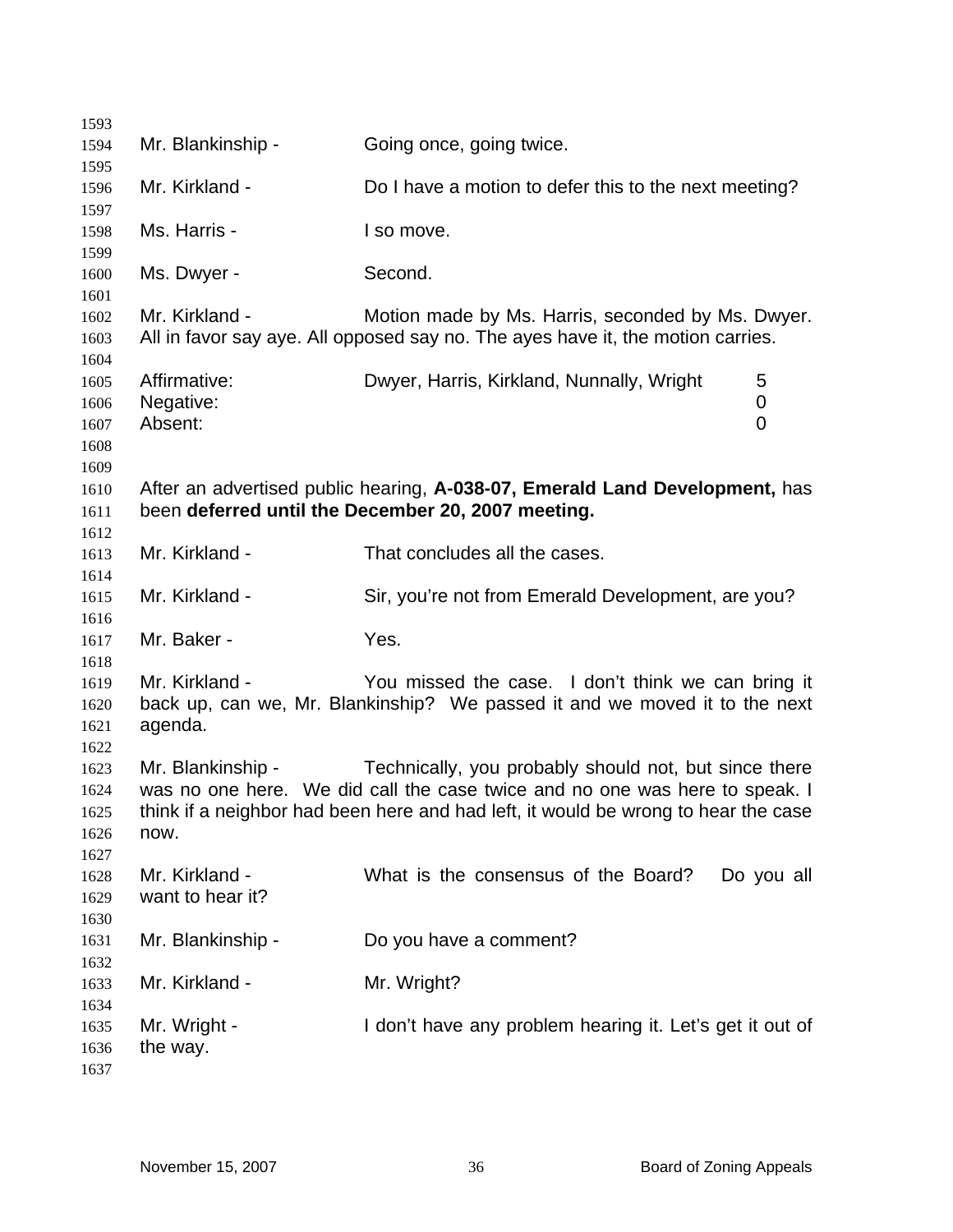| 1593                                 |                                      |                                                                                                                                                                                                                            |
|--------------------------------------|--------------------------------------|----------------------------------------------------------------------------------------------------------------------------------------------------------------------------------------------------------------------------|
| 1594                                 | Mr. Blankinship -                    | Going once, going twice.                                                                                                                                                                                                   |
| 1595                                 |                                      |                                                                                                                                                                                                                            |
| 1596                                 | Mr. Kirkland -                       | Do I have a motion to defer this to the next meeting?                                                                                                                                                                      |
| 1597<br>1598                         | Ms. Harris -                         | I so move.                                                                                                                                                                                                                 |
| 1599<br>1600                         | Ms. Dwyer -                          | Second.                                                                                                                                                                                                                    |
| 1601<br>1602<br>1603<br>1604         | Mr. Kirkland -                       | Motion made by Ms. Harris, seconded by Ms. Dwyer.<br>All in favor say aye. All opposed say no. The ayes have it, the motion carries.                                                                                       |
| 1605<br>1606<br>1607<br>1608<br>1609 | Affirmative:<br>Negative:<br>Absent: | Dwyer, Harris, Kirkland, Nunnally, Wright<br>5<br>0<br>0                                                                                                                                                                   |
| 1610<br>1611<br>1612                 |                                      | After an advertised public hearing, A-038-07, Emerald Land Development, has<br>been deferred until the December 20, 2007 meeting.                                                                                          |
| 1613<br>1614                         | Mr. Kirkland -                       | That concludes all the cases.                                                                                                                                                                                              |
| 1615                                 | Mr. Kirkland -                       | Sir, you're not from Emerald Development, are you?                                                                                                                                                                         |
| 1616<br>1617                         | Mr. Baker -                          | Yes.                                                                                                                                                                                                                       |
| 1618<br>1619<br>1620<br>1621         | Mr. Kirkland -<br>agenda.            | You missed the case. I don't think we can bring it<br>back up, can we, Mr. Blankinship? We passed it and we moved it to the next                                                                                           |
| 1622<br>1623<br>1624<br>1625<br>1626 | Mr. Blankinship -<br>now.            | Technically, you probably should not, but since there<br>was no one here. We did call the case twice and no one was here to speak. I<br>think if a neighbor had been here and had left, it would be wrong to hear the case |
| 1627<br>1628<br>1629                 | Mr. Kirkland -<br>want to hear it?   | What is the consensus of the Board?<br>Do you all                                                                                                                                                                          |
| 1630<br>1631                         | Mr. Blankinship -                    | Do you have a comment?                                                                                                                                                                                                     |
| 1632<br>1633                         | Mr. Kirkland -                       | Mr. Wright?                                                                                                                                                                                                                |
| 1634<br>1635<br>1636<br>1637         | Mr. Wright -<br>the way.             | I don't have any problem hearing it. Let's get it out of                                                                                                                                                                   |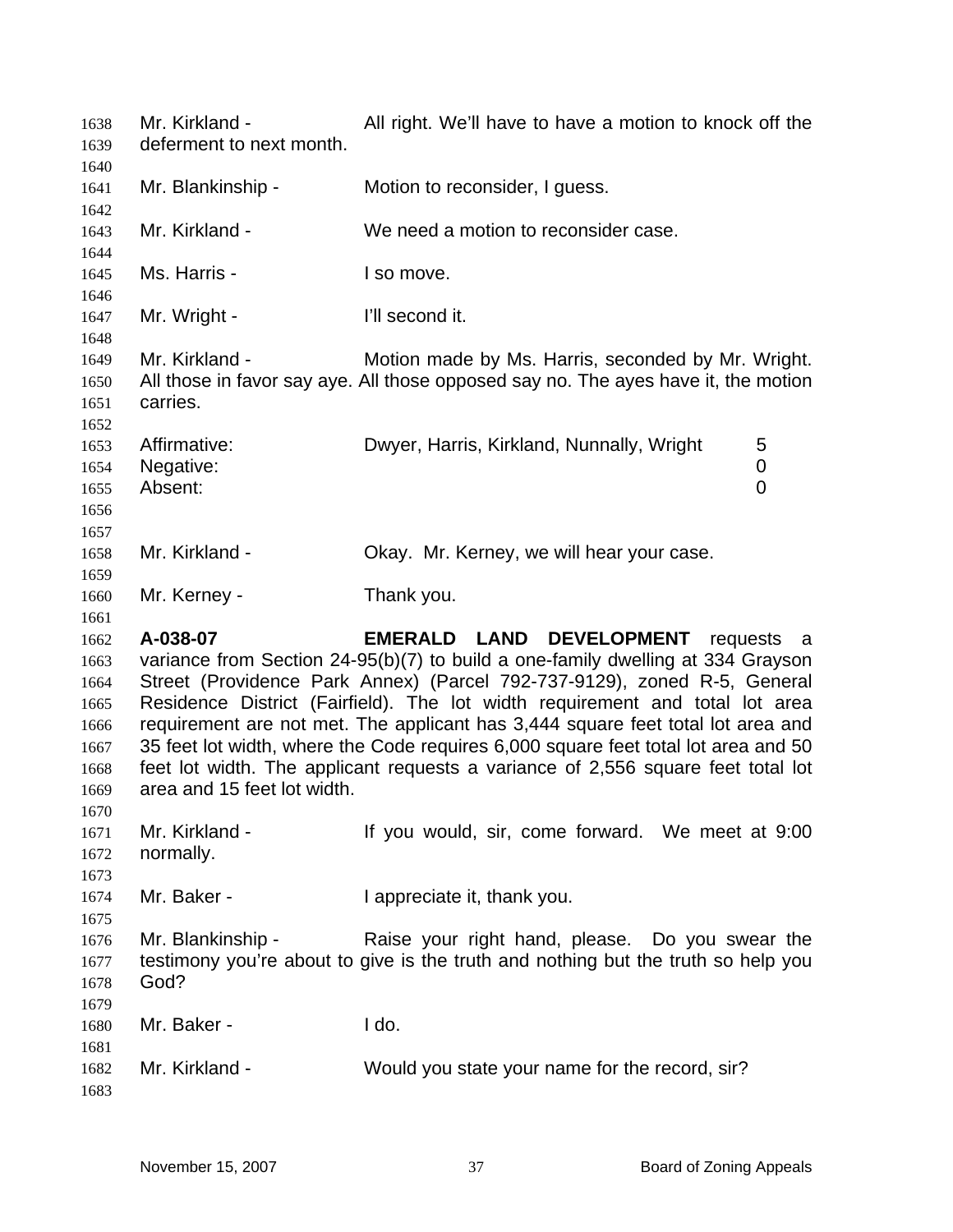| 1638<br>1639                                                         | Mr. Kirkland -<br>deferment to next month. | All right. We'll have to have a motion to knock off the                                                                                                                                                                                                                                                                                                                                                                                                                                                                                          |     |
|----------------------------------------------------------------------|--------------------------------------------|--------------------------------------------------------------------------------------------------------------------------------------------------------------------------------------------------------------------------------------------------------------------------------------------------------------------------------------------------------------------------------------------------------------------------------------------------------------------------------------------------------------------------------------------------|-----|
| 1640<br>1641<br>1642                                                 | Mr. Blankinship -                          | Motion to reconsider, I guess.                                                                                                                                                                                                                                                                                                                                                                                                                                                                                                                   |     |
| 1643<br>1644                                                         | Mr. Kirkland -                             | We need a motion to reconsider case.                                                                                                                                                                                                                                                                                                                                                                                                                                                                                                             |     |
| 1645<br>1646                                                         | Ms. Harris -                               | I so move.                                                                                                                                                                                                                                                                                                                                                                                                                                                                                                                                       |     |
| 1647<br>1648                                                         | Mr. Wright -                               | I'll second it.                                                                                                                                                                                                                                                                                                                                                                                                                                                                                                                                  |     |
| 1649<br>1650<br>1651<br>1652                                         | Mr. Kirkland -<br>carries.                 | Motion made by Ms. Harris, seconded by Mr. Wright.<br>All those in favor say aye. All those opposed say no. The ayes have it, the motion                                                                                                                                                                                                                                                                                                                                                                                                         |     |
| 1653<br>1654<br>1655<br>1656<br>1657                                 | Affirmative:<br>Negative:<br>Absent:       | Dwyer, Harris, Kirkland, Nunnally, Wright<br>5<br>$\pmb{0}$<br>$\overline{0}$                                                                                                                                                                                                                                                                                                                                                                                                                                                                    |     |
| 1658<br>1659                                                         | Mr. Kirkland -                             | Okay. Mr. Kerney, we will hear your case.                                                                                                                                                                                                                                                                                                                                                                                                                                                                                                        |     |
| 1660<br>1661                                                         | Mr. Kerney -                               | Thank you.                                                                                                                                                                                                                                                                                                                                                                                                                                                                                                                                       |     |
| 1662<br>1663<br>1664<br>1665<br>1666<br>1667<br>1668<br>1669<br>1670 | A-038-07<br>area and 15 feet lot width.    | EMERALD LAND DEVELOPMENT<br>requests<br>variance from Section 24-95(b)(7) to build a one-family dwelling at 334 Grayson<br>Street (Providence Park Annex) (Parcel 792-737-9129), zoned R-5, General<br>Residence District (Fairfield). The lot width requirement and total lot area<br>requirement are not met. The applicant has 3,444 square feet total lot area and<br>35 feet lot width, where the Code requires 6,000 square feet total lot area and 50<br>feet lot width. The applicant requests a variance of 2,556 square feet total lot | a a |
| 1671<br>1672<br>1673                                                 | Mr. Kirkland -<br>normally.                | If you would, sir, come forward. We meet at 9:00                                                                                                                                                                                                                                                                                                                                                                                                                                                                                                 |     |
| 1674<br>1675                                                         | Mr. Baker -                                | I appreciate it, thank you.                                                                                                                                                                                                                                                                                                                                                                                                                                                                                                                      |     |
| 1676<br>1677<br>1678                                                 | Mr. Blankinship -<br>God?                  | Raise your right hand, please. Do you swear the<br>testimony you're about to give is the truth and nothing but the truth so help you                                                                                                                                                                                                                                                                                                                                                                                                             |     |
| 1679<br>1680                                                         | Mr. Baker -                                | I do.                                                                                                                                                                                                                                                                                                                                                                                                                                                                                                                                            |     |
| 1681<br>1682<br>1683                                                 | Mr. Kirkland -                             | Would you state your name for the record, sir?                                                                                                                                                                                                                                                                                                                                                                                                                                                                                                   |     |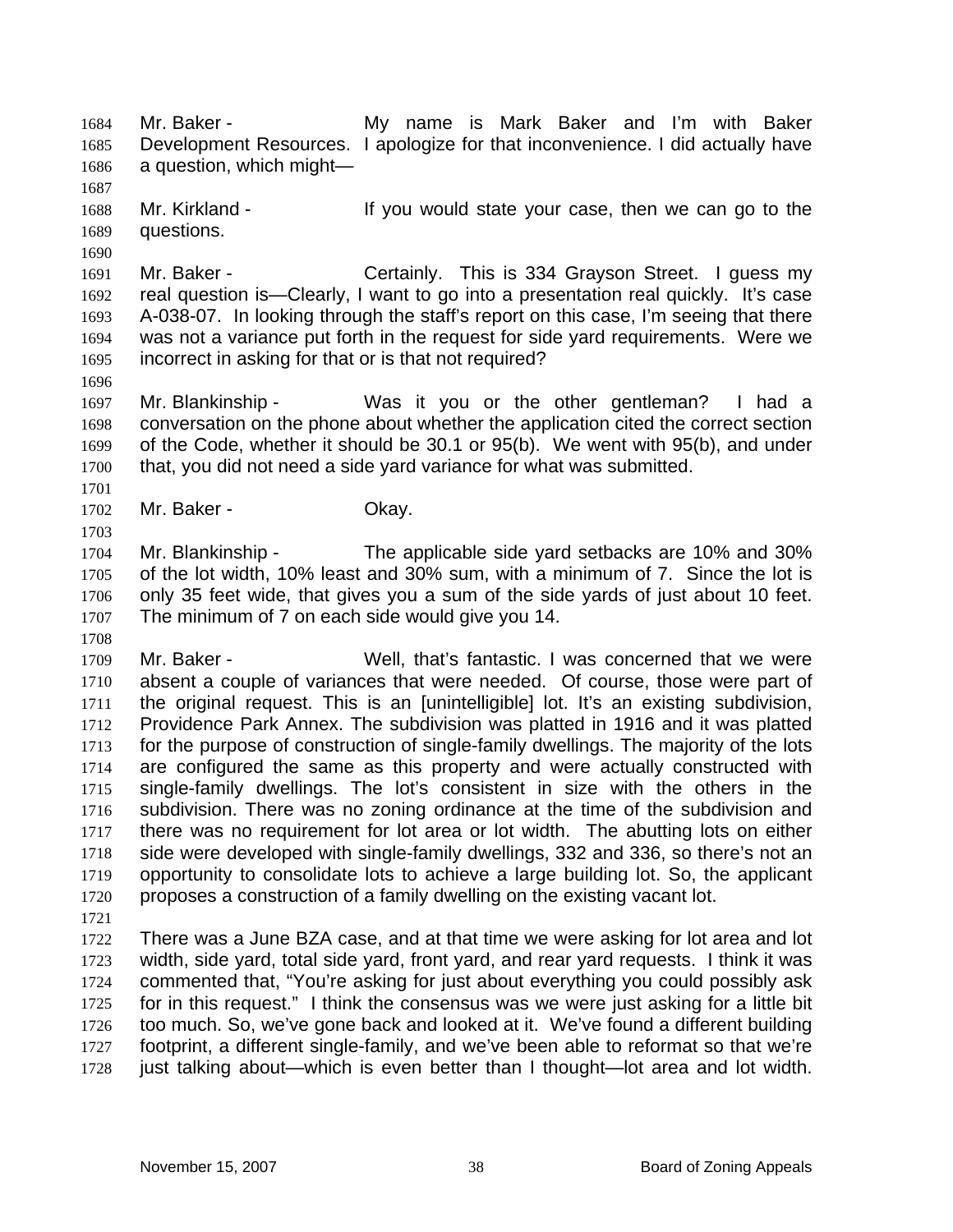Mr. Baker - My name is Mark Baker and I'm with Baker Development Resources. I apologize for that inconvenience. I did actually have a question, which might— 1684 1685 1686

1688 1689 Mr. Kirkland - The Mr ou would state your case, then we can go to the questions.

1691 1692 1693 1694 1695 Mr. Baker - Certainly. This is 334 Grayson Street. I guess my real question is—Clearly, I want to go into a presentation real quickly. It's case A-038-07. In looking through the staff's report on this case, I'm seeing that there was not a variance put forth in the request for side yard requirements. Were we incorrect in asking for that or is that not required?

1697 1698 1699 1700 Mr. Blankinship - Was it you or the other gentleman? I had a conversation on the phone about whether the application cited the correct section of the Code, whether it should be 30.1 or 95(b). We went with 95(b), and under that, you did not need a side yard variance for what was submitted.

1702 Mr. Baker - Chay.

1704 1705 1706 1707 Mr. Blankinship - The applicable side yard setbacks are 10% and 30% of the lot width, 10% least and 30% sum, with a minimum of 7. Since the lot is only 35 feet wide, that gives you a sum of the side yards of just about 10 feet. The minimum of 7 on each side would give you 14.

1709 1710 1711 1712 1713 1714 1715 1716 1717 1718 1719 1720 Mr. Baker - Well, that's fantastic. I was concerned that we were absent a couple of variances that were needed. Of course, those were part of the original request. This is an [unintelligible] lot. It's an existing subdivision, Providence Park Annex. The subdivision was platted in 1916 and it was platted for the purpose of construction of single-family dwellings. The majority of the lots are configured the same as this property and were actually constructed with single-family dwellings. The lot's consistent in size with the others in the subdivision. There was no zoning ordinance at the time of the subdivision and there was no requirement for lot area or lot width. The abutting lots on either side were developed with single-family dwellings, 332 and 336, so there's not an opportunity to consolidate lots to achieve a large building lot. So, the applicant proposes a construction of a family dwelling on the existing vacant lot.

1721

1687

1690

1696

1701

1703

1708

1722 1723 1724 1725 1726 1727 1728 There was a June BZA case, and at that time we were asking for lot area and lot width, side yard, total side yard, front yard, and rear yard requests. I think it was commented that, "You're asking for just about everything you could possibly ask for in this request." I think the consensus was we were just asking for a little bit too much. So, we've gone back and looked at it. We've found a different building footprint, a different single-family, and we've been able to reformat so that we're just talking about—which is even better than I thought—lot area and lot width.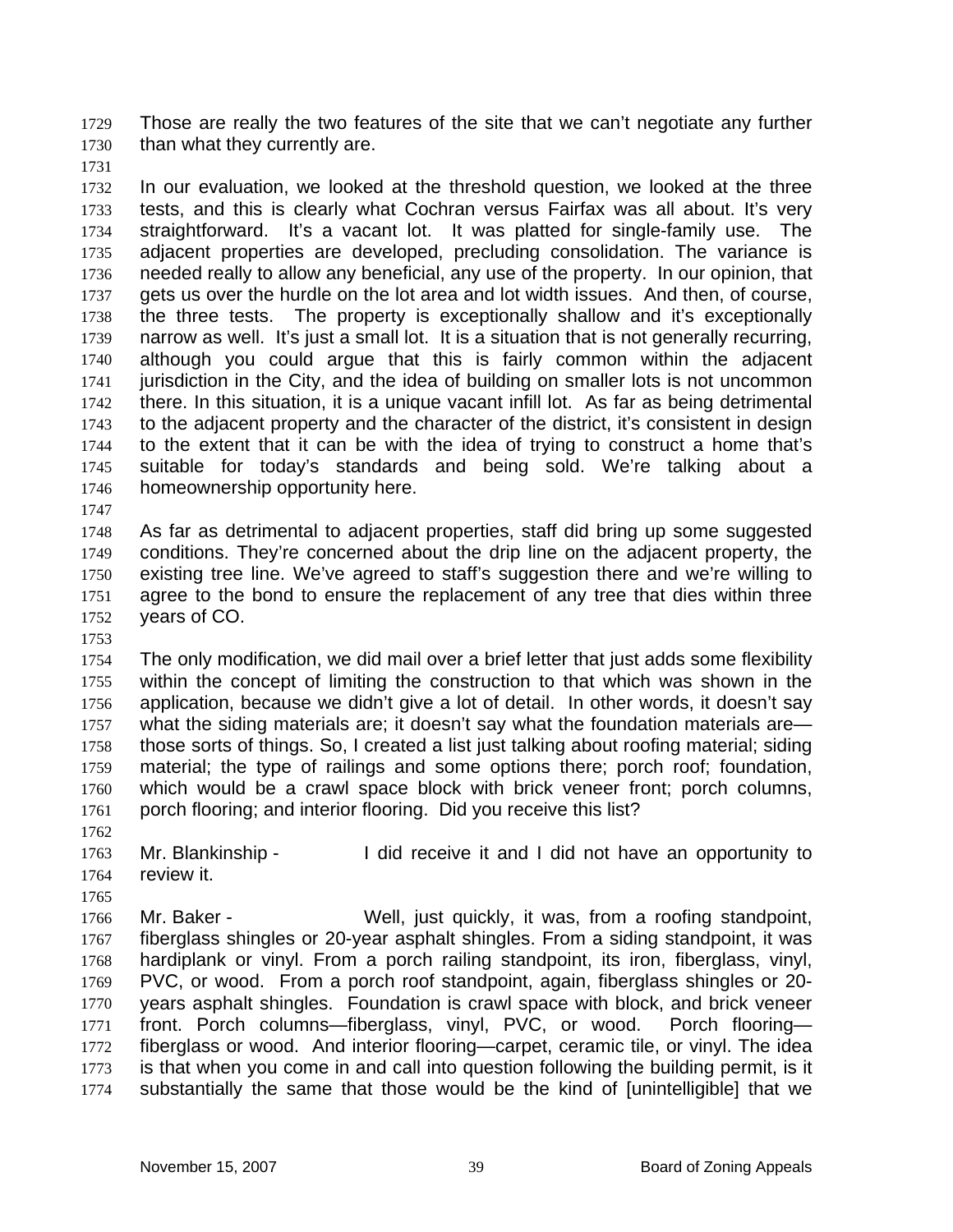Those are really the two features of the site that we can't negotiate any further than what they currently are. 1729 1730

1731

1732 1733 1734 1735 1736 1737 1738 1739 1740 1741 1742 1743 1744 1745 1746 In our evaluation, we looked at the threshold question, we looked at the three tests, and this is clearly what Cochran versus Fairfax was all about. It's very straightforward. It's a vacant lot. It was platted for single-family use. The adjacent properties are developed, precluding consolidation. The variance is needed really to allow any beneficial, any use of the property. In our opinion, that gets us over the hurdle on the lot area and lot width issues. And then, of course, the three tests. The property is exceptionally shallow and it's exceptionally narrow as well. It's just a small lot. It is a situation that is not generally recurring, although you could argue that this is fairly common within the adjacent jurisdiction in the City, and the idea of building on smaller lots is not uncommon there. In this situation, it is a unique vacant infill lot. As far as being detrimental to the adjacent property and the character of the district, it's consistent in design to the extent that it can be with the idea of trying to construct a home that's suitable for today's standards and being sold. We're talking about a homeownership opportunity here.

1748 1749 1750 1751 1752 As far as detrimental to adjacent properties, staff did bring up some suggested conditions. They're concerned about the drip line on the adjacent property, the existing tree line. We've agreed to staff's suggestion there and we're willing to agree to the bond to ensure the replacement of any tree that dies within three years of CO.

1753

1747

1754 1755 1756 1757 1758 1759 1760 1761 The only modification, we did mail over a brief letter that just adds some flexibility within the concept of limiting the construction to that which was shown in the application, because we didn't give a lot of detail. In other words, it doesn't say what the siding materials are; it doesn't say what the foundation materials are those sorts of things. So, I created a list just talking about roofing material; siding material; the type of railings and some options there; porch roof; foundation, which would be a crawl space block with brick veneer front; porch columns, porch flooring; and interior flooring. Did you receive this list?

1762

1765

1763 1764 Mr. Blankinship - I did receive it and I did not have an opportunity to review it.

1766 1767 1768 1769 1770 1771 1772 1773 1774 Mr. Baker - **Well, just quickly, it was, from a roofing standpoint**, fiberglass shingles or 20-year asphalt shingles. From a siding standpoint, it was hardiplank or vinyl. From a porch railing standpoint, its iron, fiberglass, vinyl, PVC, or wood. From a porch roof standpoint, again, fiberglass shingles or 20 years asphalt shingles. Foundation is crawl space with block, and brick veneer front. Porch columns—fiberglass, vinyl, PVC, or wood. Porch flooring fiberglass or wood. And interior flooring—carpet, ceramic tile, or vinyl. The idea is that when you come in and call into question following the building permit, is it substantially the same that those would be the kind of [unintelligible] that we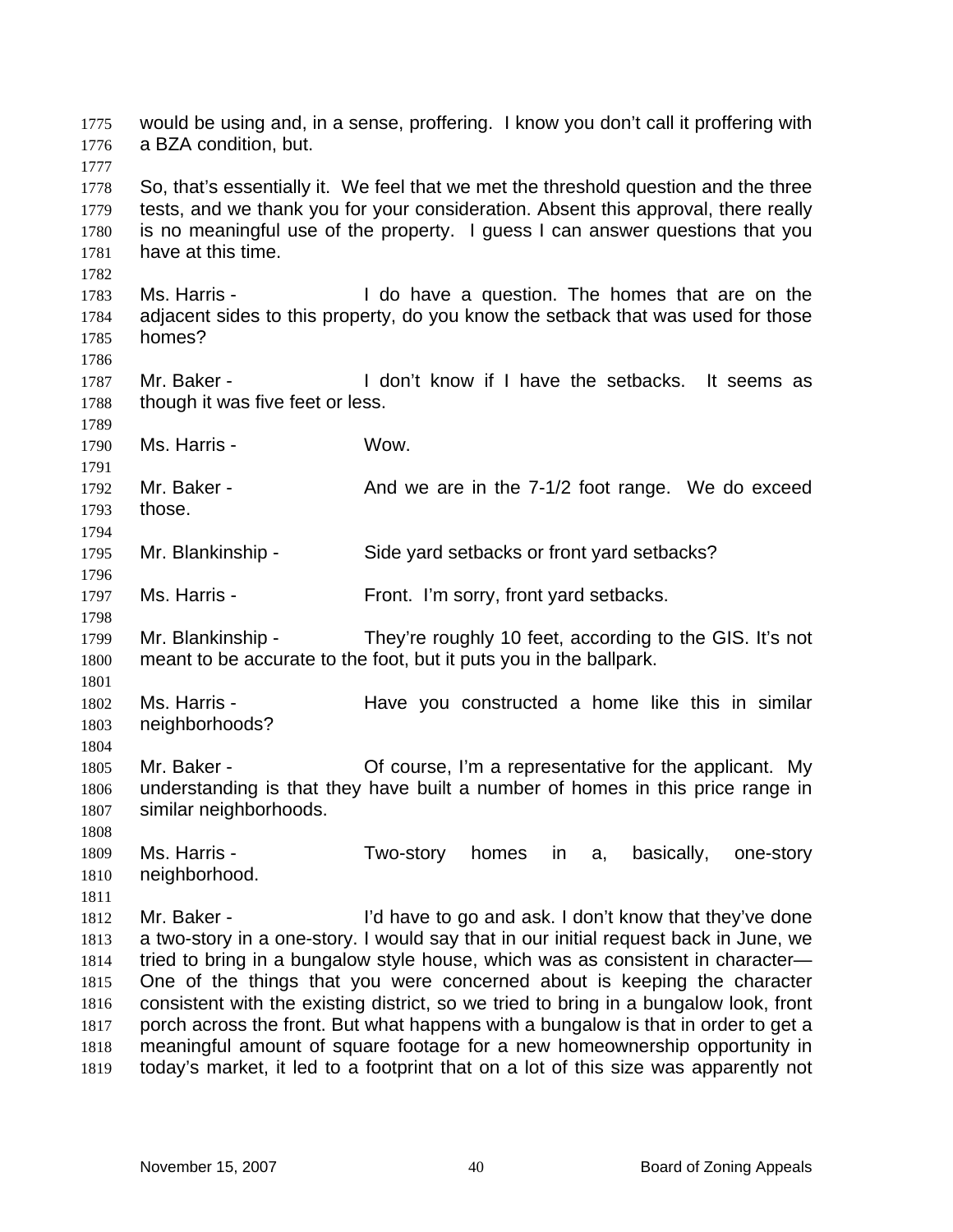would be using and, in a sense, proffering. I know you don't call it proffering with a BZA condition, but. 1775 1776 1777 1778 1779 1780 1781 1782 1783 1784 1785 1786 1787 1788 1789 1790 1791 1792 1793 1794 1795 1796 1797 1798 1799 1800 1801 1802 1803 1804 1805 1806 1807 1808 1809 1810 1811 1812 1813 1814 1815 1816 1817 1818 1819 So, that's essentially it. We feel that we met the threshold question and the three tests, and we thank you for your consideration. Absent this approval, there really is no meaningful use of the property. I guess I can answer questions that you have at this time. Ms. Harris - The Maxe a question. The homes that are on the adjacent sides to this property, do you know the setback that was used for those homes? Mr. Baker - The School Loon't know if I have the setbacks. It seems as though it was five feet or less. Ms. Harris - Wow. Mr. Baker - And we are in the 7-1/2 foot range. We do exceed those. Mr. Blankinship - Side yard setbacks or front yard setbacks? Ms. Harris - Front. I'm sorry, front yard setbacks. Mr. Blankinship - They're roughly 10 feet, according to the GIS. It's not meant to be accurate to the foot, but it puts you in the ballpark. Ms. Harris - The Have you constructed a home like this in similar neighborhoods? Mr. Baker - Of course, I'm a representative for the applicant. My understanding is that they have built a number of homes in this price range in similar neighborhoods. Ms. Harris - Two-story homes in a, basically, one-story neighborhood. Mr. Baker - I'd have to go and ask. I don't know that they've done a two-story in a one-story. I would say that in our initial request back in June, we tried to bring in a bungalow style house, which was as consistent in character— One of the things that you were concerned about is keeping the character consistent with the existing district, so we tried to bring in a bungalow look, front porch across the front. But what happens with a bungalow is that in order to get a meaningful amount of square footage for a new homeownership opportunity in today's market, it led to a footprint that on a lot of this size was apparently not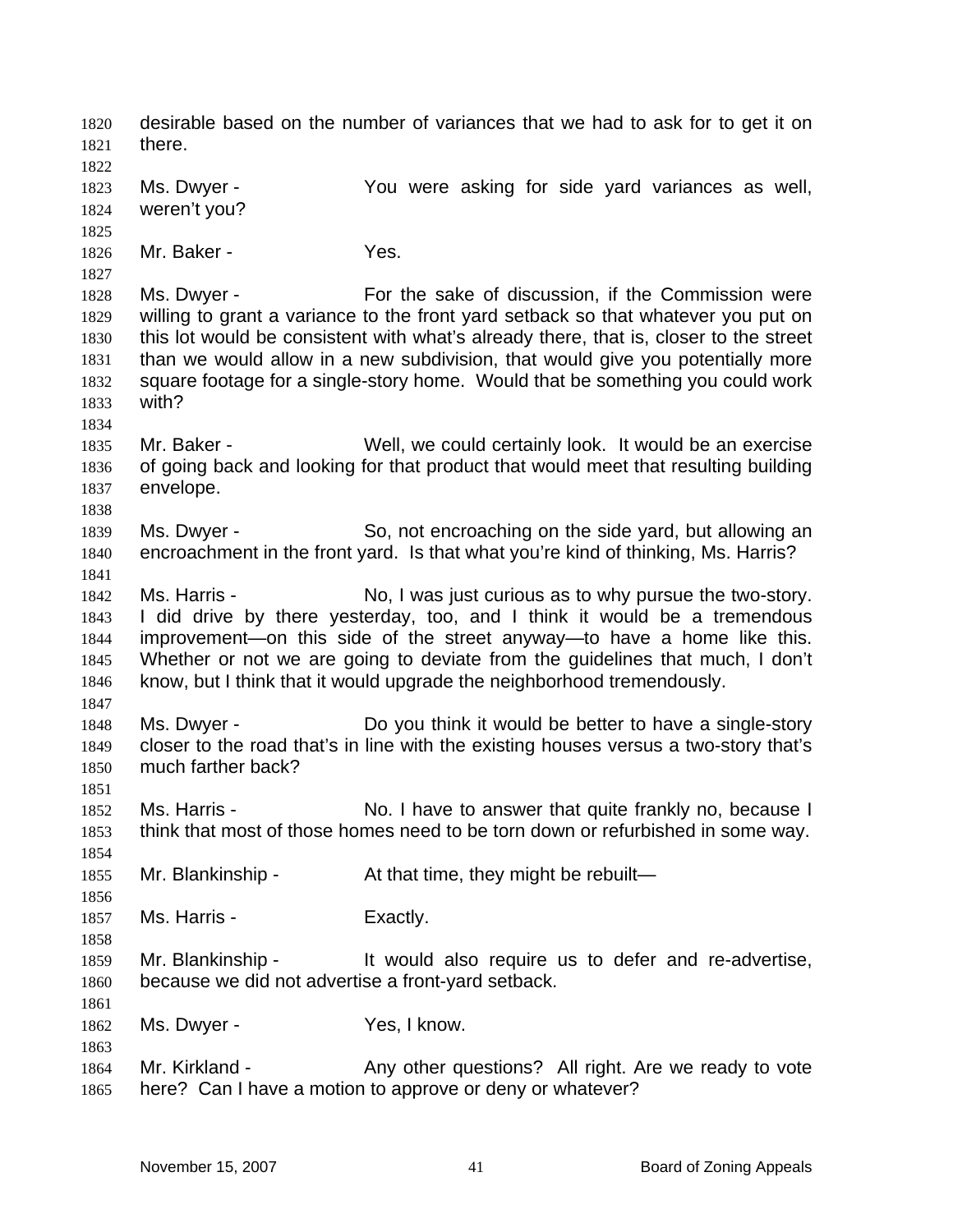desirable based on the number of variances that we had to ask for to get it on there. 1820 1821 1822 1823 1824 1825 1826 1827 1828 1829 1830 1831 1832 1833 1834 1835 1836 1837 1838 1839 1840 1841 1842 1843 1844 1845 1846 1847 1848 1849 1850 1851 1852 1853 1854 1855 1856 1857 1858 1859 1860 1861 1862 1863 1864 1865 Ms. Dwyer - The You were asking for side yard variances as well, weren't you? Mr. Baker - Yes. Ms. Dwyer - For the sake of discussion, if the Commission were willing to grant a variance to the front yard setback so that whatever you put on this lot would be consistent with what's already there, that is, closer to the street than we would allow in a new subdivision, that would give you potentially more square footage for a single-story home. Would that be something you could work with? Mr. Baker - Well, we could certainly look. It would be an exercise of going back and looking for that product that would meet that resulting building envelope. Ms. Dwyer - So, not encroaching on the side yard, but allowing an encroachment in the front yard. Is that what you're kind of thinking, Ms. Harris? Ms. Harris - No, I was just curious as to why pursue the two-story. I did drive by there yesterday, too, and I think it would be a tremendous improvement—on this side of the street anyway—to have a home like this. Whether or not we are going to deviate from the quidelines that much. I don't know, but I think that it would upgrade the neighborhood tremendously. Ms. Dwyer - Do you think it would be better to have a single-story closer to the road that's in line with the existing houses versus a two-story that's much farther back? Ms. Harris - No. I have to answer that quite frankly no, because I think that most of those homes need to be torn down or refurbished in some way. Mr. Blankinship - At that time, they might be rebuilt— Ms. Harris - Exactly. Mr. Blankinship - The Vould also require us to defer and re-advertise, because we did not advertise a front-yard setback. Ms. Dwyer - Yes, I know. Mr. Kirkland - Any other questions? All right. Are we ready to vote here? Can I have a motion to approve or deny or whatever?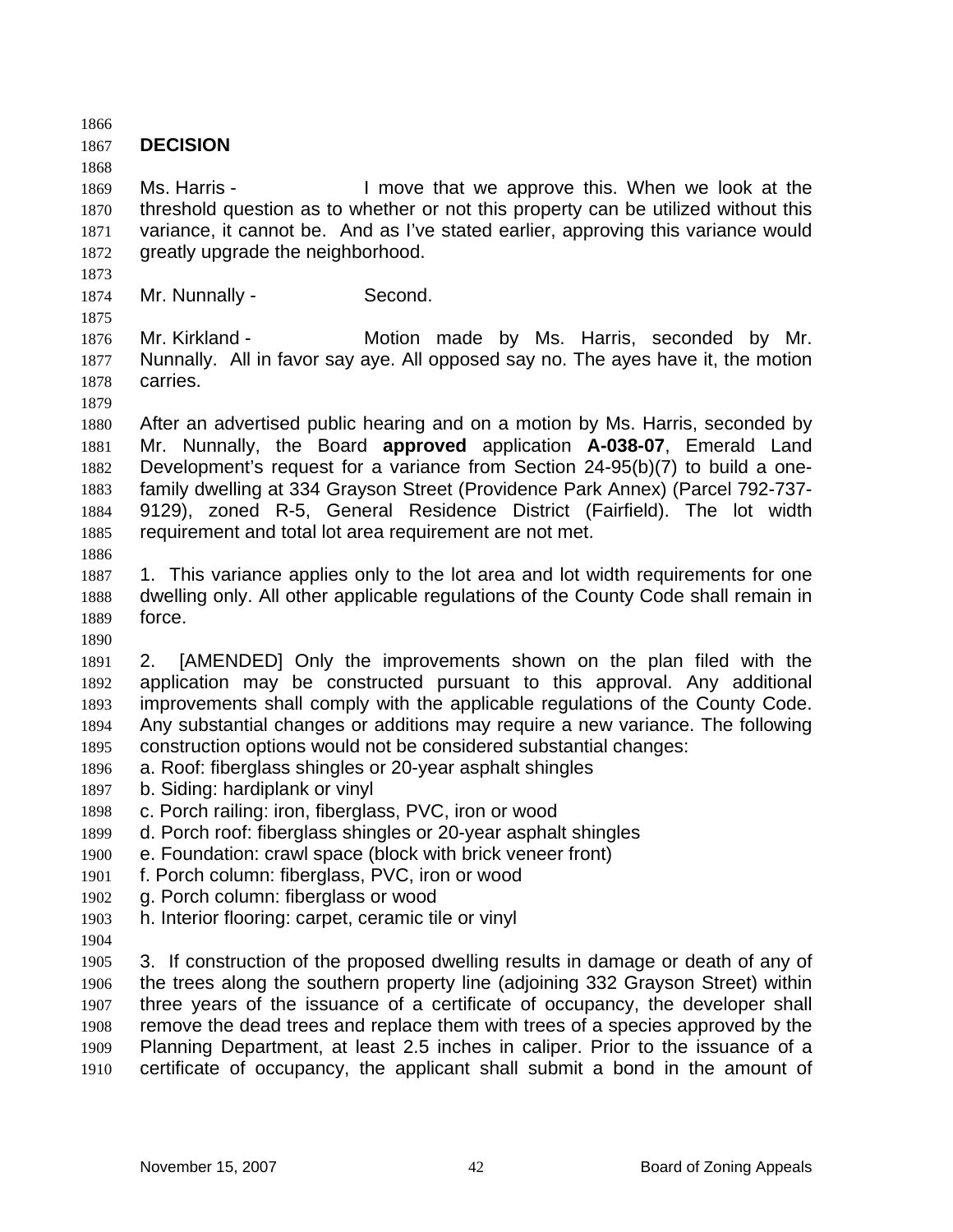1866 1867 1868 1869 1870 1871 1872 1873 1874 1875 1876 1877 1878 1879 1880 1881 1882 1883 1884 1885 1886 1887 1888 1889 1890 1891 1892 1893 1894 1895 1896 1897 1898 1899 1900 1901 1902 1903 1904 1905 1906 1907 1908 1909 1910 **DECISION**  Ms. Harris - The Move that we approve this. When we look at the threshold question as to whether or not this property can be utilized without this variance, it cannot be. And as I've stated earlier, approving this variance would greatly upgrade the neighborhood. Mr. Nunnally - Second. Mr. Kirkland - The Motion made by Ms. Harris, seconded by Mr. Nunnally. All in favor say aye. All opposed say no. The ayes have it, the motion carries. After an advertised public hearing and on a motion by Ms. Harris, seconded by Mr. Nunnally, the Board **approved** application **A-038-07**, Emerald Land Development's request for a variance from Section 24-95(b)(7) to build a onefamily dwelling at 334 Grayson Street (Providence Park Annex) (Parcel 792-737- 9129), zoned R-5, General Residence District (Fairfield). The lot width requirement and total lot area requirement are not met. 1. This variance applies only to the lot area and lot width requirements for one dwelling only. All other applicable regulations of the County Code shall remain in force. 2. [AMENDED] Only the improvements shown on the plan filed with the application may be constructed pursuant to this approval. Any additional improvements shall comply with the applicable regulations of the County Code. Any substantial changes or additions may require a new variance. The following construction options would not be considered substantial changes: a. Roof: fiberglass shingles or 20-year asphalt shingles b. Siding: hardiplank or vinyl c. Porch railing: iron, fiberglass, PVC, iron or wood d. Porch roof: fiberglass shingles or 20-year asphalt shingles e. Foundation: crawl space (block with brick veneer front) f. Porch column: fiberglass, PVC, iron or wood g. Porch column: fiberglass or wood h. Interior flooring: carpet, ceramic tile or vinyl 3. If construction of the proposed dwelling results in damage or death of any of the trees along the southern property line (adjoining 332 Grayson Street) within three years of the issuance of a certificate of occupancy, the developer shall remove the dead trees and replace them with trees of a species approved by the Planning Department, at least 2.5 inches in caliper. Prior to the issuance of a certificate of occupancy, the applicant shall submit a bond in the amount of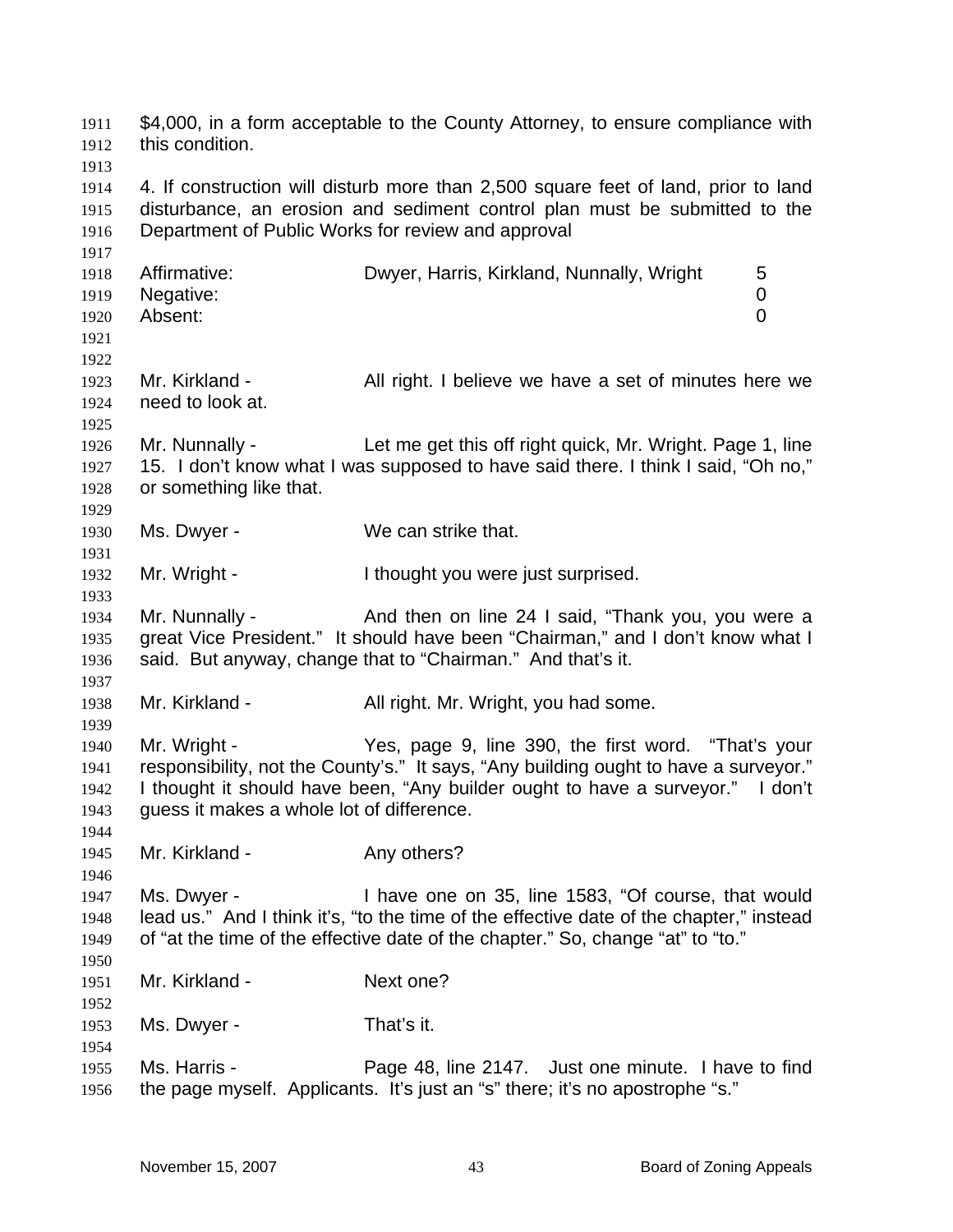\$4,000, in a form acceptable to the County Attorney, to ensure compliance with this condition. 1911 1912 1913 1914 1915 1916 1917 1918 1919 1920 1921 1922 1923 1924 1925 1926 1927 1928 1929 1930 1931 1932 1933 1934 1935 1936 1937 1938 1939 1940 1941 1942 1943 1944 1945 1946 1947 1948 1949 1950 1951 1952 1953 1954 1955 1956 4. If construction will disturb more than 2,500 square feet of land, prior to land disturbance, an erosion and sediment control plan must be submitted to the Department of Public Works for review and approval Affirmative: Dwyer, Harris, Kirkland, Nunnally, Wright 5 Negative: 0 Absent: 0 Mr. Kirkland - All right. I believe we have a set of minutes here we need to look at. Mr. Nunnally - Let me get this off right quick, Mr. Wright. Page 1, line 15. I don't know what I was supposed to have said there. I think I said, "Oh no," or something like that. Ms. Dwyer - We can strike that. Mr. Wright - Thought you were just surprised. Mr. Nunnally - And then on line 24 I said, "Thank you, you were a great Vice President." It should have been "Chairman," and I don't know what I said. But anyway, change that to "Chairman." And that's it. Mr. Kirkland - All right. Mr. Wright, you had some. Mr. Wright - Yes, page 9, line 390, the first word. "That's your responsibility, not the County's." It says, "Any building ought to have a surveyor." I thought it should have been, "Any builder ought to have a surveyor." I don't guess it makes a whole lot of difference. Mr. Kirkland - Any others? Ms. Dwyer - I have one on 35, line 1583, "Of course, that would lead us." And I think it's, "to the time of the effective date of the chapter," instead of "at the time of the effective date of the chapter." So, change "at" to "to." Mr. Kirkland - Next one? Ms. Dwyer - That's it. Ms. Harris - Page 48, line 2147. Just one minute. I have to find the page myself. Applicants. It's just an "s" there; it's no apostrophe "s."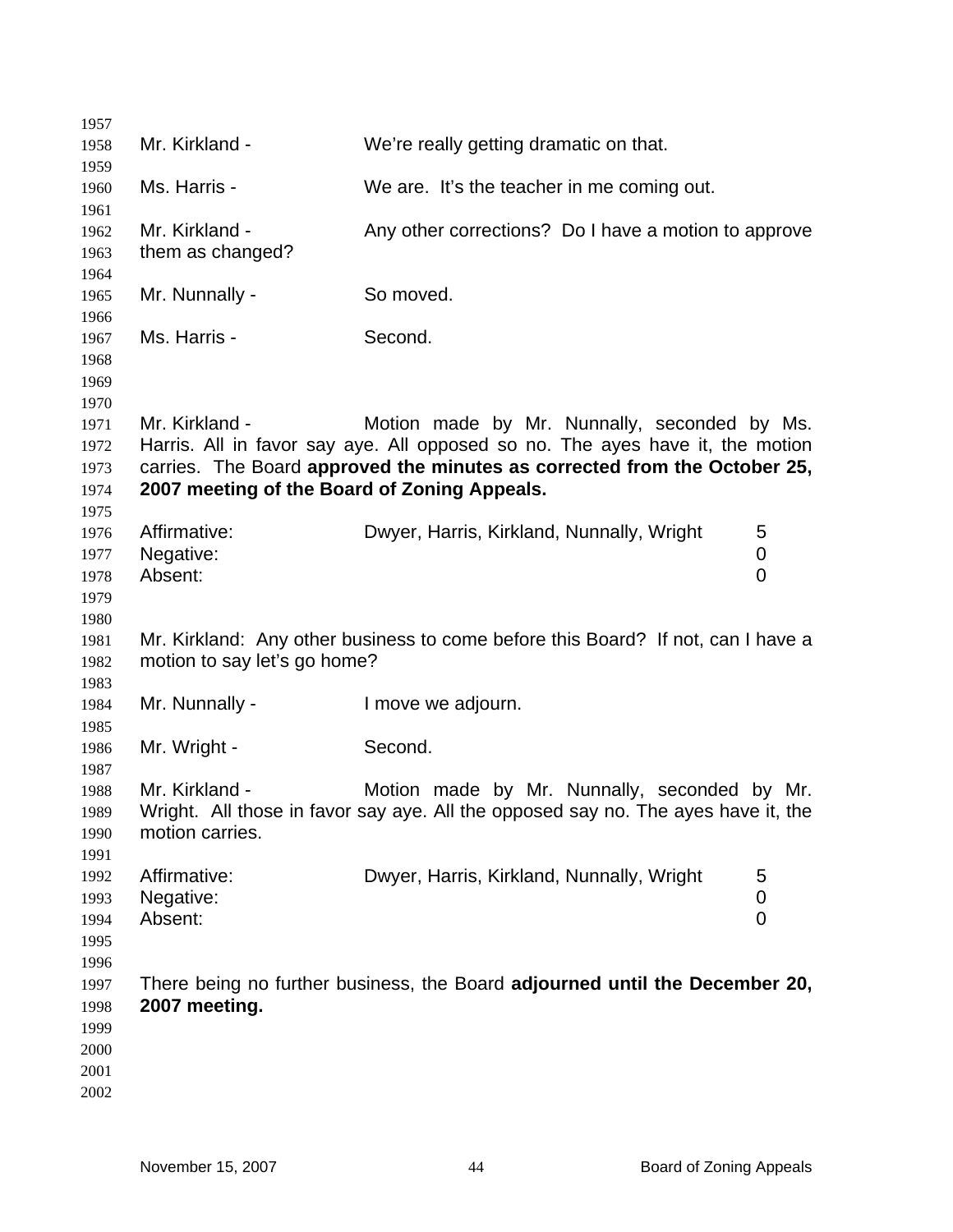| 1957                                         |                                                                |                                                                                                                                                                                                            |                          |
|----------------------------------------------|----------------------------------------------------------------|------------------------------------------------------------------------------------------------------------------------------------------------------------------------------------------------------------|--------------------------|
| 1958<br>1959                                 | Mr. Kirkland -                                                 | We're really getting dramatic on that.                                                                                                                                                                     |                          |
| 1960<br>1961                                 | Ms. Harris -                                                   | We are. It's the teacher in me coming out.                                                                                                                                                                 |                          |
| 1962<br>1963                                 | Mr. Kirkland -<br>them as changed?                             | Any other corrections? Do I have a motion to approve                                                                                                                                                       |                          |
| 1964<br>1965<br>1966                         | Mr. Nunnally -                                                 | So moved.                                                                                                                                                                                                  |                          |
| 1967<br>1968<br>1969                         | Ms. Harris -                                                   | Second.                                                                                                                                                                                                    |                          |
| 1970<br>1971<br>1972<br>1973<br>1974         | Mr. Kirkland -<br>2007 meeting of the Board of Zoning Appeals. | Motion made by Mr. Nunnally, seconded by Ms.<br>Harris. All in favor say aye. All opposed so no. The ayes have it, the motion<br>carries. The Board approved the minutes as corrected from the October 25, |                          |
| 1975<br>1976<br>1977<br>1978<br>1979         | Affirmative:<br>Negative:<br>Absent:                           | Dwyer, Harris, Kirkland, Nunnally, Wright                                                                                                                                                                  | 5<br>0<br>$\overline{0}$ |
| 1980<br>1981<br>1982                         | motion to say let's go home?                                   | Mr. Kirkland: Any other business to come before this Board? If not, can I have a                                                                                                                           |                          |
| 1983<br>1984<br>1985                         | Mr. Nunnally -                                                 | I move we adjourn.                                                                                                                                                                                         |                          |
| 1986<br>1987                                 | Mr. Wright -                                                   | Second.                                                                                                                                                                                                    |                          |
| 1988<br>1989<br>1990<br>1991                 | Mr. Kirkland -<br>motion carries.                              | Motion made by Mr. Nunnally, seconded by Mr.<br>Wright. All those in favor say aye. All the opposed say no. The ayes have it, the                                                                          |                          |
| 1992<br>1993<br>1994<br>1995<br>1996         | Affirmative:<br>Negative:<br>Absent:                           | Dwyer, Harris, Kirkland, Nunnally, Wright                                                                                                                                                                  | 5<br>0<br>$\mathbf 0$    |
| 1997<br>1998<br>1999<br>2000<br>2001<br>2002 | 2007 meeting.                                                  | There being no further business, the Board adjourned until the December 20,                                                                                                                                |                          |